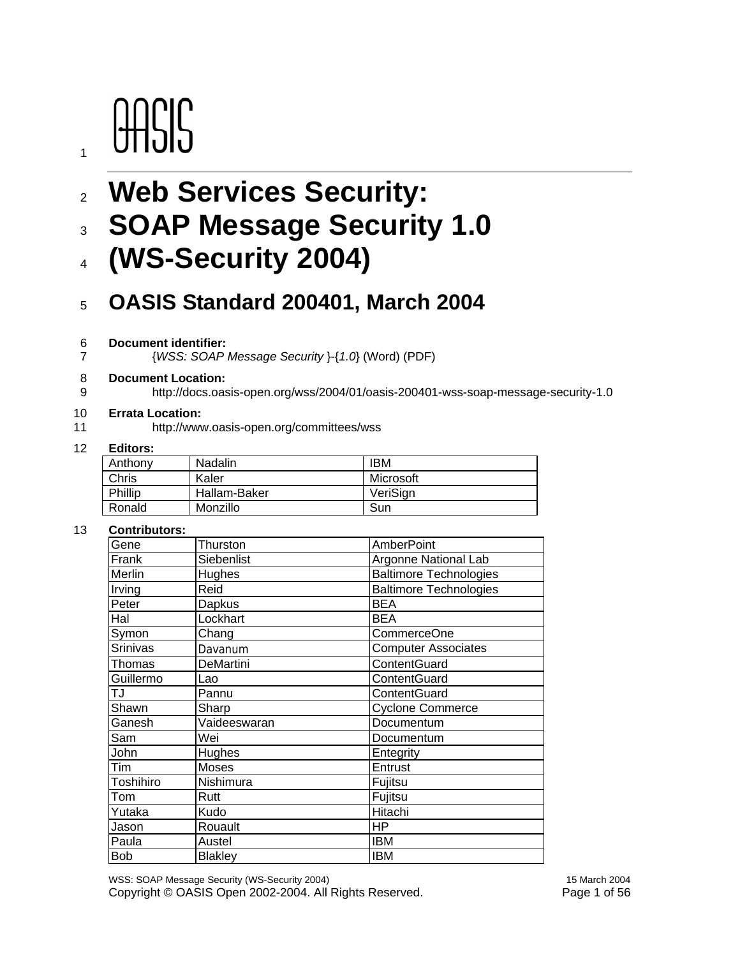# **OASIS**

1

# <sup>2</sup>**Web Services Security:**

# <sup>3</sup>**SOAP Message Security 1.0**

<sup>4</sup>**(WS-Security 2004)** 

### <sup>5</sup>**OASIS Standard 200401, March 2004**

#### 6 **Document identifier:**

7 {*WSS: SOAP Message Security* }-{*1.0*} (Word) (PDF)

#### 8 **Document Location:**

9 http://docs.oasis-open.org/wss/2004/01/oasis-200401-wss-soap-message-security-1.0

#### 10 **Errata Location:**

11 http://www.oasis-open.org/committees/wss

#### 12 **Editors:**

| -------- |              |           |
|----------|--------------|-----------|
| Anthony  | Nadalin      | IBM       |
| Chris    | Kaler        | Microsoft |
| Phillip  | Hallam-Baker | VeriSign  |
| Ronald   | Monzillo     | Sun       |

#### 13 **Contributors:**

| Gene            | Thurston       | <b>AmberPoint</b>             |
|-----------------|----------------|-------------------------------|
| Frank           | Siebenlist     | Argonne National Lab          |
| Merlin          | Hughes         | Baltimore Technologies        |
| Irving          | Reid           | <b>Baltimore Technologies</b> |
| Peter           | Dapkus         | <b>BEA</b>                    |
| Hal             | Lockhart       | <b>BEA</b>                    |
| Symon           | Chang          | <b>CommerceOne</b>            |
| <b>Srinivas</b> | Davanum        | <b>Computer Associates</b>    |
| Thomas          | DeMartini      | ContentGuard                  |
| Guillermo       | Lao            | ContentGuard                  |
| ŢJ              | Pannu          | ContentGuard                  |
| Shawn           | Sharp          | <b>Cyclone Commerce</b>       |
| Ganesh          | Vaideeswaran   | Documentum                    |
| Sam             | Wei            | Documentum                    |
| John            | Hughes         | Entegrity                     |
| <b>Tim</b>      | Moses          | Entrust                       |
| Toshihiro       | Nishimura      | Fujitsu                       |
| Tom             | Rutt           | Fujitsu                       |
| Yutaka          | Kudo           | Hitachi                       |
| Jason           | Rouault        | HP                            |
| Paula           | Austel         | <b>IBM</b>                    |
| <b>Bob</b>      | <b>Blakley</b> | <b>IBM</b>                    |
|                 |                |                               |

WSS: SOAP Message Security (WS-Security 2004) 15 March 2004 Copyright © OASIS Open 2002-2004. All Rights Reserved. Page 1 of 56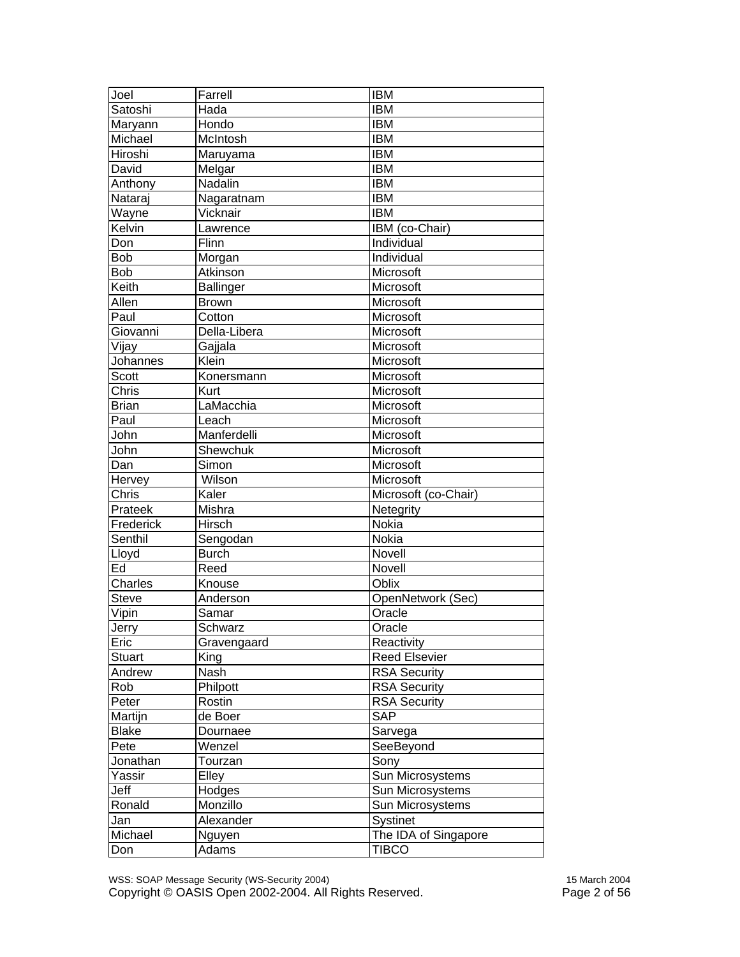| Joel           | Farrell          | <b>IBM</b>           |
|----------------|------------------|----------------------|
| Satoshi        | Hada             | <b>IBM</b>           |
| Maryann        | Hondo            | <b>IBM</b>           |
| Michael        | McIntosh         | <b>IBM</b>           |
| Hiroshi        | Maruyama         | <b>IBM</b>           |
| David          | Melgar           | <b>IBM</b>           |
| Anthony        | Nadalin          | <b>IBM</b>           |
| Nataraj        | Nagaratnam       | <b>IBM</b>           |
| Wayne          | Vicknair         | <b>IBM</b>           |
| Kelvin         | Lawrence         | IBM (co-Chair)       |
| Don            | Flinn            | <b>Individual</b>    |
| <b>Bob</b>     | Morgan           | Individual           |
| <b>Bob</b>     | Atkinson         | Microsoft            |
| Keith          | <b>Ballinger</b> | Microsoft            |
| Allen          | <b>Brown</b>     | Microsoft            |
| Paul           | Cotton           | Microsoft            |
| Giovanni       | Della-Libera     | Microsoft            |
| Vijay          | Gajjala          | Microsoft            |
| Johannes       | Klein            | Microsoft            |
| <b>Scott</b>   | Konersmann       | Microsoft            |
| Chris          | Kurt             | Microsoft            |
| <b>Brian</b>   | LaMacchia        | Microsoft            |
| Paul           | Leach            | Microsoft            |
| John           | Manferdelli      | Microsoft            |
| John           | Shewchuk         | Microsoft            |
| Dan            | Simon            | Microsoft            |
| Hervey         | Wilson           | Microsoft            |
| Chris          | Kaler            | Microsoft (co-Chair) |
| Prateek        | Mishra           | Netegrity            |
| Frederick      | Hirsch           | Nokia                |
| Senthil        | Sengodan         | Nokia                |
| Lloyd          | <b>Burch</b>     | Novell               |
| Ed             | Reed             | Novell               |
| <b>Charles</b> | Knouse           | Oblix                |
| <b>Steve</b>   | Anderson         | OpenNetwork (Sec)    |
| Vipin          | Samar            | Oracle               |
| Jerry          | Schwarz          | Oracle               |
| Eric           | Gravengaard      | Reactivity           |
| <b>Stuart</b>  | King             | <b>Reed Elsevier</b> |
| Andrew         | Nash             | <b>RSA Security</b>  |
| Rob            | Philpott         | <b>RSA</b> Security  |
| Peter          | Rostin           | <b>RSA Security</b>  |
| Martijn        | de Boer          | SAP                  |
| <b>Blake</b>   | Dournaee         | Sarvega              |
| Pete           | Wenzel           | SeeBeyond            |
| Jonathan       | Tourzan          | Sony                 |
| Yassir         | Elley            | Sun Microsystems     |
| Jeff           | Hodges           | Sun Microsystems     |
| Ronald         | Monzillo         | Sun Microsystems     |
| Jan            | Alexander        | Systinet             |
| Michael        | Nguyen           | The IDA of Singapore |
| Don            | Adams            | <b>TIBCO</b>         |

WSS: SOAP Message Security (WS-Security 2004) 15 March 2004 Copyright © OASIS Open 2002-2004. All Rights Reserved. Page 2 of 56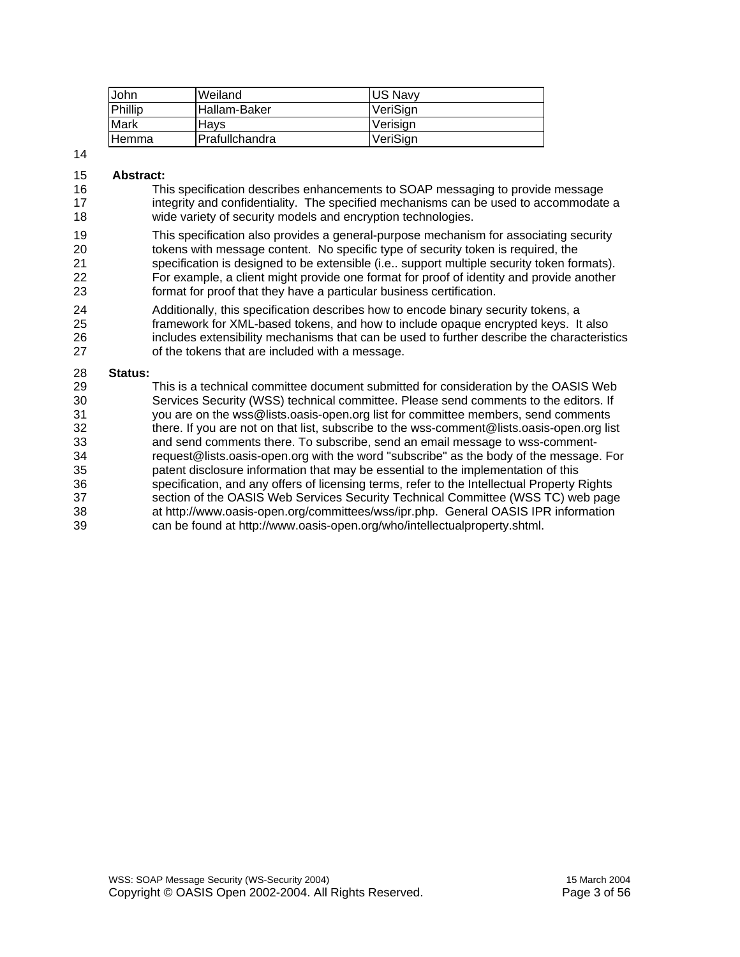| John         | Weiland                | <b>US Navv</b> |
|--------------|------------------------|----------------|
| Phillip      | Hallam-Baker           | VeriSian       |
| Mark         | Havs                   | Verisian       |
| <b>Hemma</b> | <b>IPrafullchandra</b> | VeriSign       |

#### 14

#### 15 **Abstract:**

16 This specification describes enhancements to SOAP messaging to provide message 17 integrity and confidentiality. The specified mechanisms can be used to accommodate a 18 wide variety of security models and encryption technologies.

19 This specification also provides a general-purpose mechanism for associating security 20 tokens with message content. No specific type of security token is required, the 21 specification is designed to be extensible (i.e.. support multiple security token formats). 22 For example, a client might provide one format for proof of identity and provide another 23 format for proof that they have a particular business certification.

24 Additionally, this specification describes how to encode binary security tokens, a 25 framework for XML-based tokens, and how to include opaque encrypted keys. It also 26 includes extensibility mechanisms that can be used to further describe the characteristics 27 of the tokens that are included with a message.

#### 28 **Status:**

29 This is a technical committee document submitted for consideration by the OASIS Web 30 Services Security (WSS) technical committee. Please send comments to the editors. If<br>31 vou are on the wss@lists.oasis-open.org list for committee members. send comments you are on the wss@lists.oasis-open.org list for committee members, send comments 32 there. If you are not on that list, subscribe to the wss-comment@lists.oasis-open.org list 33 and send comments there. To subscribe, send an email message to wss-comment-34 request@lists.oasis-open.org with the word "subscribe" as the body of the message. For 35 patent disclosure information that may be essential to the implementation of this 36 specification, and any offers of licensing terms, refer to the Intellectual Property Rights 37 section of the OASIS Web Services Security Technical Committee (WSS TC) web page 38 at http://www.oasis-open.org/committees/wss/ipr.php. General OASIS IPR information 39 can be found at http://www.oasis-open.org/who/intellectualproperty.shtml.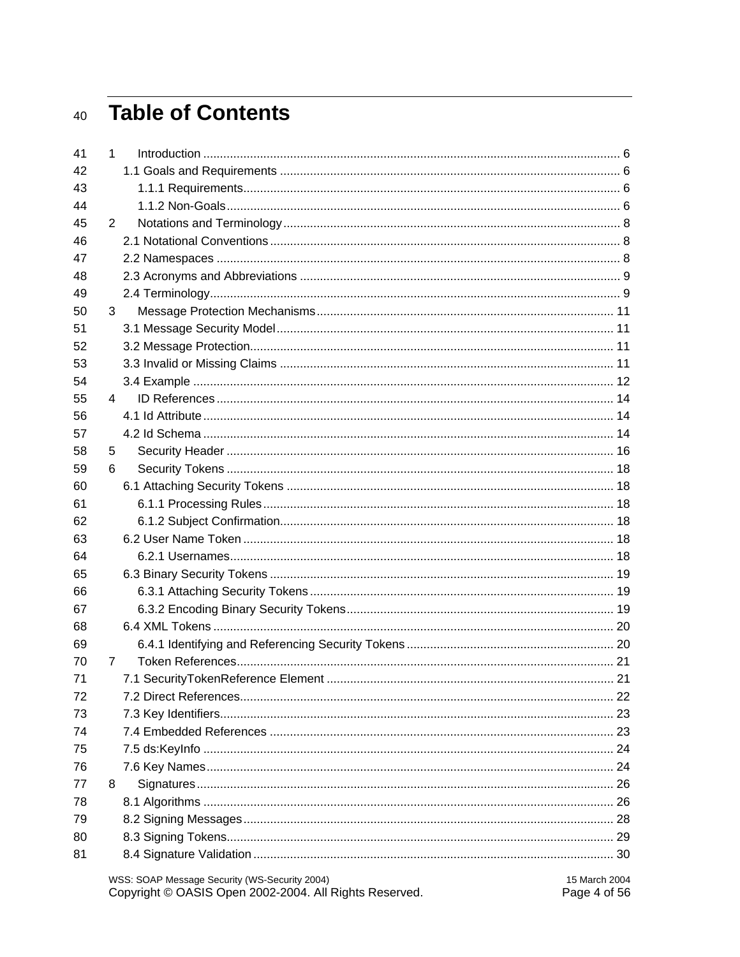### 40 Table of Contents

|    |   | WSS: SOAP Message Security (WS-Security 2004)<br>15 March 2004<br>Copyright © OASIS Open 2002-2004. All Rights Reserved.<br>Page 4 of 56 |  |
|----|---|------------------------------------------------------------------------------------------------------------------------------------------|--|
| 81 |   |                                                                                                                                          |  |
| 80 |   |                                                                                                                                          |  |
| 79 |   |                                                                                                                                          |  |
| 78 |   |                                                                                                                                          |  |
| 77 | 8 |                                                                                                                                          |  |
| 76 |   |                                                                                                                                          |  |
| 75 |   |                                                                                                                                          |  |
| 74 |   |                                                                                                                                          |  |
| 73 |   |                                                                                                                                          |  |
| 72 |   |                                                                                                                                          |  |
| 71 |   |                                                                                                                                          |  |
| 70 | 7 |                                                                                                                                          |  |
| 69 |   |                                                                                                                                          |  |
| 68 |   |                                                                                                                                          |  |
| 67 |   |                                                                                                                                          |  |
| 66 |   |                                                                                                                                          |  |
| 65 |   |                                                                                                                                          |  |
| 64 |   |                                                                                                                                          |  |
| 63 |   |                                                                                                                                          |  |
| 62 |   |                                                                                                                                          |  |
| 61 |   |                                                                                                                                          |  |
| 60 |   |                                                                                                                                          |  |
| 59 | 6 |                                                                                                                                          |  |
| 58 | 5 |                                                                                                                                          |  |
| 57 |   |                                                                                                                                          |  |
| 56 |   |                                                                                                                                          |  |
| 55 | 4 |                                                                                                                                          |  |
| 54 |   |                                                                                                                                          |  |
| 53 |   |                                                                                                                                          |  |
| 52 |   |                                                                                                                                          |  |
| 51 |   |                                                                                                                                          |  |
| 50 | 3 |                                                                                                                                          |  |
| 49 |   |                                                                                                                                          |  |
| 48 |   |                                                                                                                                          |  |
| 47 |   |                                                                                                                                          |  |
| 46 |   |                                                                                                                                          |  |
| 45 | 2 |                                                                                                                                          |  |
| 44 |   |                                                                                                                                          |  |
| 43 |   |                                                                                                                                          |  |
| 42 |   |                                                                                                                                          |  |
| 41 | 1 |                                                                                                                                          |  |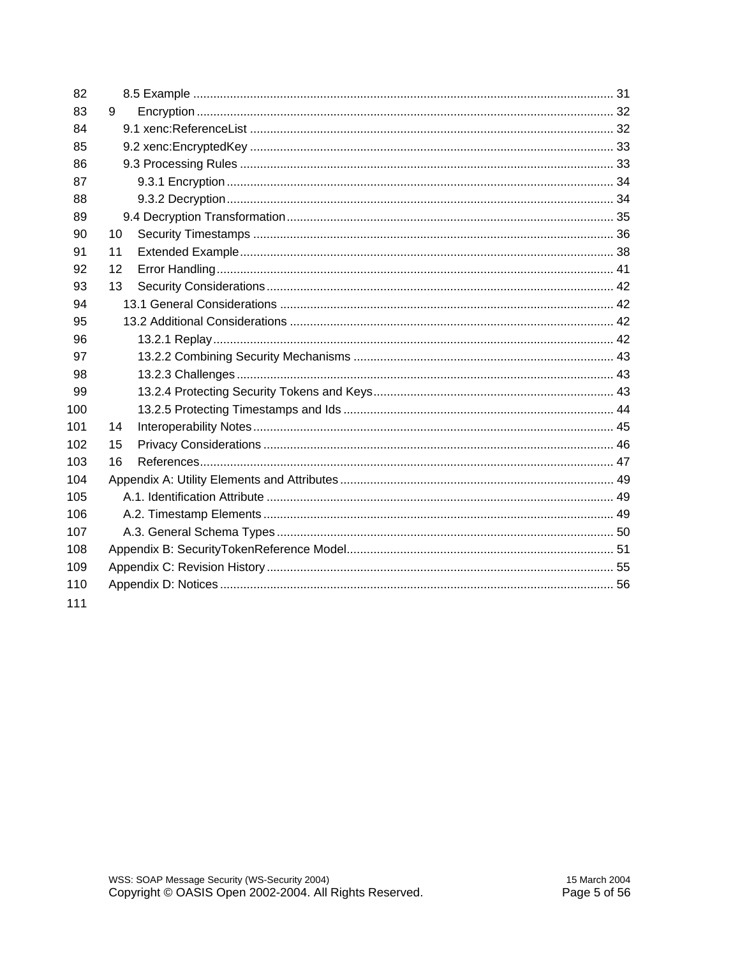| 82  |    |  |
|-----|----|--|
| 83  | 9  |  |
| 84  |    |  |
| 85  |    |  |
| 86  |    |  |
| 87  |    |  |
| 88  |    |  |
| 89  |    |  |
| 90  | 10 |  |
| 91  | 11 |  |
| 92  | 12 |  |
| 93  | 13 |  |
| 94  |    |  |
| 95  |    |  |
| 96  |    |  |
| 97  |    |  |
| 98  |    |  |
| 99  |    |  |
| 100 |    |  |
| 101 | 14 |  |
| 102 | 15 |  |
| 103 | 16 |  |
| 104 |    |  |
| 105 |    |  |
| 106 |    |  |
| 107 |    |  |
| 108 |    |  |
| 109 |    |  |
| 110 |    |  |
| 111 |    |  |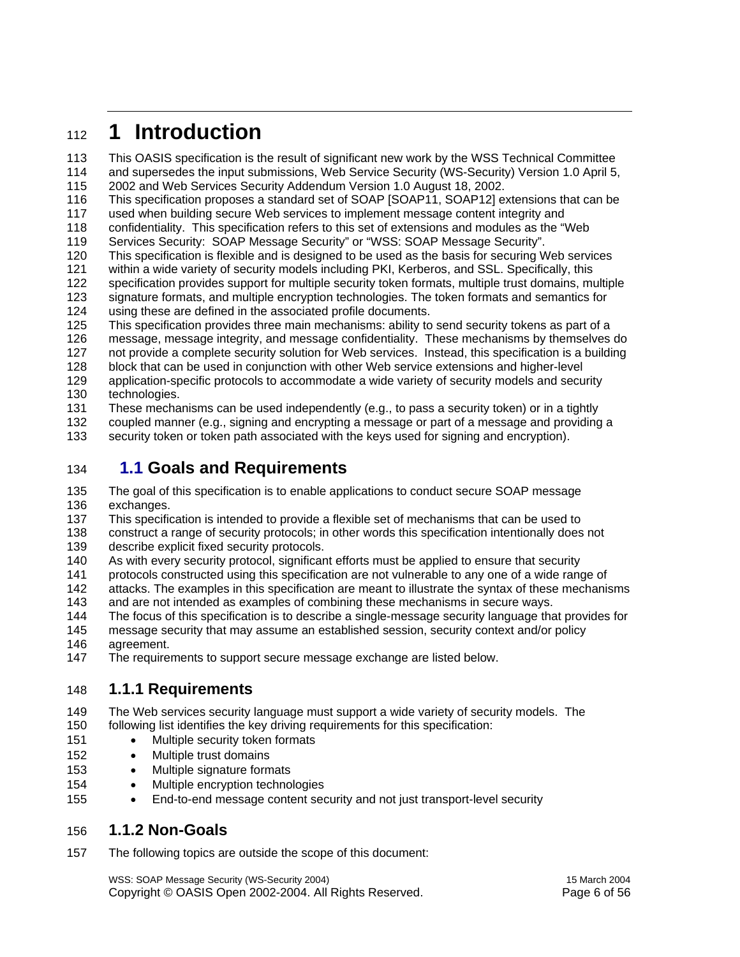### <sup>112</sup>**1 Introduction**

113 This OASIS specification is the result of significant new work by the WSS Technical Committee

114 and supersedes the input submissions, Web Service Security (WS-Security) Version 1.0 April 5, 115 2002 and Web Services Security Addendum Version 1.0 August 18, 2002.

116 This specification proposes a standard set of SOAP [SOAP11, SOAP12] extensions that can be 117 used when building secure Web services to implement message content integrity and

118 confidentiality. This specification refers to this set of extensions and modules as the "Web

- 119 Services Security: SOAP Message Security" or "WSS: SOAP Message Security".
- 120 This specification is flexible and is designed to be used as the basis for securing Web services
- 121 within a wide variety of security models including PKI, Kerberos, and SSL. Specifically, this
- 122 specification provides support for multiple security token formats, multiple trust domains, multiple
- 123 signature formats, and multiple encryption technologies. The token formats and semantics for 124 using these are defined in the associated profile documents.
- 125 This specification provides three main mechanisms: ability to send security tokens as part of a 126 message, message integrity, and message confidentiality. These mechanisms by themselves do 127 not provide a complete security solution for Web services. Instead, this specification is a building 128 block that can be used in conjunction with other Web service extensions and higher-level
- 129 application-specific protocols to accommodate a wide variety of security models and security 130 technologies.

131 These mechanisms can be used independently (e.g., to pass a security token) or in a tightly

132 coupled manner (e.g., signing and encrypting a message or part of a message and providing a

133 security token or token path associated with the keys used for signing and encryption).

#### 134 **1.1 Goals and Requirements**

135 The goal of this specification is to enable applications to conduct secure SOAP message 136 exchanges.

137 This specification is intended to provide a flexible set of mechanisms that can be used to

138 construct a range of security protocols; in other words this specification intentionally does not

- 139 describe explicit fixed security protocols.
- 140 As with every security protocol, significant efforts must be applied to ensure that security
- 141 protocols constructed using this specification are not vulnerable to any one of a wide range of
- 142 attacks. The examples in this specification are meant to illustrate the syntax of these mechanisms
- 143 and are not intended as examples of combining these mechanisms in secure ways.
- 144 The focus of this specification is to describe a single-message security language that provides for
- 145 message security that may assume an established session, security context and/or policy
- 146 agreement.
- 147 The requirements to support secure message exchange are listed below.

#### 148 **1.1.1 Requirements**

149 The Web services security language must support a wide variety of security models. The 150 following list identifies the key driving requirements for this specification:

- 151 Multiple security token formats
- 152 Multiple trust domains
- 153 Multiple signature formats
- 154 Multiple encryption technologies
- 155 End-to-end message content security and not just transport-level security

#### 156 **1.1.2 Non-Goals**

157 The following topics are outside the scope of this document:

WSS: SOAP Message Security (WS-Security 2004) 15 March 2004 Copyright © OASIS Open 2002-2004. All Rights Reserved. Page 6 of 56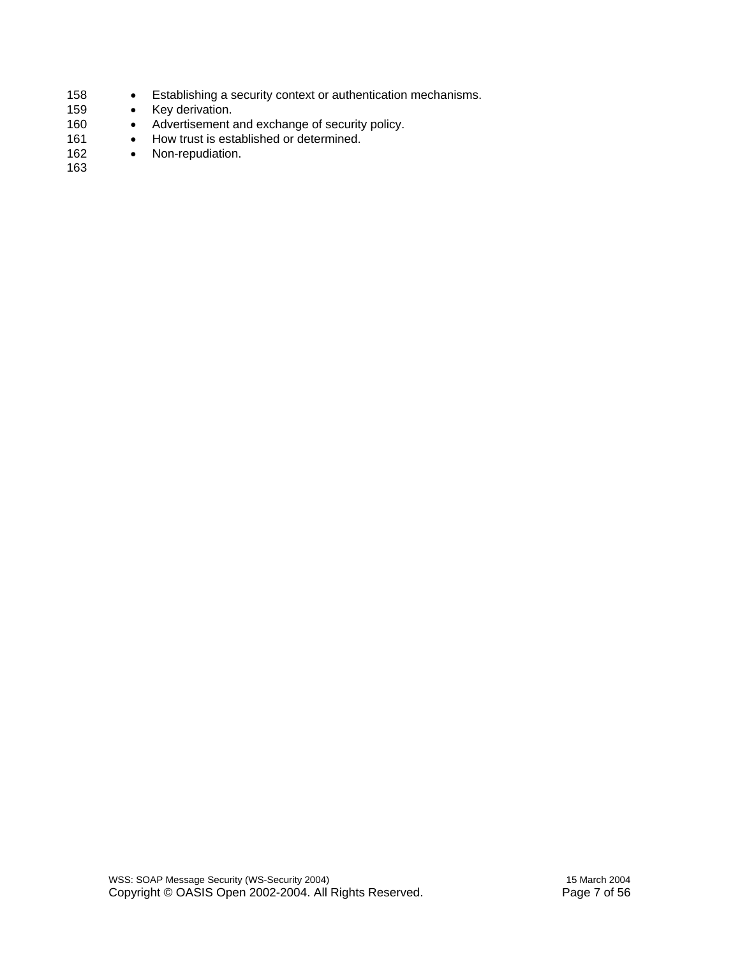- 158 Establishing a security context or authentication mechanisms.
- 159 Key derivation.
- 160 Advertisement and exchange of security policy.
- 161 How trust is established or determined.
- 162 Non-repudiation.
- 163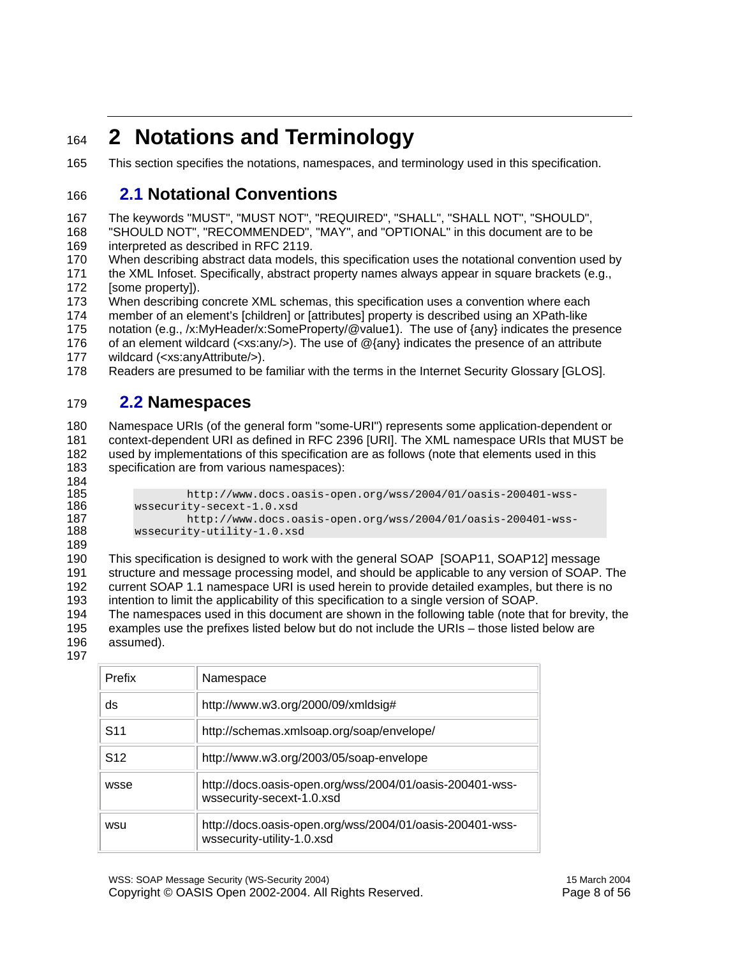### <sup>164</sup>**2 Notations and Terminology**

165 This section specifies the notations, namespaces, and terminology used in this specification.

#### 166 **2.1 Notational Conventions**

167 The keywords "MUST", "MUST NOT", "REQUIRED", "SHALL", "SHALL NOT", "SHOULD", 168 "SHOULD NOT", "RECOMMENDED", "MAY", and "OPTIONAL" in this document are to be

169 interpreted as described in RFC 2119.

170 When describing abstract data models, this specification uses the notational convention used by

171 the XML Infoset. Specifically, abstract property names always appear in square brackets (e.g., 172 [some property]).

173 When describing concrete XML schemas, this specification uses a convention where each

174 member of an element's [children] or [attributes] property is described using an XPath-like

175 notation (e.g., /x:MyHeader/x:SomeProperty/@value1). The use of {any} indicates the presence

176 of an element wildcard (<xs:any/>). The use of @{any} indicates the presence of an attribute 177 wildcard (<xs:anyAttribute/>).

178 Readers are presumed to be familiar with the terms in the Internet Security Glossary [GLOS].

#### 179 **2.2 Namespaces**

180 Namespace URIs (of the general form "some-URI") represents some application-dependent or 181 context-dependent URI as defined in RFC 2396 [URI]. The XML namespace URIs that MUST be 182 used by implementations of this specification are as follows (note that elements used in this 183 specification are from various namespaces):

184

185 http://www.docs.oasis-open.org/wss/2004/01/oasis-200401-wss-<br>186 wssecurity-secext-1.0.xsd 186 wssecurity-secext-1.0.xsd<br>187 http://www.docs.oa 187 http://www.docs.oasis-open.org/wss/2004/01/oasis-200401-wsswssecurity-utility-1.0.xsd

189

190 This specification is designed to work with the general SOAP [SOAP11, SOAP12] message 191 structure and message processing model, and should be applicable to any version of SOAP. The 192 current SOAP 1.1 namespace URI is used herein to provide detailed examples, but there is no 193 intention to limit the applicability of this specification to a single version of SOAP.

194 The namespaces used in this document are shown in the following table (note that for brevity, the 195 examples use the prefixes listed below but do not include the URIs – those listed below are 196 assumed).

197

| Prefix          | Namespace                                                                              |  |
|-----------------|----------------------------------------------------------------------------------------|--|
| ds              | http://www.w3.org/2000/09/xmldsig#                                                     |  |
| S <sub>11</sub> | http://schemas.xmlsoap.org/soap/envelope/                                              |  |
| S <sub>12</sub> | http://www.w3.org/2003/05/soap-envelope                                                |  |
| wsse            | http://docs.oasis-open.org/wss/2004/01/oasis-200401-wss-<br>wssecurity-secext-1.0.xsd  |  |
| wsu             | http://docs.oasis-open.org/wss/2004/01/oasis-200401-wss-<br>wssecurity-utility-1.0.xsd |  |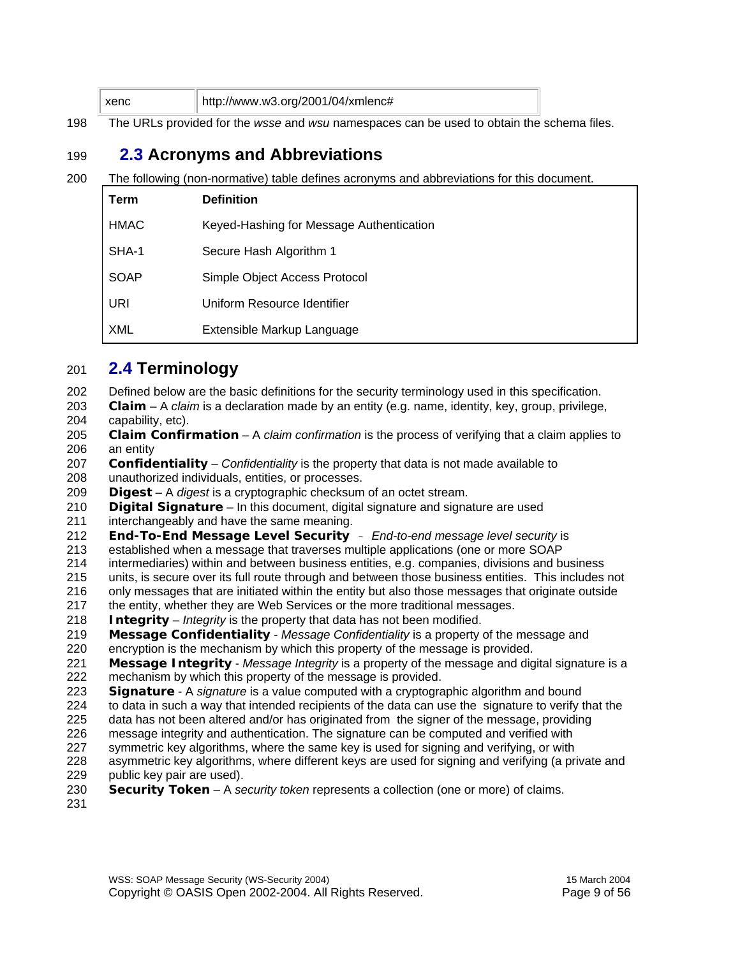| http://www.w3.org/2001/04/xmlenc# |
|-----------------------------------|
|-----------------------------------|

198 The URLs provided for the *wsse* and *wsu* namespaces can be used to obtain the schema files.

#### 199 **2.3 Acronyms and Abbreviations**

200 The following (non-normative) table defines acronyms and abbreviations for this document.

| Term        | <b>Definition</b>                        |
|-------------|------------------------------------------|
| <b>HMAC</b> | Keyed-Hashing for Message Authentication |
| SHA-1       | Secure Hash Algorithm 1                  |
| <b>SOAP</b> | Simple Object Access Protocol            |
| URI         | Uniform Resource Identifier              |
| <b>XML</b>  | Extensible Markup Language               |

#### 201 **2.4 Terminology**

202 Defined below are the basic definitions for the security terminology used in this specification.

203 **Claim** – A *claim* is a declaration made by an entity (e.g. name, identity, key, group, privilege,

204 capability, etc).

- 205 **Claim Confirmation** A *claim confirmation* is the process of verifying that a claim applies to 206 an entity
- 207 **Confidentiality** *Confidentiality* is the property that data is not made available to
- 208 unauthorized individuals, entities, or processes.
- 209 **Digest** A *digest* is a cryptographic checksum of an octet stream.
- 210 **Digital Signature** In this document, digital signature and signature are used
- 211 interchangeably and have the same meaning.
- 212 **End-To-End Message Level Security** *End-to-end message level security* is
- 213 established when a message that traverses multiple applications (one or more SOAP
- 214 intermediaries) within and between business entities, e.g. companies, divisions and business
- 215 units, is secure over its full route through and between those business entities. This includes not
- 216 only messages that are initiated within the entity but also those messages that originate outside
- 217 the entity, whether they are Web Services or the more traditional messages.
- 218 **Integrity** *Integrity* is the property that data has not been modified.
- 219 **Message Confidentiality** *Message Confidentiality* is a property of the message and
- 220 encryption is the mechanism by which this property of the message is provided.
- 221 **Message Integrity** *Message Integrity* is a property of the message and digital signature is a mechanism by which this property of the message is provided.
- 223 **Signature** A *signature* is a value computed with a cryptographic algorithm and bound
- 224 to data in such a way that intended recipients of the data can use the signature to verify that the
- 225 data has not been altered and/or has originated from the signer of the message, providing
- 226 message integrity and authentication. The signature can be computed and verified with
- 227 symmetric key algorithms, where the same key is used for signing and verifying, or with
- 228 asymmetric key algorithms, where different keys are used for signing and verifying (a private and 229 public key pair are used).
- 230 **Security Token** A *security token* represents a collection (one or more) of claims.
- 231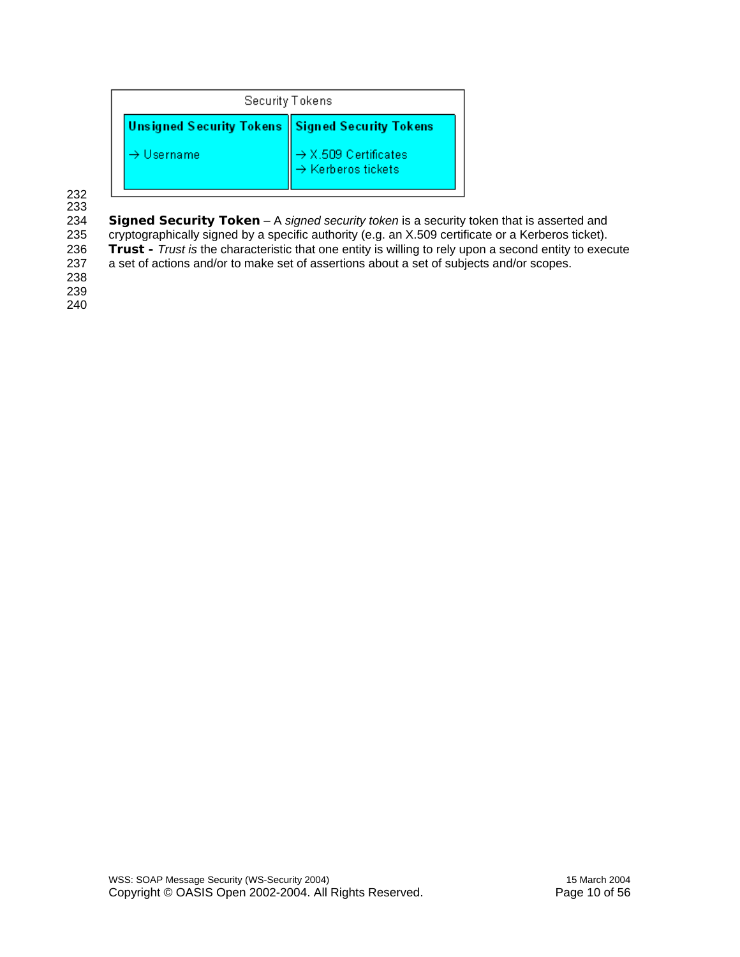| Security Tokens                                    |                                                                    |  |
|----------------------------------------------------|--------------------------------------------------------------------|--|
| Unsigned Security Tokens    Signed Security Tokens |                                                                    |  |
| $\rightarrow$ Username                             | $\rightarrow$ X.509 Certificates<br>$\rightarrow$ Kerberos tickets |  |

232

233 234 **Signed Security Token** – A *signed security token* is a security token that is asserted and<br>235 cryptographically signed by a specific authority (e.g. an X.509 certificate or a Kerberos ticket). cryptographically signed by a specific authority (e.g. an X.509 certificate or a Kerberos ticket). 236 **Trust** - *Trust is* the characteristic that one entity is willing to rely upon a second entity to execute 237 a set of actions and/or to make set of assertions about a set of subjects and/or scopes. a set of actions and/or to make set of assertions about a set of subjects and/or scopes. 238

239

240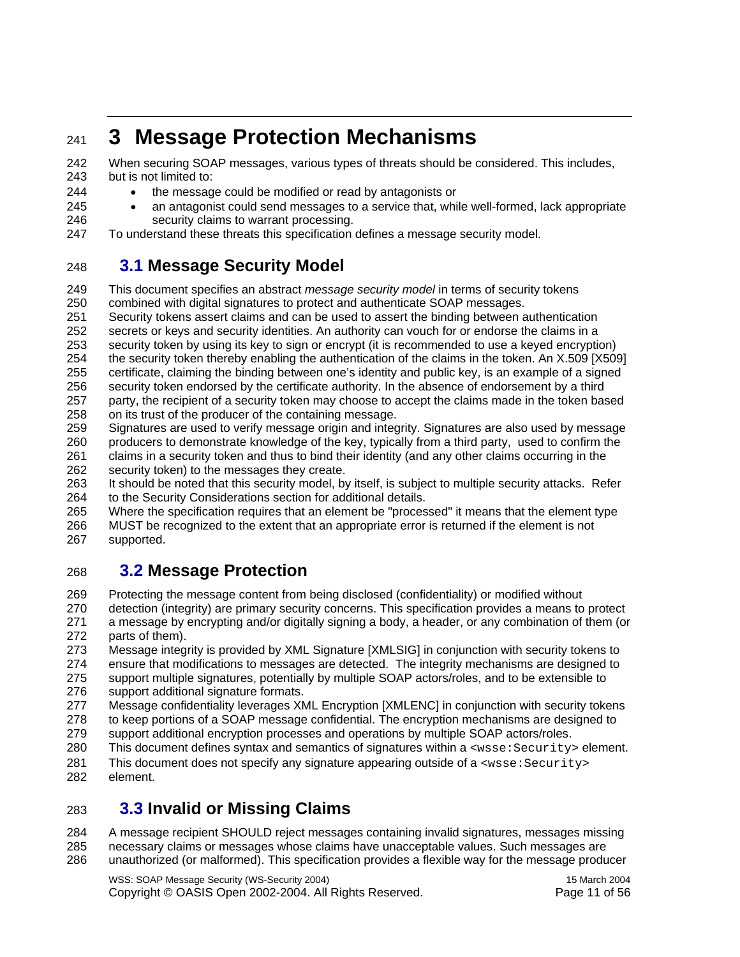### <sup>241</sup>**3 Message Protection Mechanisms**

242 When securing SOAP messages, various types of threats should be considered. This includes, 243 but is not limited to:

- 244 the message could be modified or read by antagonists or
- 
- 
- 

245 • an antagonist could send messages to a service that, while well-formed, lack appropriate

246 security claims to warrant processing.

#### 247 To understand these threats this specification defines a message security model.

### 248 **3.1 Message Security Model**

249 This document specifies an abstract *message security model* in terms of security tokens 250 combined with digital signatures to protect and authenticate SOAP messages.

251 Security tokens assert claims and can be used to assert the binding between authentication

252 secrets or keys and security identities. An authority can vouch for or endorse the claims in a

253 security token by using its key to sign or encrypt (it is recommended to use a keyed encryption)

254 the security token thereby enabling the authentication of the claims in the token. An X.509 [X509]

255 certificate, claiming the binding between one's identity and public key, is an example of a signed

256 security token endorsed by the certificate authority. In the absence of endorsement by a third 257 party, the recipient of a security token may choose to accept the claims made in the token based

- 258 on its trust of the producer of the containing message.
- 259 Signatures are used to verify message origin and integrity. Signatures are also used by message 260 producers to demonstrate knowledge of the key, typically from a third party, used to confirm the 261 claims in a security token and thus to bind their identity (and any other claims occurring in the
- 262 security token) to the messages they create.

263 It should be noted that this security model, by itself, is subject to multiple security attacks. Refer 264 to the Security Considerations section for additional details.

265 Where the specification requires that an element be "processed" it means that the element type 266 MUST be recognized to the extent that an appropriate error is returned if the element is not 267 supported.

### 268 **3.2 Message Protection**

269 Protecting the message content from being disclosed (confidentiality) or modified without

270 detection (integrity) are primary security concerns. This specification provides a means to protect 271 a message by encrypting and/or digitally signing a body, a header, or any combination of them (or 272 parts of them).

273 Message integrity is provided by XML Signature [XMLSIG] in conjunction with security tokens to 274 ensure that modifications to messages are detected. The integrity mechanisms are designed to 275 support multiple signatures, potentially by multiple SOAP actors/roles, and to be extensible to

- 276 support additional signature formats.
- 277 Message confidentiality leverages XML Encryption [XMLENC] in conjunction with security tokens 278 to keep portions of a SOAP message confidential. The encryption mechanisms are designed to
- 279 support additional encryption processes and operations by multiple SOAP actors/roles.
- 280 This document defines syntax and semantics of signatures within a <wsse: Security> element.
- 281 This document does not specify any signature appearing outside of a <wsse:Security><br>282 element element

### 283 **3.3 Invalid or Missing Claims**

284 A message recipient SHOULD reject messages containing invalid signatures, messages missing 285 necessary claims or messages whose claims have unacceptable values. Such messages are 286 unauthorized (or malformed). This specification provides a flexible way for the message producer

WSS: SOAP Message Security (WS-Security 2004) 15 March 2004 Copyright © OASIS Open 2002-2004. All Rights Reserved. Page 11 of 56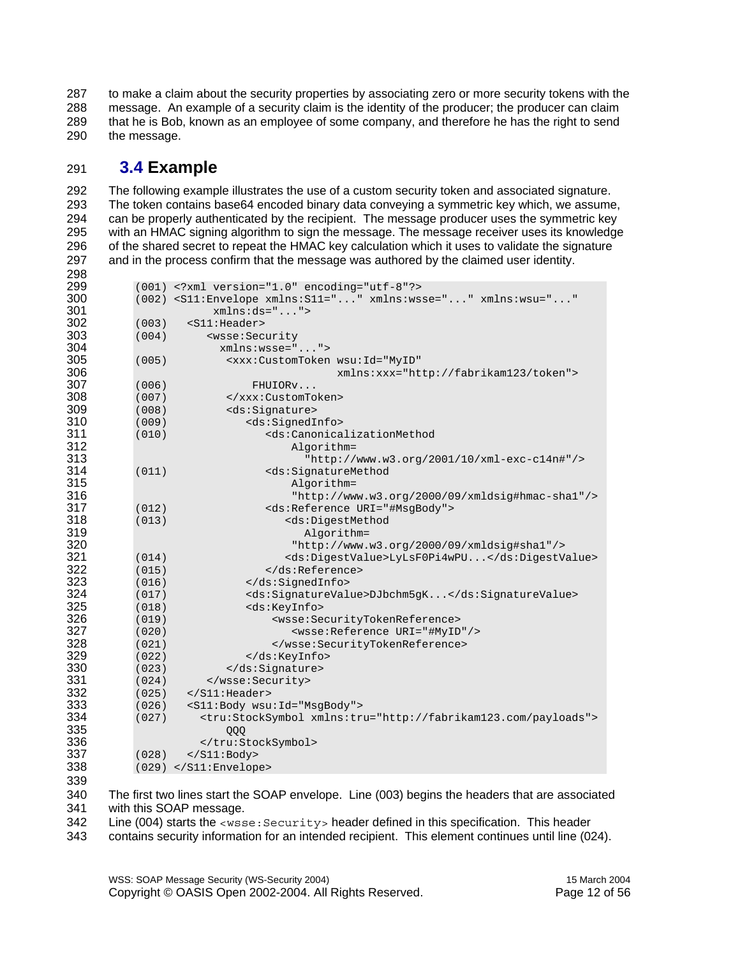287 to make a claim about the security properties by associating zero or more security tokens with the 288 message. An example of a security claim is the identity of the producer; the producer can claim 289 that he is Bob, known as an employee of some company, and therefore he has the right to send 290 the message.

#### **3.4 Example**

292 The following example illustrates the use of a custom security token and associated signature. 293 The token contains base64 encoded binary data conveying a symmetric key which, we assume,<br>294 Can be properly authenticated by the recipient. The message producer uses the symmetric key can be properly authenticated by the recipient. The message producer uses the symmetric key 295 with an HMAC signing algorithm to sign the message. The message receiver uses its knowledge 296 of the shared secret to repeat the HMAC key calculation which it uses to validate the signature<br>297 and in the process confirm that the message was authored by the claimed user identity. and in the process confirm that the message was authored by the claimed user identity.

| 299 |       | (001) xml version="1.0" encoding="utf-8"?                                              |
|-----|-------|----------------------------------------------------------------------------------------|
| 300 |       | (002) <s11:envelope <="" th="" xmlns:s11="" xmlns:wsse="" xmlns:wsu=""></s11:envelope> |
| 301 |       | $xmlns:ds = ""$                                                                        |
| 302 | (003) | <s11:header></s11:header>                                                              |
| 303 | (004) | <wsse: security<="" th=""></wsse:>                                                     |
| 304 |       | $xmlns:wsse="$ ">                                                                      |
| 305 | (005) | <xxx:customtoken <="" th="" wsu:id="MyID"></xxx:customtoken>                           |
| 306 |       | xmlns:xxx="http://fabrikam123/token">                                                  |
| 307 | (006) | FHUIORv                                                                                |
| 308 | (007) |                                                                                        |
| 309 | (008) | <ds:signature></ds:signature>                                                          |
| 310 | (009) | <ds:signedinfo></ds:signedinfo>                                                        |
| 311 | (010) | <ds:canonicalizationmethod< th=""></ds:canonicalizationmethod<>                        |
| 312 |       | Algorithm=                                                                             |
| 313 |       | "http://www.w3.org/2001/10/xml-exc-c14n#"/>                                            |
| 314 | (011) | <ds:signaturemethod< th=""></ds:signaturemethod<>                                      |
| 315 |       | Algorithm=                                                                             |
| 316 |       | "http://www.w3.org/2000/09/xmldsig#hmac-shal"/>                                        |
| 317 | (012) | <ds:reference uri="#MsqBody"></ds:reference>                                           |
| 318 | (013) | <ds:digestmethod< th=""></ds:digestmethod<>                                            |
| 319 |       | Algorithm=                                                                             |
| 320 |       | "http://www.w3.org/2000/09/xmldsig#shal"/>                                             |
| 321 | (014) | <ds:digestvalue>LyLsF0Pi4wPU</ds:digestvalue>                                          |
| 322 | (015) |                                                                                        |
| 323 | (016) |                                                                                        |
| 324 | (017) | <ds:signaturevalue>DJbchm5qK</ds:signaturevalue>                                       |
| 325 | (018) | <ds:keyinfo></ds:keyinfo>                                                              |
| 326 | (019) | <wsse:securitytokenreference></wsse:securitytokenreference>                            |
| 327 | (020) | <wsse:reference uri="#MyID"></wsse:reference>                                          |
| 328 | (021) |                                                                                        |
| 329 | (022) |                                                                                        |
| 330 | (023) |                                                                                        |
| 331 | (024) |                                                                                        |
| 332 | (025) | $\langle$ /S11:Header>                                                                 |
| 333 | (026) | <s11:body wsu:id="MsgBody"></s11:body>                                                 |
| 334 | (027) | <tru:stocksymbol xmlns:tru="http://fabrikam123.com/payloads"></tru:stocksymbol>        |
| 335 |       | QQQ                                                                                    |
| 336 |       |                                                                                        |
| 337 | (028) | $\langle$ S11:Body>                                                                    |
| 338 |       | $(029)$                                                                                |
|     |       |                                                                                        |

340 The first two lines start the SOAP envelope. Line (003) begins the headers that are associated 341 with this SOAP message.

342 Line (004) starts the <wsse:Security> header defined in this specification. This header

343 contains security information for an intended recipient. This element continues until line (024).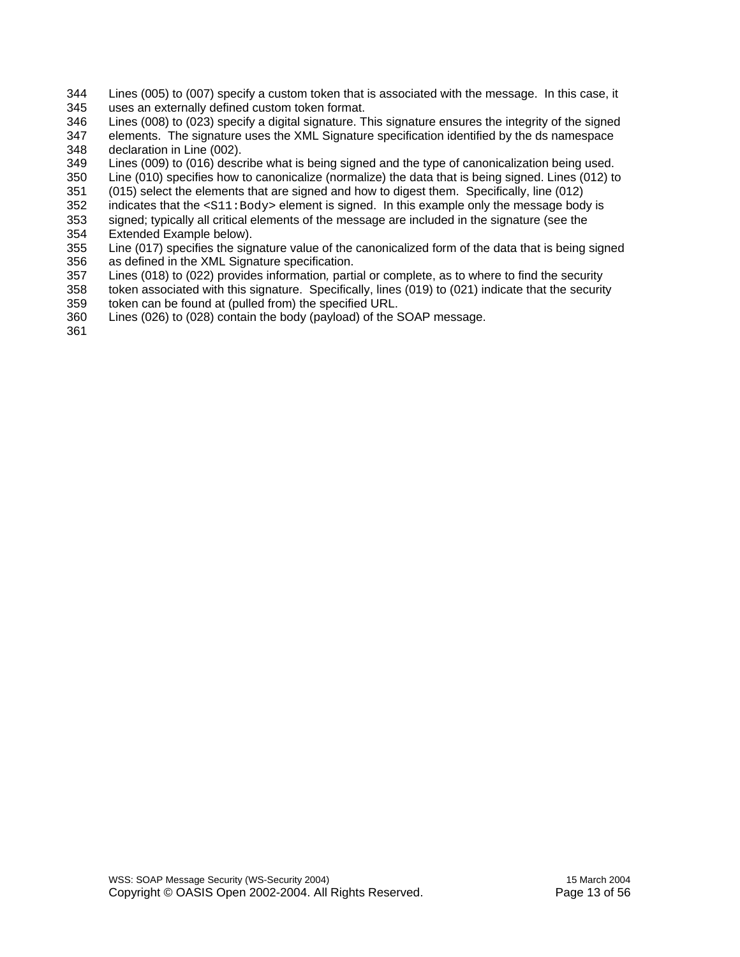- 344 Lines (005) to (007) specify a custom token that is associated with the message. In this case, it
- 345 uses an externally defined custom token format.
- 346 Lines (008) to (023) specify a digital signature. This signature ensures the integrity of the signed
- 347 elements. The signature uses the XML Signature specification identified by the ds namespace 348 declaration in Line (002).
- 349 Lines (009) to (016) describe what is being signed and the type of canonicalization being used.
- 350 Line (010) specifies how to canonicalize (normalize) the data that is being signed. Lines (012) to
- 351 (015) select the elements that are signed and how to digest them. Specifically, line (012)
- 352 indicates that the <S11:Body> element is signed. In this example only the message body is
- 353 signed; typically all critical elements of the message are included in the signature (see the 354 Extended Example below).
- 355 Line (017) specifies the signature value of the canonicalized form of the data that is being signed 356 as defined in the XML Signature specification.
- 357 Lines (018) to (022) provides information*,* partial or complete, as to where to find the security
- 358 token associated with this signature. Specifically, lines (019) to (021) indicate that the security 359 token can be found at (pulled from) the specified URL.
- 360 Lines (026) to (028) contain the body (payload) of the SOAP message.

361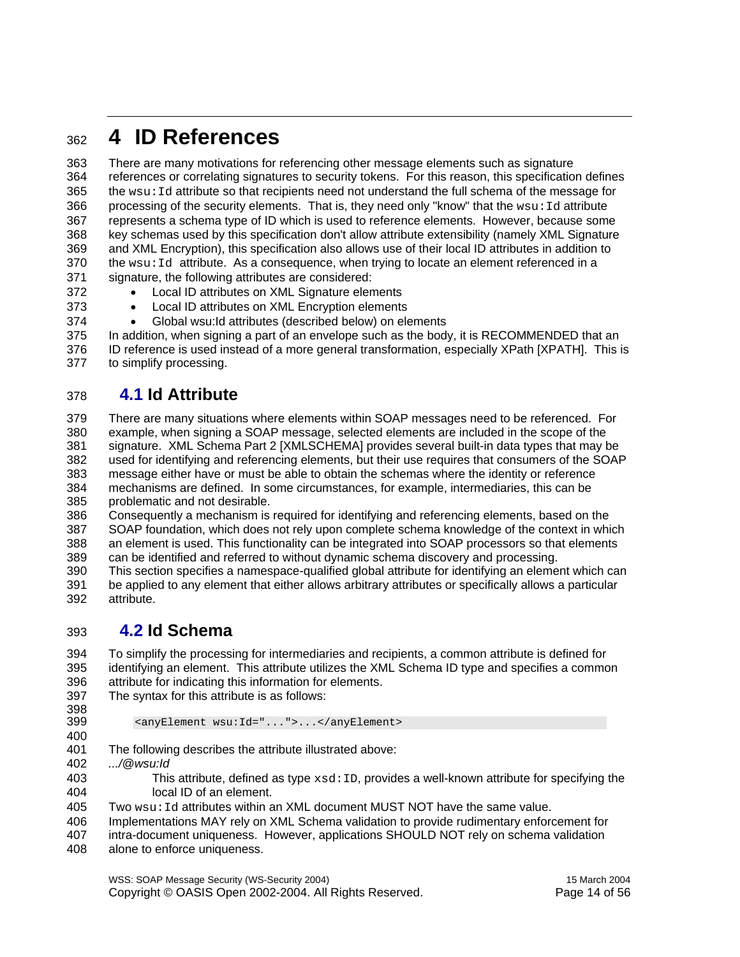### <sup>362</sup>**4 ID References**

363 There are many motivations for referencing other message elements such as signature 364 references or correlating signatures to security tokens. For this reason, this specification defines  $365$  the wsu: Id attribute so that recipients need not understand the full schema of the message for 366 processing of the security elements. That is, they need only "know" that the wsu: Id attribute 367 represents a schema type of ID which is used to reference elements. However, because some 368 key schemas used by this specification don't allow attribute extensibility (namely XML Signature 369 and XML Encryption), this specification also allows use of their local ID attributes in addition to  $370$  the wsu: Id attribute. As a consequence, when trying to locate an element referenced in a 371 signature, the following attributes are considered:

- 372 Local ID attributes on XML Signature elements
- 373 Local ID attributes on XML Encryption elements
- 374 Global wsu:Id attributes (described below) on elements

375 In addition, when signing a part of an envelope such as the body, it is RECOMMENDED that an 376 ID reference is used instead of a more general transformation, especially XPath [XPATH]. This is 377 to simplify processing.

#### 378 **4.1 Id Attribute**

379 There are many situations where elements within SOAP messages need to be referenced. For 380 example, when signing a SOAP message, selected elements are included in the scope of the 381 signature. XML Schema Part 2 [XMLSCHEMA] provides several built-in data types that may be 382 used for identifying and referencing elements, but their use requires that consumers of the SOAP 383 message either have or must be able to obtain the schemas where the identity or reference 384 mechanisms are defined. In some circumstances, for example, intermediaries, this can be 385 problematic and not desirable.

386 Consequently a mechanism is required for identifying and referencing elements, based on the 387 SOAP foundation, which does not rely upon complete schema knowledge of the context in which 388 an element is used. This functionality can be integrated into SOAP processors so that elements

389 can be identified and referred to without dynamic schema discovery and processing.

390 This section specifies a namespace-qualified global attribute for identifying an element which can 391 be applied to any element that either allows arbitrary attributes or specifically allows a particular 392 attribute.

#### 393 **4.2 Id Schema**

394 To simplify the processing for intermediaries and recipients, a common attribute is defined for 395 identifying an element. This attribute utilizes the XML Schema ID type and specifies a common 396 attribute for indicating this information for elements.

- 397 The syntax for this attribute is as follows:
- 398<br>399

399 <anyElement wsu:Id="...">...</anyElement>

400

401 The following describes the attribute illustrated above:

- 402 *.../@wsu:Id*
- 403 This attribute, defined as type xsd:ID, provides a well-known attribute for specifying the 404 local ID of an element.
- $405$  Two  $wsu:Id$  attributes within an XML document MUST NOT have the same value.
- 406 Implementations MAY rely on XML Schema validation to provide rudimentary enforcement for
- 407 intra-document uniqueness. However, applications SHOULD NOT rely on schema validation
- 408 alone to enforce uniqueness.

WSS: SOAP Message Security (WS-Security 2004) 15 March 2004 Copyright © OASIS Open 2002-2004. All Rights Reserved. Page 14 of 56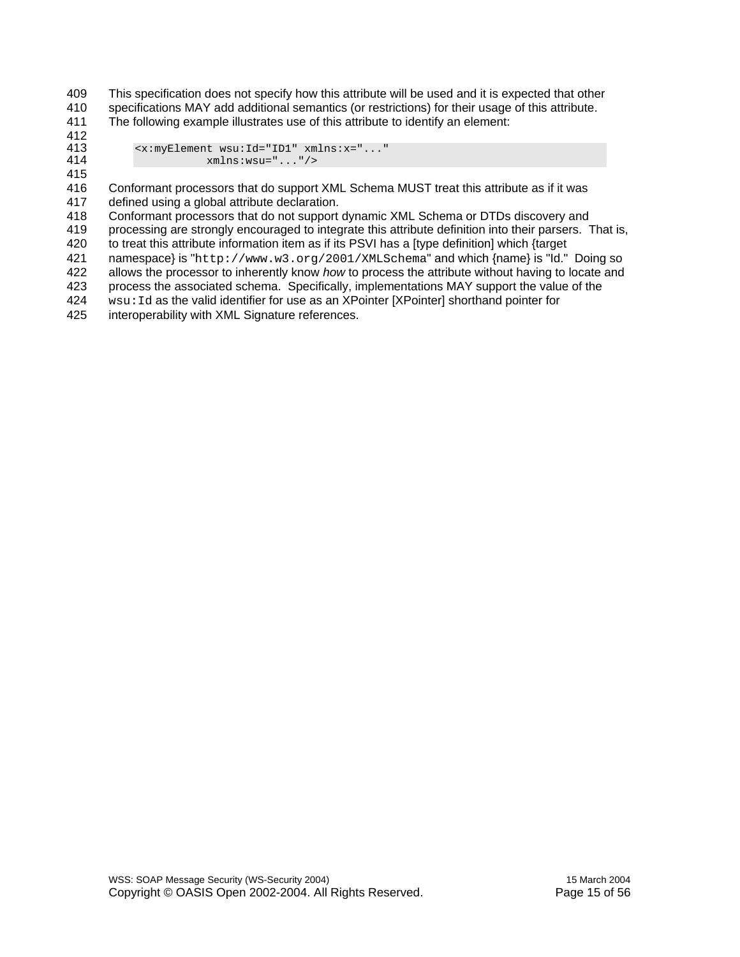409 This specification does not specify how this attribute will be used and it is expected that other 410 specifications MAY add additional semantics (or restrictions) for their usage of this attribute.

411 The following example illustrates use of this attribute to identify an element:

412<br>413

413  $\langle x : myElement$   $wsu:Id = "ID1"$   $xmlns:x = "..."$ <br>414  $xmlns:wsu = "..."$ 414 xmlns:wsu="..."/>

415

416 Conformant processors that do support XML Schema MUST treat this attribute as if it was 417 defined using a global attribute declaration.

418 Conformant processors that do not support dynamic XML Schema or DTDs discovery and

419 processing are strongly encouraged to integrate this attribute definition into their parsers. That is,

420 to treat this attribute information item as if its PSVI has a [type definition] which {target

421 namespace} is "http://www.w3.org/2001/XMLSchema" and which {name} is "Id." Doing so<br>422 allows the processor to inherently know *how* to process the attribute without having to locate and allows the processor to inherently know *how* to process the attribute without having to locate and

423 process the associated schema. Specifically, implementations MAY support the value of the

424 wsu:Id as the valid identifier for use as an XPointer [XPointer] shorthand pointer for

425 interoperability with XML Signature references.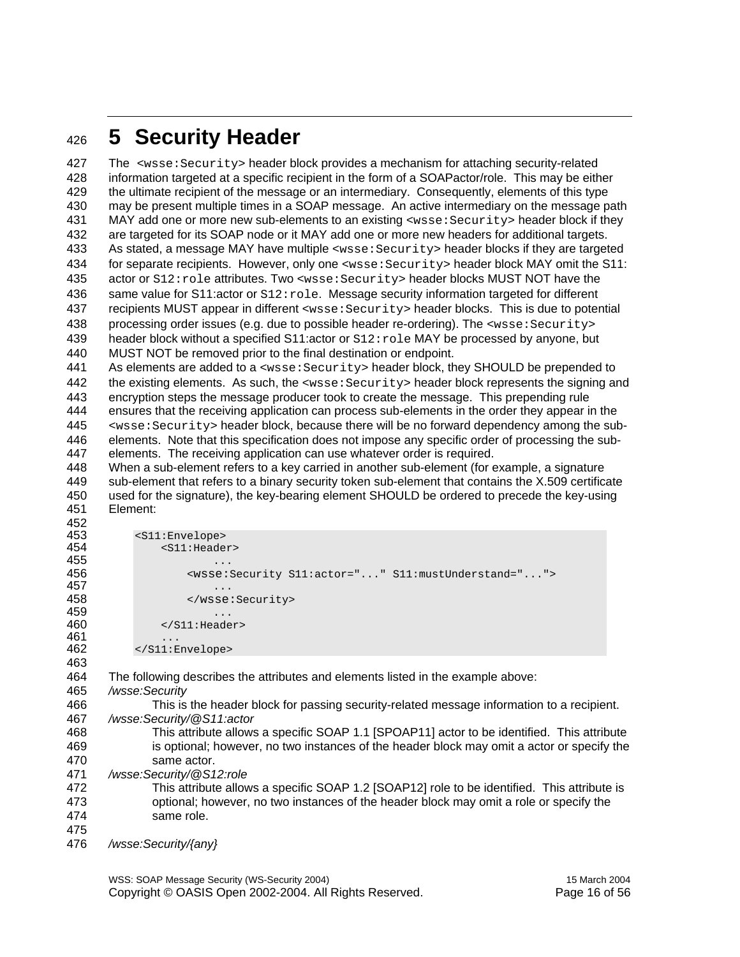### <sup>426</sup>**5 Security Header**

427 The <wsse:Security> header block provides a mechanism for attaching security-related 428 information targeted at a specific recipient in the form of a SOAPactor/role. This may be either 429 the ultimate recipient of the message or an intermediary. Consequently, elements of this type 430 may be present multiple times in a SOAP message. An active intermediary on the message path 431 MAY add one or more new sub-elements to an existing <wsse: Security> header block if they 432 are targeted for its SOAP node or it MAY add one or more new headers for additional targets. 433 As stated, a message MAY have multiple <wsse:Security> header blocks if they are targeted 434 for separate recipients. However, only one <wsse:Security> header block MAY omit the S11: 435 actor or S12:role attributes. Two <wsse:Security> header blocks MUST NOT have the 436 same value for S11:actor or S12: role. Message security information targeted for different 437 recipients MUST appear in different <wsse:Security> header blocks. This is due to potential 438 processing order issues (e.g. due to possible header re-ordering). The <wsse: Security> 439 header block without a specified S11:actor or  $S12:_{\text{role}}$  MAY be processed by anyone, but 440 MUST NOT be removed prior to the final destination or endpoint. MUST NOT be removed prior to the final destination or endpoint. 441 As elements are added to a <wsse:Security> header block, they SHOULD be prepended to 442 the existing elements. As such, the <wsse:Security> header block represents the signing and 443 encryption steps the message producer took to create the message. This prepending rule 444 ensures that the receiving application can process sub-elements in the order they appear in the 445 <wsse:Security> header block, because there will be no forward dependency among the sub-446 elements. Note that this specification does not impose any specific order of processing the sub-447 elements. The receiving application can use whatever order is required. 448 When a sub-element refers to a key carried in another sub-element (for example, a signature 449 sub-element that refers to a binary security token sub-element that contains the X.509 certificate 450 used for the signature), the key-bearing element SHOULD be ordered to precede the key-using 451 Element: 452<br>453 453 <s11:Envelope><br>454 <s11:Heade 454 <S11:Header> 455 456 <wsse:Security S11:actor="..." S11:mustUnderstand="..."> 457 ... 458 </wsse:Security> 459 ... </S11:Header>  $461$  ...<br> $462$  ... 462 </S11:Envelope> 463 464 The following describes the attributes and elements listed in the example above: 465 */wsse:Security*  466 This is the header block for passing security-related message information to a recipient.

- 467 */wsse:Security/@S11:actor*
- 468 This attribute allows a specific SOAP 1.1 [SPOAP11] actor to be identified. This attribute 469 is optional; however, no two instances of the header block may omit a actor or specify the 470 same actor.
- 471 */wsse:Security/@S12:role*
- 472 This attribute allows a specific SOAP 1.2 [SOAP12] role to be identified. This attribute is 473 optional; however, no two instances of the header block may omit a role or specify the 474 same role.
- 475
- 476 */wsse:Security/{any}*

WSS: SOAP Message Security (WS-Security 2004) 15 March 2004 Copyright © OASIS Open 2002-2004. All Rights Reserved. Page 16 of 56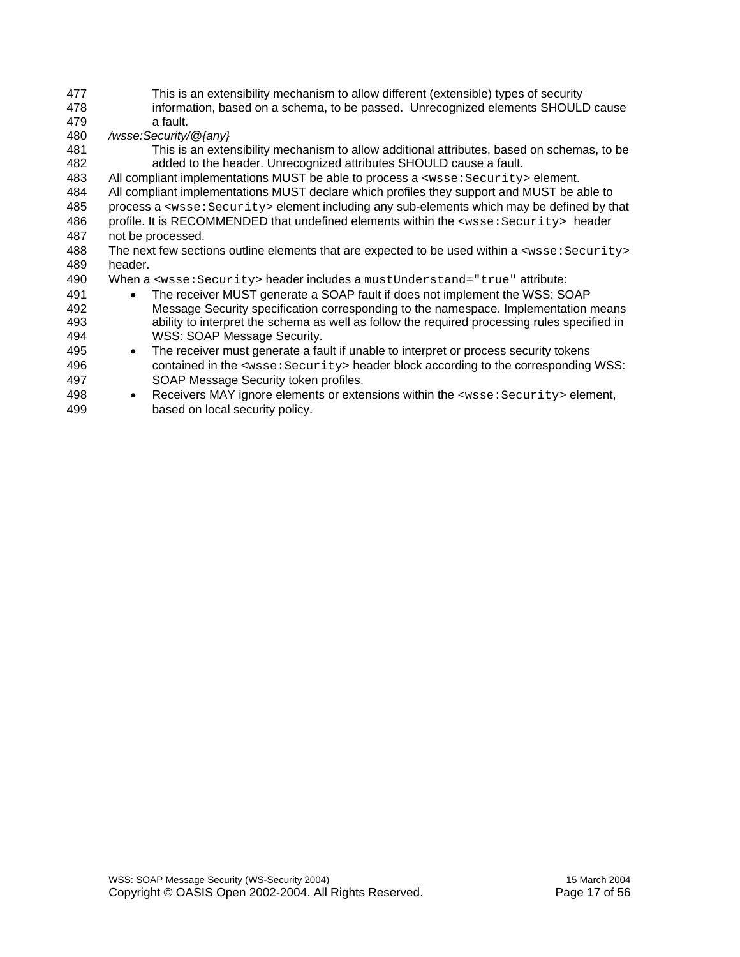- 477 This is an extensibility mechanism to allow different (extensible) types of security 478 information, based on a schema, to be passed. Unrecognized elements SHOULD cause
- 479 a fault. 480 */wsse:Security/@{any}*
- 481 This is an extensibility mechanism to allow additional attributes, based on schemas, to be 482 added to the header. Unrecognized attributes SHOULD cause a fault.
- 483 All compliant implementations MUST be able to process a <wsse:Security> element.
- 484 All compliant implementations MUST declare which profiles they support and MUST be able to
- 485 process a <wsse:Security> element including any sub-elements which may be defined by that
- 486 profile. It is RECOMMENDED that undefined elements within the <wsse: Security> header 487 not be processed.
- 488 The next few sections outline elements that are expected to be used within a <wsse: Security> 489 header.
- 490 When a <wsse: Security> header includes a mustUnderstand="true" attribute:
- 491 The receiver MUST generate a SOAP fault if does not implement the WSS: SOAP 492 Message Security specification corresponding to the namespace. Implementation means 493 ability to interpret the schema as well as follow the required processing rules specified in 494 WSS: SOAP Message Security.
- 495 The receiver must generate a fault if unable to interpret or process security tokens 496 contained in the <wsse: Security> header block according to the corresponding WSS: 497 SOAP Message Security token profiles.
- 498 Receivers MAY ignore elements or extensions within the <wsse: Security> element, 499 based on local security policy.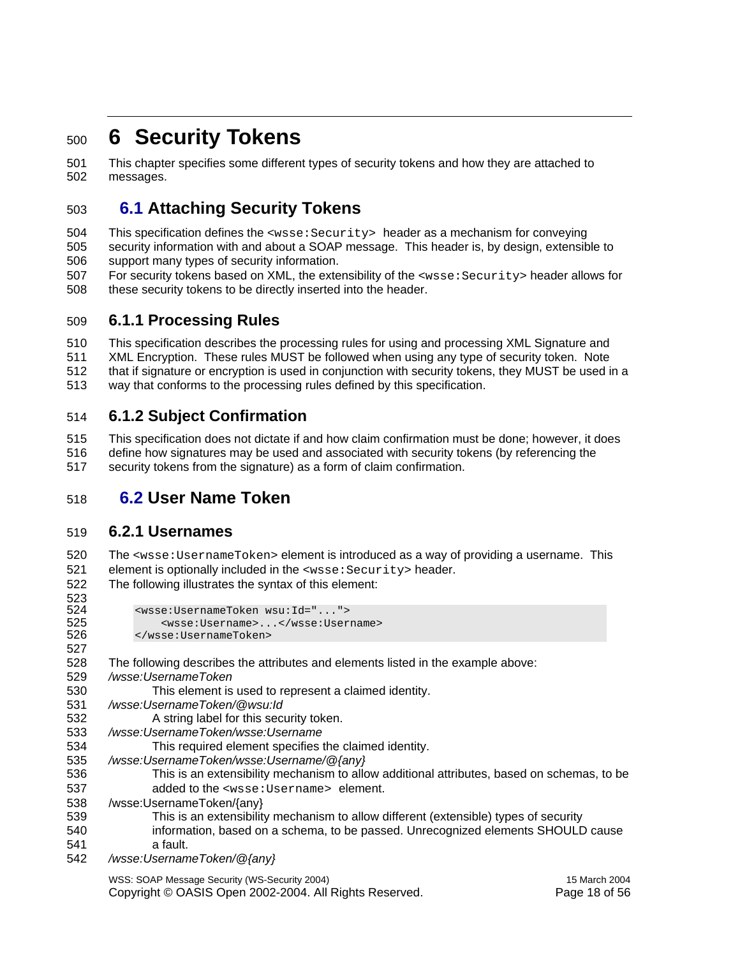### <sup>500</sup>**6 Security Tokens**

501 This chapter specifies some different types of security tokens and how they are attached to 502 messages.

#### 503 **6.1 Attaching Security Tokens**

504 This specification defines the <wsse:Security> header as a mechanism for conveying

505 security information with and about a SOAP message. This header is, by design, extensible to 506 support many types of security information.

507 For security tokens based on XML, the extensibility of the <wsse:Security> header allows for 508 these security tokens to be directly inserted into the header.

#### 509 **6.1.1 Processing Rules**

510 This specification describes the processing rules for using and processing XML Signature and 511 XML Encryption. These rules MUST be followed when using any type of security token. Note 512 that if signature or encryption is used in conjunction with security tokens, they MUST be used in a 513 way that conforms to the processing rules defined by this specification.

#### 514 **6.1.2 Subject Confirmation**

515 This specification does not dictate if and how claim confirmation must be done; however, it does 516 define how signatures may be used and associated with security tokens (by referencing the 517 security tokens from the signature) as a form of claim confirmation.

#### 518 **6.2 User Name Token**

#### 519 **6.2.1 Usernames**

523<br>524

527

520 The <wsse:UsernameToken> element is introduced as a way of providing a username. This 521 element is optionally included in the <wsse: Security> header.

522 The following illustrates the syntax of this element:

```
524 <wsse:UsernameToken wsu:Id="..."> 
525 <wsse:Username>...</wsse:Username> 
         526 </wsse:UsernameToken>
```
- 528 The following describes the attributes and elements listed in the example above:
- 529 */wsse:UsernameToken*
- 530 This element is used to represent a claimed identity.
- 531 */wsse:UsernameToken/@wsu:Id*
- 532 A string label for this security token.
- 533 */wsse:UsernameToken/wsse:Username*
- 534 This required element specifies the claimed identity.
- 535 */wsse:UsernameToken/wsse:Username/@{any}*
- 536 This is an extensibility mechanism to allow additional attributes, based on schemas, to be 537 added to the <wsse:Username> element.
- 538 /wsse:UsernameToken/{any}
- 539 This is an extensibility mechanism to allow different (extensible) types of security 540 information, based on a schema, to be passed. Unrecognized elements SHOULD cause
- 541 a fault.
- 542 */wsse:UsernameToken/@{any}*

WSS: SOAP Message Security (WS-Security 2004) 15 March 2004

Copyright © OASIS Open 2002-2004. All Rights Reserved. Page 18 of 56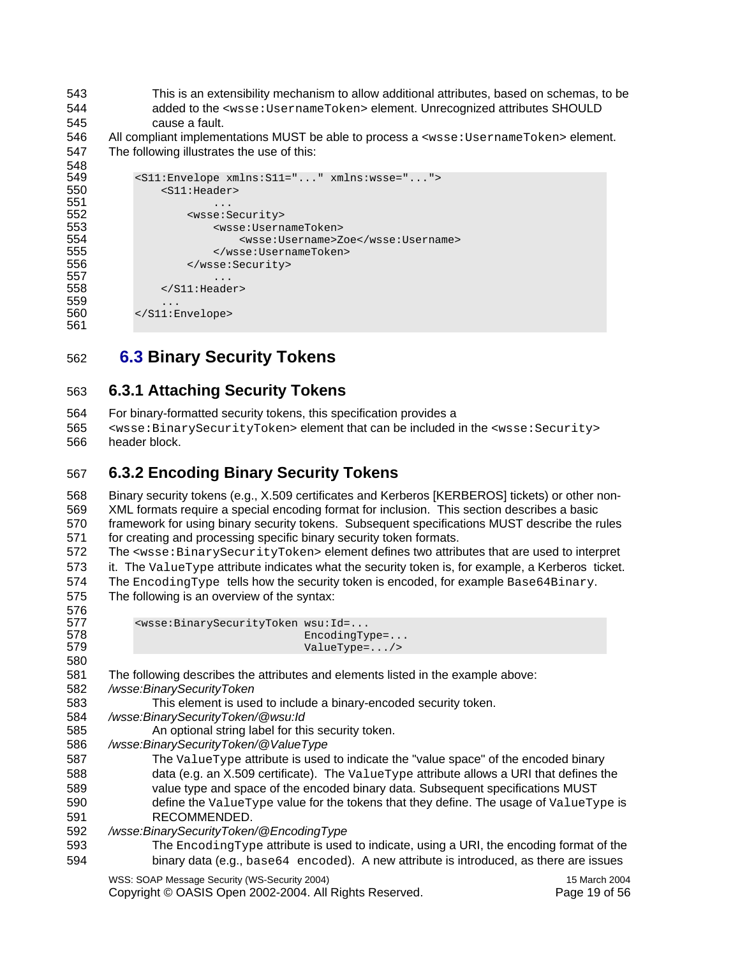- 543 This is an extensibility mechanism to allow additional attributes, based on schemas, to be 544 added to the <wsse:UsernameToken> element. Unrecognized attributes SHOULD 545 cause a fault.
- 546 All compliant implementations MUST be able to process a <wsse: UsernameToken> element. 547 The following illustrates the use of this:

```
548<br>549
549 <s11:Envelope xmlns:S11="..." xmlns:wsse="..."><br>550 <s11:Header>
              550 <S11:Header> 
551<br>552
552 <wsse:Security><br>553 <wsse:Userna
553 <wsse:UsernameToken> 
554 <wsse:Username>Zoe</wsse:Username> 
555 </wsse:UsernameToken><br>556 </wsse:Security>
                   556 </wsse:Security> 
557 ... 
               558 </S11:Header> 
559<br>560
           560 </S11:Envelope> 
561
```
562 **6.3 Binary Security Tokens** 

#### 563 **6.3.1 Attaching Security Tokens**

- 564 For binary-formatted security tokens, this specification provides a
- 565 <wsse:BinarySecurityToken> element that can be included in the <wsse:Security> 566 header block.

#### 567 **6.3.2 Encoding Binary Security Tokens**

568 Binary security tokens (e.g., X.509 certificates and Kerberos [KERBEROS] tickets) or other non-569 XML formats require a special encoding format for inclusion. This section describes a basic 570 framework for using binary security tokens. Subsequent specifications MUST describe the rules 571 for creating and processing specific binary security token formats.

572 The <wsse:BinarySecurityToken> element defines two attributes that are used to interpret 573 it. The ValueType attribute indicates what the security token is, for example, a Kerberos ticket. 574 The EncodingType tells how the security token is encoded, for example Base64Binary.

575 The following is an overview of the syntax: 576<br>577

580

| ິບ ເບ |                                                                                 |                        |
|-------|---------------------------------------------------------------------------------|------------------------|
| 577   | <wsse:binarysecuritytoken wsu:id="&lt;/th"><th></th></wsse:binarysecuritytoken> |                        |
| 578   |                                                                                 | EncodingType=          |
| 579   |                                                                                 | $ValueType = \ldots /$ |

581 The following describes the attributes and elements listed in the example above: 582 */wsse:BinarySecurityToken* 

- 583 This element is used to include a binary-encoded security token.
- 584 */wsse:BinarySecurityToken/@wsu:Id*

585 An optional string label for this security token.

586 */wsse:BinarySecurityToken/@ValueType* 

587 The ValueType attribute is used to indicate the "value space" of the encoded binary 588 data (e.g. an X.509 certificate). The ValueType attribute allows a URI that defines the 589 value type and space of the encoded binary data. Subsequent specifications MUST 590 define the ValueType value for the tokens that they define. The usage of ValueType is 591 RECOMMENDED.

592 */wsse:BinarySecurityToken/@EncodingType* 

593 The EncodingType attribute is used to indicate, using a URI, the encoding format of the 594 binary data (e.g., base64 encoded). A new attribute is introduced, as there are issues

WSS: SOAP Message Security (WS-Security 2004) 15 March 2004 Copyright © OASIS Open 2002-2004. All Rights Reserved. Page 19 of 56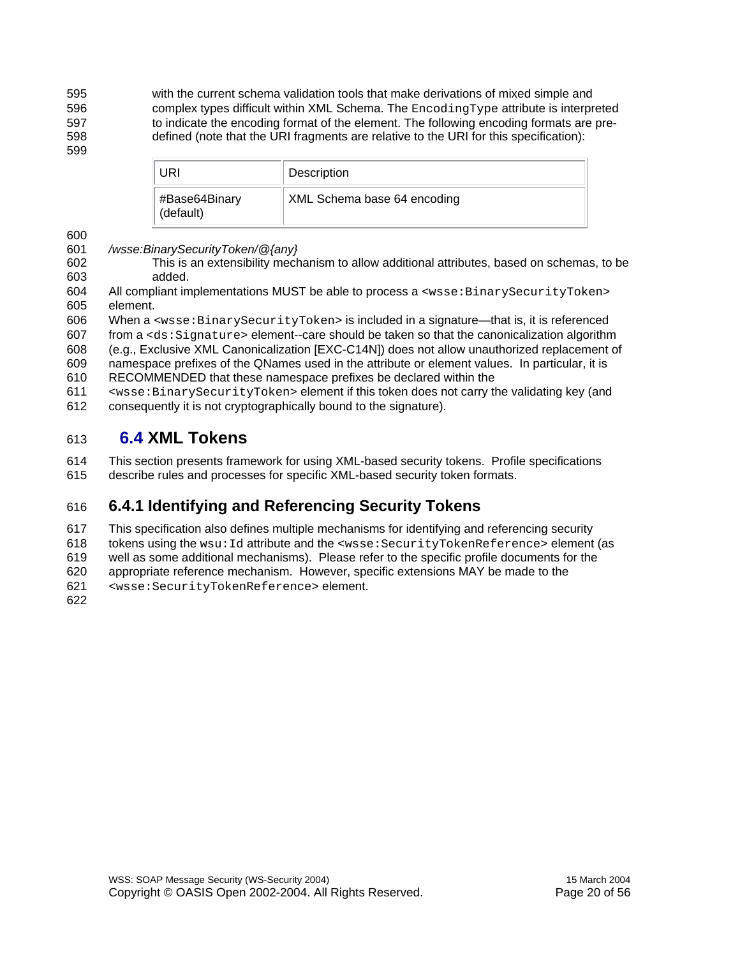595 with the current schema validation tools that make derivations of mixed simple and 596 complex types difficult within XML Schema. The EncodingType attribute is interpreted 597 to indicate the encoding format of the element. The following encoding formats are pre-598 defined (note that the URI fragments are relative to the URI for this specification):

| URI                        | Description                 |
|----------------------------|-----------------------------|
| #Base64Binary<br>(default) | XML Schema base 64 encoding |

600

599

#### 601 */wsse:BinarySecurityToken/@{any}*

- 602 This is an extensibility mechanism to allow additional attributes, based on schemas, to be 603 added.
- 604 All compliant implementations MUST be able to process a <wsse:BinarySecurityToken> 605 element.
- 606 When a <wsse:BinarySecurityToken> is included in a signature—that is, it is referenced
- $607$  from a  $<$ ds: $Sigma$  function of the same interval is  $607$  from a  $<sub>1</sub>$  signature  $>$  element--care should be taken so that the canonicalization algorithm</sub>
- 608 (e.g., Exclusive XML Canonicalization [EXC-C14N]) does not allow unauthorized replacement of 609 namespace prefixes of the QNames used in the attribute or element values. In particular, it is
- 610 RECOMMENDED that these namespace prefixes be declared within the
- 611 <wsse:BinarySecurityToken> element if this token does not carry the validating key (and 612 consequently it is not cryptographically bound to the signature).

#### 613 **6.4 XML Tokens**

614 This section presents framework for using XML-based security tokens. Profile specifications 615 describe rules and processes for specific XML-based security token formats.

#### 616 **6.4.1 Identifying and Referencing Security Tokens**

- 617 This specification also defines multiple mechanisms for identifying and referencing security
- 618 tokens using the wsu:Id attribute and the <wsse:SecurityTokenReference> element (as
- 619 well as some additional mechanisms). Please refer to the specific profile documents for the
- 620 appropriate reference mechanism. However, specific extensions MAY be made to the
- 621 <wsse:SecurityTokenReference> element.
- 622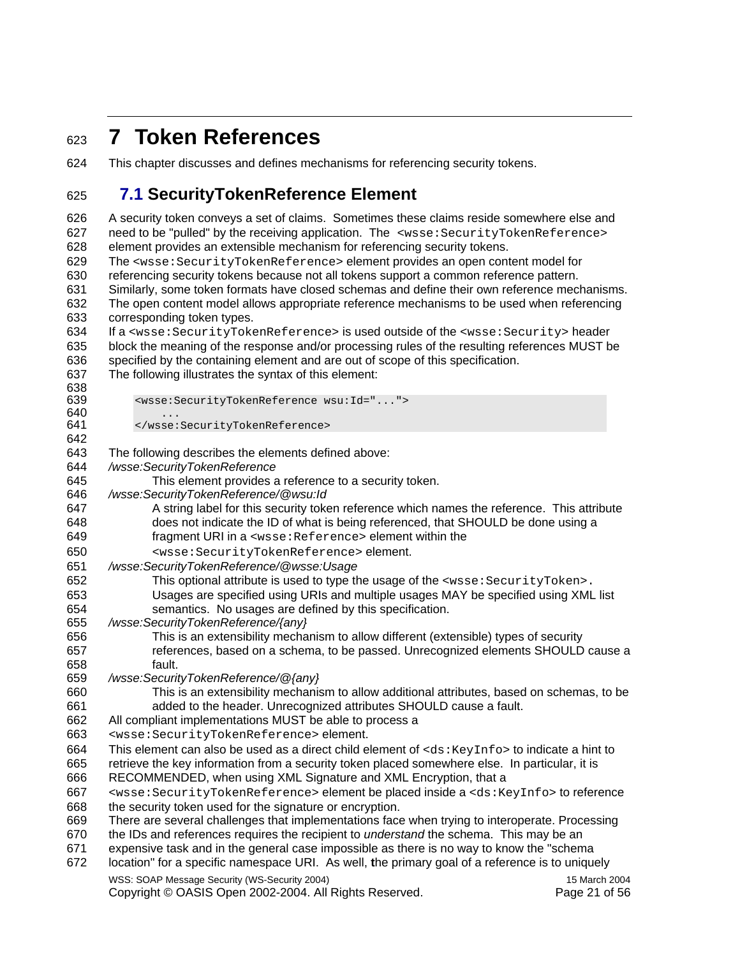### <sup>623</sup>**7 Token References**

624 This chapter discusses and defines mechanisms for referencing security tokens.

#### 625 **7.1 SecurityTokenReference Element**

WSS: SOAP Message Security (WS-Security 2004) 15 March 2004 626 A security token conveys a set of claims. Sometimes these claims reside somewhere else and 627 need to be "pulled" by the receiving application. The <wsse: SecurityTokenReference> 628 element provides an extensible mechanism for referencing security tokens. 629 The <wsse:SecurityTokenReference> element provides an open content model for 630 referencing security tokens because not all tokens support a common reference pattern. 631 Similarly, some token formats have closed schemas and define their own reference mechanisms. 632 The open content model allows appropriate reference mechanisms to be used when referencing 633 corresponding token types. 634 If a <wsse:SecurityTokenReference> is used outside of the <wsse:Security> header 635 block the meaning of the response and/or processing rules of the resulting references MUST be 636 specified by the containing element and are out of scope of this specification. 637 The following illustrates the syntax of this element: 638<br>639 639 <wsse:SecurityTokenReference wsu:Id="...">  $640$  ...<br> $641$  ... 641 </wsse:SecurityTokenReference> 642 643 The following describes the elements defined above: 644 */wsse:SecurityTokenReference*  645 This element provides a reference to a security token. 646 */wsse:SecurityTokenReference/@wsu:Id*  647 A string label for this security token reference which names the reference. This attribute 648 does not indicate the ID of what is being referenced, that SHOULD be done using a 649 fragment URI in a <wsse:Reference> element within the 650 <wsse:SecurityTokenReference> element. 651 */wsse:SecurityTokenReference/@wsse:Usage*  652 This optional attribute is used to type the usage of the <wsse:SecurityToken>. 653 Usages are specified using URIs and multiple usages MAY be specified using XML list 654 semantics. No usages are defined by this specification. 655 */wsse:SecurityTokenReference/{any}*  656 This is an extensibility mechanism to allow different (extensible) types of security 657 references, based on a schema, to be passed. Unrecognized elements SHOULD cause a 658 fault. 659 */wsse:SecurityTokenReference/@{any}*  660 This is an extensibility mechanism to allow additional attributes, based on schemas, to be 661 added to the header. Unrecognized attributes SHOULD cause a fault. 662 All compliant implementations MUST be able to process a 663 <wsse:SecurityTokenReference> element. 664 This element can also be used as a direct child element of  $\langle ds : KeyInfos \rangle$  to indicate a hint to 665 retrieve the key information from a security token placed somewhere else. In particular, it is retrieve the key information from a security token placed somewhere else. In particular, it is 666 RECOMMENDED, when using XML Signature and XML Encryption, that a 667 <wsse:SecurityTokenReference> element be placed inside a <ds:KeyInfo> to reference 668 the security token used for the signature or encryption. 669 There are several challenges that implementations face when trying to interoperate. Processing 670 the IDs and references requires the recipient to *understand* the schema. This may be an 671 expensive task and in the general case impossible as there is no way to know the "schema 672 location" for a specific namespace URI. As well, **t**he primary goal of a reference is to uniquely

Copyright © OASIS Open 2002-2004. All Rights Reserved. Page 21 of 56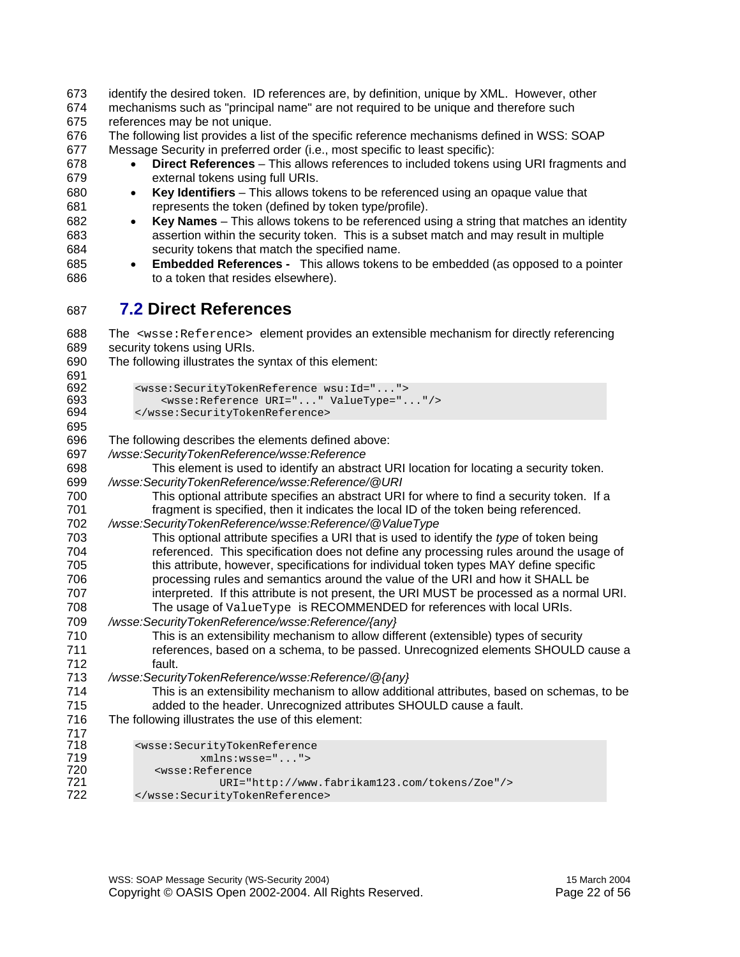673 identify the desired token. ID references are, by definition, unique by XML. However, other 674 mechanisms such as "principal name" are not required to be unique and therefore such 675 references may be not unique. 676 The following list provides a list of the specific reference mechanisms defined in WSS: SOAP 677 Message Security in preferred order (i.e., most specific to least specific): 678 • **Direct References** – This allows references to included tokens using URI fragments and 679 external tokens using full URIs. 680 • **Key Identifiers** – This allows tokens to be referenced using an opaque value that 681 represents the token (defined by token type/profile). 682 • **Key Names** – This allows tokens to be referenced using a string that matches an identity 683 assertion within the security token. This is a subset match and may result in multiple 684 security tokens that match the specified name. 685 • **Embedded References -** This allows tokens to be embedded (as opposed to a pointer 686 to a token that resides elsewhere). 687 **7.2 Direct References**  688 The <wsse:Reference> element provides an extensible mechanism for directly referencing 689 security tokens using URIs. 690 The following illustrates the syntax of this element: 691<br>692 692 <wsse:SecurityTokenReference wsu:Id="..."> 693 <wsse:Reference URI="..." ValueType="..."/><br>694 </wsse:SecurityTokenReference> 694 </wsse:SecurityTokenReference> 695 696 The following describes the elements defined above: 697 */wsse:SecurityTokenReference/wsse:Reference*  698 This element is used to identify an abstract URI location for locating a security token. 699 */wsse:SecurityTokenReference/wsse:Reference/@URI*  700 This optional attribute specifies an abstract URI for where to find a security token. If a 701 fragment is specified, then it indicates the local ID of the token being referenced. 702 */wsse:SecurityTokenReference/wsse:Reference/@ValueType*  This optional attribute specifies a URI that is used to identify the *type* of token being 704 referenced. This specification does not define any processing rules around the usage of 705 this attribute, however, specifications for individual token types MAY define specific 706 processing rules and semantics around the value of the URI and how it SHALL be 707 interpreted. If this attribute is not present, the URI MUST be processed as a normal URI. 708 The usage of ValueType is RECOMMENDED for references with local URIs. 709 */wsse:SecurityTokenReference/wsse:Reference/{any}*  710 This is an extensibility mechanism to allow different (extensible) types of security 711 references, based on a schema, to be passed. Unrecognized elements SHOULD cause a 712 fault. 713 */wsse:SecurityTokenReference/wsse:Reference/@{any}*  714 This is an extensibility mechanism to allow additional attributes, based on schemas, to be 715 added to the header. Unrecognized attributes SHOULD cause a fault. 716 The following illustrates the use of this element: 717 718 <wsse:SecurityTokenReference<br>719 mmlns:wsse="..."> 719 xmlns:wsse="..."> 720 <wsse:Reference 721 URI="http://www.fabrikam123.com/tokens/Zoe"/> 722 </wsse:SecurityTokenReference>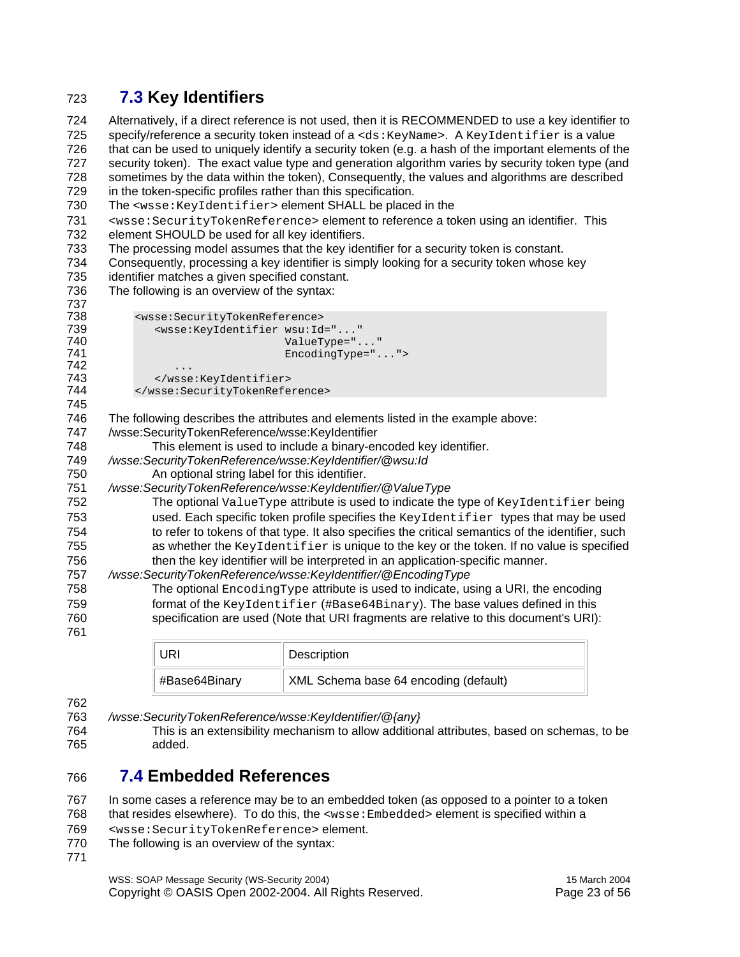#### 723 **7.3 Key Identifiers**

724 Alternatively, if a direct reference is not used, then it is RECOMMENDED to use a key identifier to 725 specify/reference a security token instead of a <ds: KeyName>. A KeyIdentifier is a value 726 that can be used to uniquely identify a security token (e.g. a hash of the important elements of the 727 security token). The exact value type and generation algorithm varies by security token type (and 728 sometimes by the data within the token), Consequently, the values and algorithms are described 729 in the token-specific profiles rather than this specification.

730 The <wsse: KeyIdentifier> element SHALL be placed in the

731 <wsse:SecurityTokenReference> element to reference a token using an identifier. This 732 element SHOULD be used for all key identifiers. element SHOULD be used for all key identifiers.

- 733 The processing model assumes that the key identifier for a security token is constant.
- 734 Consequently, processing a key identifier is simply looking for a security token whose key
- 735 identifier matches a given specified constant.
- 736 The following is an overview of the syntax:

| 737                                                  |                                                                                                                                                                                                                                                                                                                                                                                                                                                                                                                                                                                                                   |
|------------------------------------------------------|-------------------------------------------------------------------------------------------------------------------------------------------------------------------------------------------------------------------------------------------------------------------------------------------------------------------------------------------------------------------------------------------------------------------------------------------------------------------------------------------------------------------------------------------------------------------------------------------------------------------|
| 738                                                  | <wsse:securitytokenreference></wsse:securitytokenreference>                                                                                                                                                                                                                                                                                                                                                                                                                                                                                                                                                       |
| 739                                                  | <wsse:keyidentifier <="" th="" wsu:id=""></wsse:keyidentifier>                                                                                                                                                                                                                                                                                                                                                                                                                                                                                                                                                    |
| 740                                                  | ValueType=""                                                                                                                                                                                                                                                                                                                                                                                                                                                                                                                                                                                                      |
| 741                                                  | $Encoderype='$ ">                                                                                                                                                                                                                                                                                                                                                                                                                                                                                                                                                                                                 |
| 742                                                  | .                                                                                                                                                                                                                                                                                                                                                                                                                                                                                                                                                                                                                 |
| 743                                                  |                                                                                                                                                                                                                                                                                                                                                                                                                                                                                                                                                                                                                   |
| 744                                                  |                                                                                                                                                                                                                                                                                                                                                                                                                                                                                                                                                                                                                   |
| 745                                                  |                                                                                                                                                                                                                                                                                                                                                                                                                                                                                                                                                                                                                   |
| 746                                                  | The following describes the attributes and elements listed in the example above:                                                                                                                                                                                                                                                                                                                                                                                                                                                                                                                                  |
| 747                                                  | /wsse:SecurityTokenReference/wsse:KeyIdentifier                                                                                                                                                                                                                                                                                                                                                                                                                                                                                                                                                                   |
| 748                                                  | This element is used to include a binary-encoded key identifier.                                                                                                                                                                                                                                                                                                                                                                                                                                                                                                                                                  |
| 749                                                  | /wsse:SecurityTokenReference/wsse:KeyIdentifier/@wsu:Id                                                                                                                                                                                                                                                                                                                                                                                                                                                                                                                                                           |
| 750                                                  | An optional string label for this identifier.                                                                                                                                                                                                                                                                                                                                                                                                                                                                                                                                                                     |
| 751                                                  | /wsse:SecurityTokenReference/wsse:KeyIdentifier/@ValueType                                                                                                                                                                                                                                                                                                                                                                                                                                                                                                                                                        |
| 752                                                  | The optional ValueType attribute is used to indicate the type of KeyIdentifier being                                                                                                                                                                                                                                                                                                                                                                                                                                                                                                                              |
|                                                      |                                                                                                                                                                                                                                                                                                                                                                                                                                                                                                                                                                                                                   |
|                                                      |                                                                                                                                                                                                                                                                                                                                                                                                                                                                                                                                                                                                                   |
|                                                      |                                                                                                                                                                                                                                                                                                                                                                                                                                                                                                                                                                                                                   |
|                                                      |                                                                                                                                                                                                                                                                                                                                                                                                                                                                                                                                                                                                                   |
|                                                      |                                                                                                                                                                                                                                                                                                                                                                                                                                                                                                                                                                                                                   |
|                                                      |                                                                                                                                                                                                                                                                                                                                                                                                                                                                                                                                                                                                                   |
| 758                                                  | The optional $\text{Encoder}_{\text{ST}}$ attribute is used to indicate, using a URI, the encoding                                                                                                                                                                                                                                                                                                                                                                                                                                                                                                                |
|                                                      |                                                                                                                                                                                                                                                                                                                                                                                                                                                                                                                                                                                                                   |
|                                                      |                                                                                                                                                                                                                                                                                                                                                                                                                                                                                                                                                                                                                   |
|                                                      |                                                                                                                                                                                                                                                                                                                                                                                                                                                                                                                                                                                                                   |
| 753<br>754<br>755<br>756<br>757<br>759<br>760<br>761 | used. Each specific token profile specifies the KeyIdentifier types that may be used<br>to refer to tokens of that type. It also specifies the critical semantics of the identifier, such<br>as whether the KeyIdentifier is unique to the key or the token. If no value is specified<br>then the key identifier will be interpreted in an application-specific manner.<br>/wsse:SecurityTokenReference/wsse:KeyIdentifier/@EncodingType<br>format of the KeyIdentifier (#Base64Binary). The base values defined in this<br>specification are used (Note that URI fragments are relative to this document's URI): |

| JRI           | Description                           |
|---------------|---------------------------------------|
| #Base64Binary | XML Schema base 64 encoding (default) |

- 762
- 763 */wsse:SecurityTokenReference/wsse:KeyIdentifier/@{any}*
- 764 This is an extensibility mechanism to allow additional attributes, based on schemas, to be 765 added.

#### 766 **7.4 Embedded References**

767 In some cases a reference may be to an embedded token (as opposed to a pointer to a token

768 that resides elsewhere). To do this, the <wsse:Embedded> element is specified within a

- 769 <wsse:SecurityTokenReference> element.
- 770 The following is an overview of the syntax:
- 771

WSS: SOAP Message Security (WS-Security 2004) 15 March 2004 Copyright © OASIS Open 2002-2004. All Rights Reserved. Page 23 of 56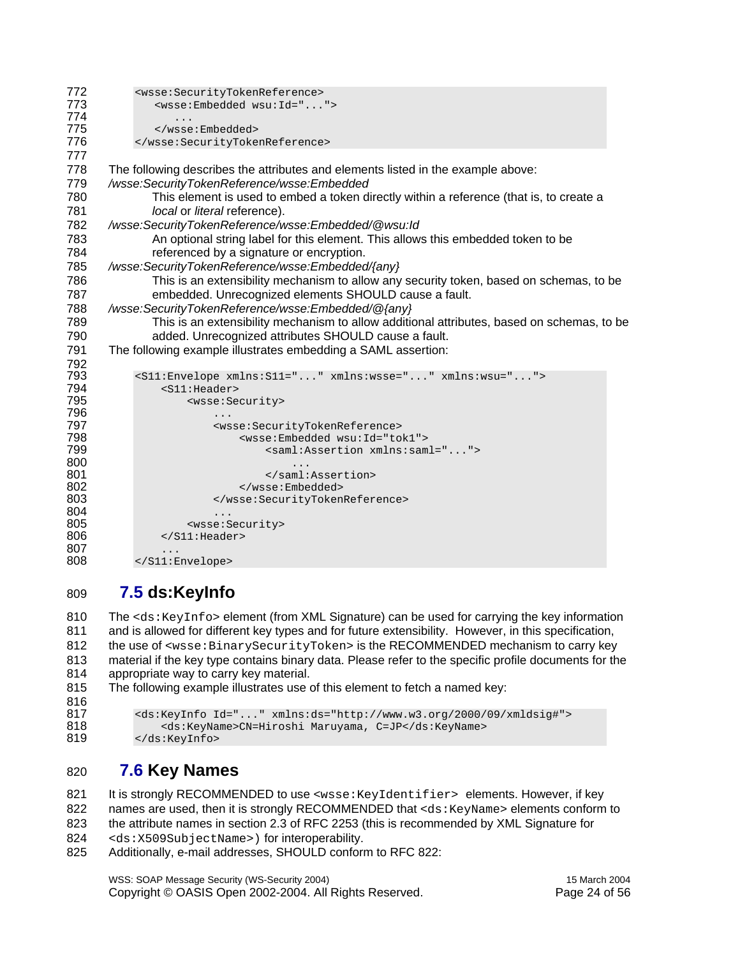```
772 <wsse:SecurityTokenReference><br>773 <wsse:Embedded wsu:Id="...
            773 <wsse:Embedded wsu:Id="..."> 
774 ...<br>775 </wsse
775 </wsse:Embedded> 
          776 </wsse:SecurityTokenReference> 
777 
778 The following describes the attributes and elements listed in the example above: 
779 /wsse:SecurityTokenReference/wsse:Embedded
780 This element is used to embed a token directly within a reference (that is, to create a 
781 local or literal reference). 
782 /wsse:SecurityTokenReference/wsse:Embedded/@wsu:Id 
783 An optional string label for this element. This allows this embedded token to be 
784 referenced by a signature or encryption. 
785 /wsse:SecurityTokenReference/wsse:Embedded/{any} 
786 This is an extensibility mechanism to allow any security token, based on schemas, to be 
787 embedded. Unrecognized elements SHOULD cause a fault. 
788 /wsse:SecurityTokenReference/wsse:Embedded/@{any} 
789 This is an extensibility mechanism to allow additional attributes, based on schemas, to be 
790 added. Unrecognized attributes SHOULD cause a fault. 
791 The following example illustrates embedding a SAML assertion: 
792 
793 <S11:Envelope xmlns:S11="..." xmlns:wsse="..." xmlns:wsu="..."> 
794 <S11:Header> 
                  795 <wsse:Security> 
796 ... 
797 <wsse:SecurityTokenReference> 
798 <wsse:Embedded wsu:Id="tok1"> 
799 <saml:Assertion xmlns:saml="..."> 
800 ... 
801 </saml:Assertion><br>802 </saml:Assertion>
802 </wsse:Embedded> 
                     803 </wsse:SecurityTokenReference> 
804 ... 
805 <wsse:Security><br>806 </s11:Header>
              806 </S11:Header> 
807<br>808
          808 </S11:Envelope>
```
#### 809 **7.5 ds:KeyInfo**

810 The <ds: KeyInfo> element (from XML Signature) can be used for carrying the key information 811 and is allowed for different key types and for future extensibility. However, in this specification, 812 the use of <wsse:BinarySecurityToken> is the RECOMMENDED mechanism to carry key 813 material if the key type contains binary data. Please refer to the specific profile documents for the 814 appropriate way to carry key material.

815 The following example illustrates use of this element to fetch a named key:

```
816 
817 <ds:KeyInfo Id="..." xmlns:ds="http://www.w3.org/2000/09/xmldsig#"> 
818 <ds:KeyName>CN=Hiroshi Maruyama, C=JP</ds:KeyName> 
         819 </ds:KeyInfo>
```
#### 820 **7.6 Key Names**

821 It is strongly RECOMMENDED to use <wsse:KeyIdentifier> elements. However, if key 822 names are used, then it is strongly RECOMMENDED that <ds: KeyName> elements conform to 823 the attribute names in section 2.3 of RFC 2253 (this is recommended by XML Signature for 824 <ds:X509SubjectName>) for interoperability.

825 Additionally, e-mail addresses, SHOULD conform to RFC 822:

WSS: SOAP Message Security (WS-Security 2004) 15 March 2004 Copyright © OASIS Open 2002-2004. All Rights Reserved. Page 24 of 56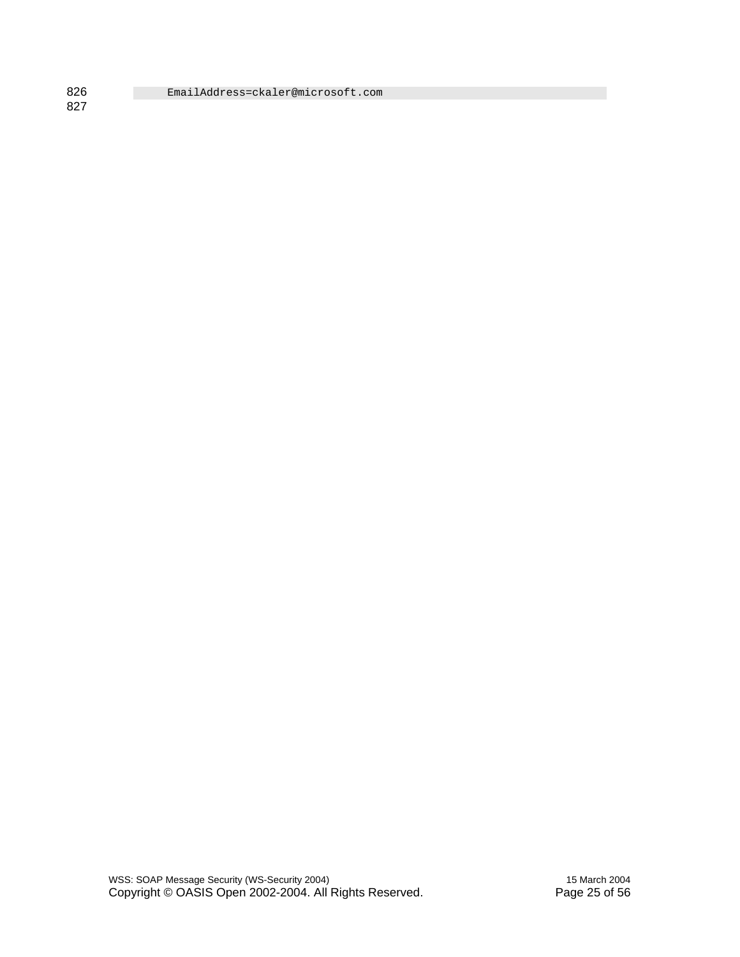826 EmailAddress=ckaler@microsoft.com

827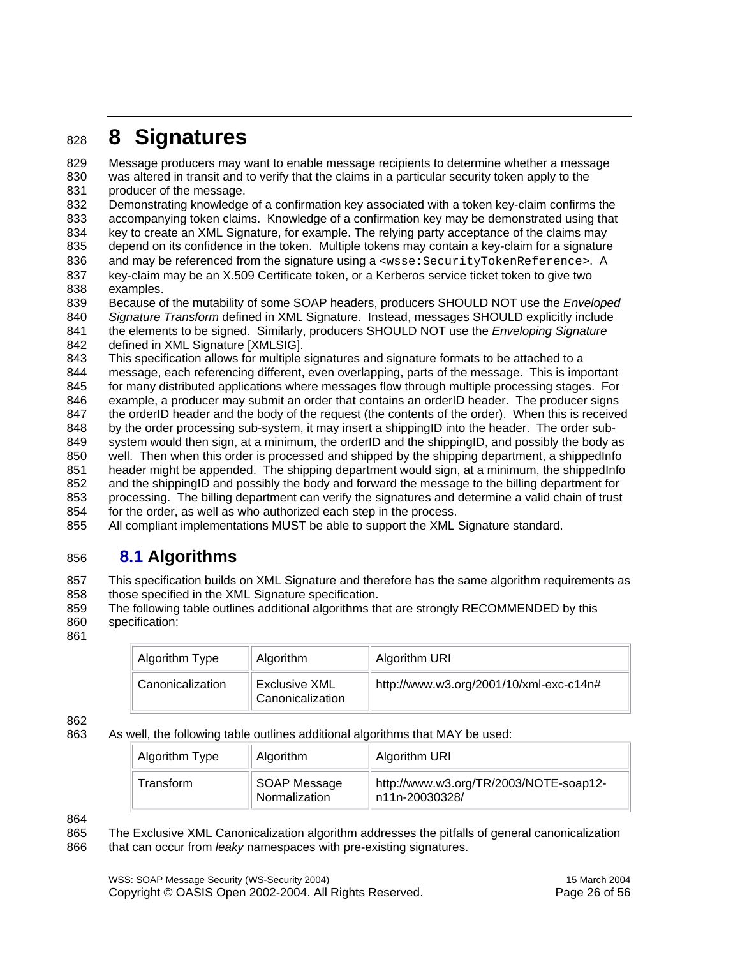### <sup>828</sup>**8 Signatures**

829 Message producers may want to enable message recipients to determine whether a message 830 was altered in transit and to verify that the claims in a particular security token apply to the

831 producer of the message.

832 Demonstrating knowledge of a confirmation key associated with a token key-claim confirms the 833 accompanying token claims. Knowledge of a confirmation key may be demonstrated using that

- 834 key to create an XML Signature, for example. The relying party acceptance of the claims may
- 835 depend on its confidence in the token. Multiple tokens may contain a key-claim for a signature 836 and may be referenced from the signature using a <wsse: SecurityTokenReference>. A
- 837 key-claim may be an X.509 Certificate token, or a Kerberos service ticket token to give two 838 examples.
- 839 Because of the mutability of some SOAP headers, producers SHOULD NOT use the *Enveloped*  840 *Signature Transform* defined in XML Signature. Instead, messages SHOULD explicitly include
- 841 the elements to be signed. Similarly, producers SHOULD NOT use the *Enveloping Signature*
- 842 defined in XML Signature [XMLSIG].
- 843 This specification allows for multiple signatures and signature formats to be attached to a
- 844 message, each referencing different, even overlapping, parts of the message. This is important

845 for many distributed applications where messages flow through multiple processing stages. For

- 846 example, a producer may submit an order that contains an orderID header. The producer signs 847 the orderID header and the body of the request (the contents of the order). When this is received
- 848 by the order processing sub-system, it may insert a shippingID into the header. The order sub-
- 849 system would then sign, at a minimum, the orderID and the shippingID, and possibly the body as
- 850 well. Then when this order is processed and shipped by the shipping department, a shippedInfo
- 851 header might be appended. The shipping department would sign, at a minimum, the shippedInfo
- 852 and the shippingID and possibly the body and forward the message to the billing department for
- 853 processing. The billing department can verify the signatures and determine a valid chain of trust 854 for the order, as well as who authorized each step in the process.
- 855 All compliant implementations MUST be able to support the XML Signature standard.

#### 856 **8.1 Algorithms**

857 This specification builds on XML Signature and therefore has the same algorithm requirements as 858 those specified in the XML Signature specification.

- 859 The following table outlines additional algorithms that are strongly RECOMMENDED by this 860 specification:
- 861

| Algorithm Type   | Algorithm                                | Algorithm URI                           |
|------------------|------------------------------------------|-----------------------------------------|
| Canonicalization | <b>Exclusive XML</b><br>Canonicalization | http://www.w3.org/2001/10/xml-exc-c14n# |

862

#### 863 As well, the following table outlines additional algorithms that MAY be used:

| Algorithm Type | Algorithm                     | Algorithm URI                                             |
|----------------|-------------------------------|-----------------------------------------------------------|
| Transform      | SOAP Message<br>Normalization | http://www.w3.org/TR/2003/NOTE-soap12-<br>∣n11n-20030328/ |

<sup>864</sup> 

865 The Exclusive XML Canonicalization algorithm addresses the pitfalls of general canonicalization 866 that can occur from *leaky* namespaces with pre-existing signatures.

WSS: SOAP Message Security (WS-Security 2004) 15 March 2004 Copyright © OASIS Open 2002-2004. All Rights Reserved. Page 26 of 56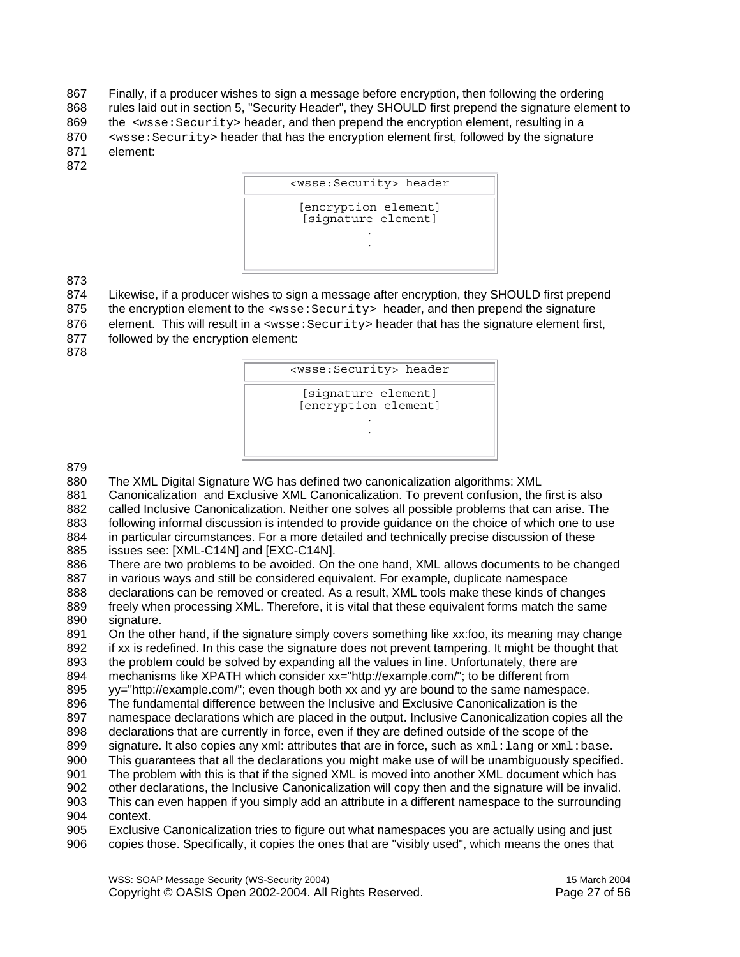867 Finally, if a producer wishes to sign a message before encryption, then following the ordering 868 rules laid out in section 5, "Security Header", they SHOULD first prepend the signature element to 869 the <wsse: Security> header, and then prepend the encryption element, resulting in a 870 <br>system that the signature of the encryption element first, followed by the signature 871 element:

872



873

874 Likewise, if a producer wishes to sign a message after encryption, they SHOULD first prepend

- 875 the encryption element to the <wsse: Security> header, and then prepend the signature
- 876 element. This will result in a <wsse: Security> header that has the signature element first,
- 877 followed by the encryption element: 878
	- <wsse:Security> header [signature element] [encryption element] . .

879

880 The XML Digital Signature WG has defined two canonicalization algorithms: XML

881 Canonicalization and Exclusive XML Canonicalization. To prevent confusion, the first is also 882 called Inclusive Canonicalization. Neither one solves all possible problems that can arise. The 883 following informal discussion is intended to provide guidance on the choice of which one to use 884 in particular circumstances. For a more detailed and technically precise discussion of these

885 issues see: [XML-C14N] and [EXC-C14N].

886 There are two problems to be avoided. On the one hand, XML allows documents to be changed 887 in various ways and still be considered equivalent. For example, duplicate namespace 888 declarations can be removed or created. As a result, XML tools make these kinds of changes

- 889 freely when processing XML. Therefore, it is vital that these equivalent forms match the same 890 signature.
- 891 On the other hand, if the signature simply covers something like xx:foo, its meaning may change

892 if xx is redefined. In this case the signature does not prevent tampering. It might be thought that 893 the problem could be solved by expanding all the values in line. Unfortunately, there are

- 894 mechanisms like XPATH which consider xx="http://example.com/"; to be different from
- 895 yy="http://example.com/"; even though both xx and yy are bound to the same namespace.
- 896 The fundamental difference between the Inclusive and Exclusive Canonicalization is the
- 897 namespace declarations which are placed in the output. Inclusive Canonicalization copies all the
- 898 declarations that are currently in force, even if they are defined outside of the scope of the
- 899 signature. It also copies any xml: attributes that are in force, such as  $xml:$  lang or  $xml:$  base.
- 900 This guarantees that all the declarations you might make use of will be unambiguously specified.
- 901 The problem with this is that if the signed XML is moved into another XML document which has
- 902 other declarations, the Inclusive Canonicalization will copy then and the signature will be invalid. 903 This can even happen if you simply add an attribute in a different namespace to the surrounding 904 context.
- 905 Exclusive Canonicalization tries to figure out what namespaces you are actually using and just 906 copies those. Specifically, it copies the ones that are "visibly used", which means the ones that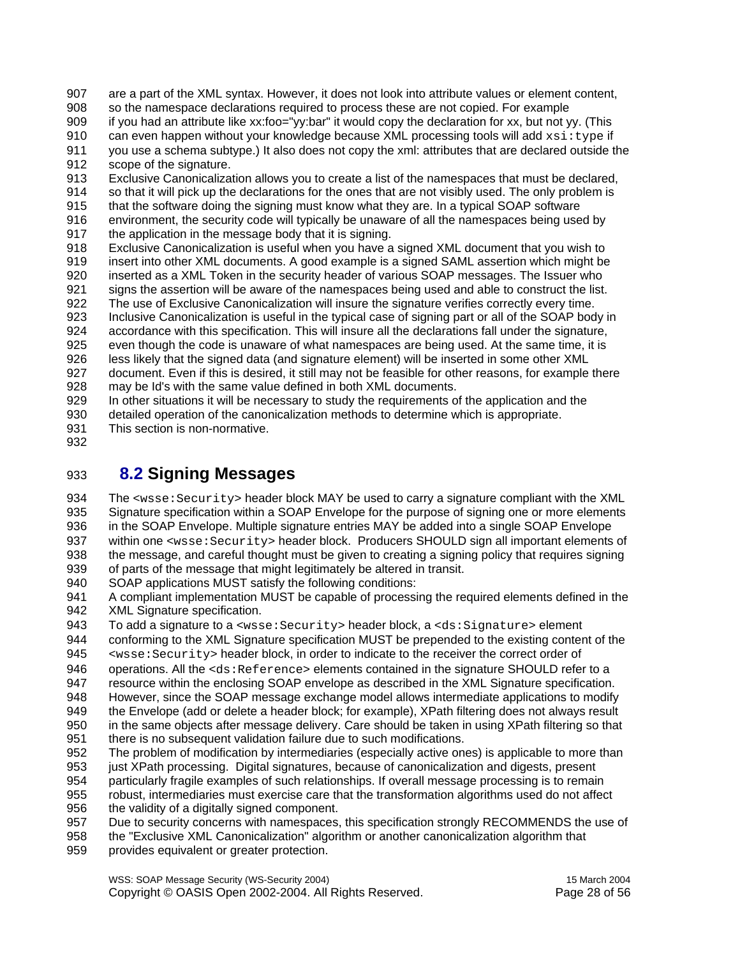907 are a part of the XML syntax. However, it does not look into attribute values or element content, 908 so the namespace declarations required to process these are not copied. For example 909 if you had an attribute like xx:foo="yy:bar" it would copy the declaration for xx, but not yy. (This 910 can even happen without your knowledge because XML processing tools will add  $xsi:type$  if 911 you use a schema subtype.) It also does not copy the xml: attributes that are declared outside the 912 scope of the signature. 913 Exclusive Canonicalization allows you to create a list of the namespaces that must be declared, 914 so that it will pick up the declarations for the ones that are not visibly used. The only problem is 915 that the software doing the signing must know what they are. In a typical SOAP software 916 environment, the security code will typically be unaware of all the namespaces being used by 917 the application in the message body that it is signing. 918 Exclusive Canonicalization is useful when you have a signed XML document that you wish to 919 insert into other XML documents. A good example is a signed SAML assertion which might be 920 inserted as a XML Token in the security header of various SOAP messages. The Issuer who 921 signs the assertion will be aware of the namespaces being used and able to construct the list. 922 The use of Exclusive Canonicalization will insure the signature verifies correctly every time. 923 Inclusive Canonicalization is useful in the typical case of signing part or all of the SOAP body in

924 accordance with this specification. This will insure all the declarations fall under the signature, 925 even though the code is unaware of what namespaces are being used. At the same time, it is 926 less likely that the signed data (and signature element) will be inserted in some other XML

927 document. Even if this is desired, it still may not be feasible for other reasons, for example there 928 may be Id's with the same value defined in both XML documents.<br>929 In other situations it will be necessary to study the requirements of

In other situations it will be necessary to study the requirements of the application and the

930 detailed operation of the canonicalization methods to determine which is appropriate. 931 This section is non-normative.

932

### 933 **8.2 Signing Messages**

934 The <wsse: Security> header block MAY be used to carry a signature compliant with the XML 935 Signature specification within a SOAP Envelope for the purpose of signing one or more elements 936 in the SOAP Envelope. Multiple signature entries MAY be added into a single SOAP Envelope 937 within one <wsse: Security> header block. Producers SHOULD sign all important elements of 938 the message, and careful thought must be given to creating a signing policy that requires signing

939 of parts of the message that might legitimately be altered in transit.

940 SOAP applications MUST satisfy the following conditions:

941 A compliant implementation MUST be capable of processing the required elements defined in the 942 XML Signature specification.

943 To add a signature to a <wsse: Security> header block, a <ds: Signature> element<br>944 Conforming to the XML Signature specification MUST be prepended to the existing conter

conforming to the XML Signature specification MUST be prepended to the existing content of the 945 <wsse:Security> header block, in order to indicate to the receiver the correct order of

946 operations. All the <ds: Reference> elements contained in the signature SHOULD refer to a

947 resource within the enclosing SOAP envelope as described in the XML Signature specification.<br>948 However, since the SOAP message exchange model allows intermediate applications to modify

However, since the SOAP message exchange model allows intermediate applications to modify 949 the Envelope (add or delete a header block; for example), XPath filtering does not always result

950 in the same objects after message delivery. Care should be taken in using XPath filtering so that 951 there is no subsequent validation failure due to such modifications.

952 The problem of modification by intermediaries (especially active ones) is applicable to more than

- 953 just XPath processing. Digital signatures, because of canonicalization and digests, present 954 particularly fragile examples of such relationships. If overall message processing is to remain
- 955 robust, intermediaries must exercise care that the transformation algorithms used do not affect 956 the validity of a digitally signed component.
- 957 Due to security concerns with namespaces, this specification strongly RECOMMENDS the use of

958 the "Exclusive XML Canonicalization" algorithm or another canonicalization algorithm that

959 provides equivalent or greater protection.

WSS: SOAP Message Security (WS-Security 2004) 15 March 2004 Copyright © OASIS Open 2002-2004. All Rights Reserved. Page 28 of 56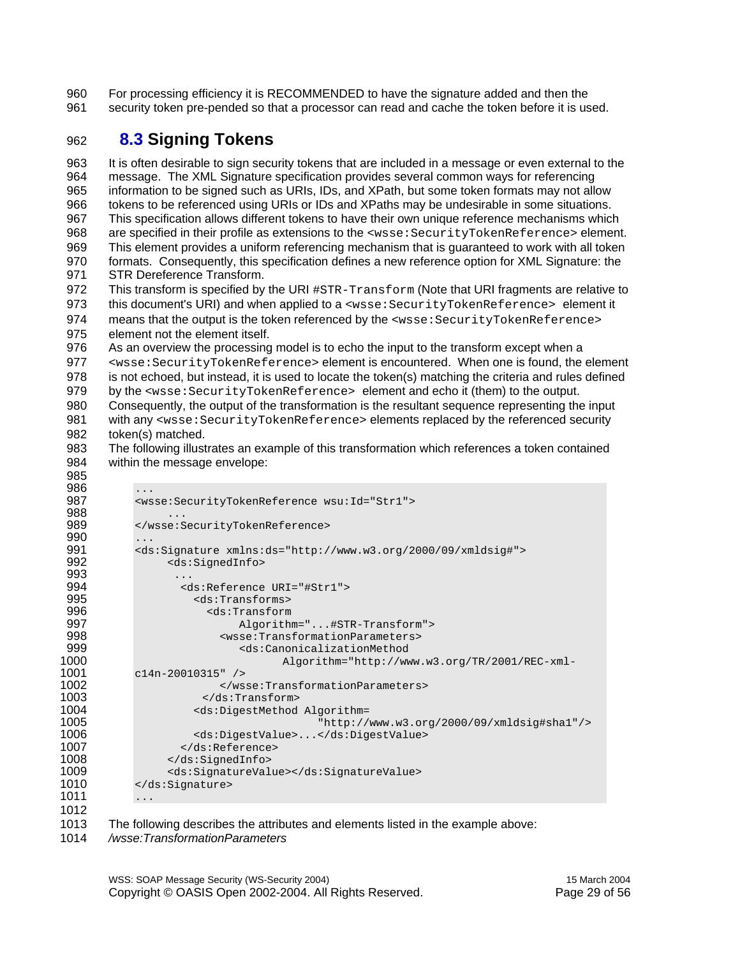960 For processing efficiency it is RECOMMENDED to have the signature added and then the 961 security token pre-pended so that a processor can read and cache the token before it is used.

#### 962 **8.3 Signing Tokens**

963 It is often desirable to sign security tokens that are included in a message or even external to the 964 message. The XML Signature specification provides several common ways for referencing 965 information to be signed such as URIs, IDs, and XPath, but some token formats may not allow 966 tokens to be referenced using URIs or IDs and XPaths may be undesirable in some situations. 967 This specification allows different tokens to have their own unique reference mechanisms which 968 are specified in their profile as extensions to the <wsse: SecurityTokenReference> element. 969 This element provides a uniform referencing mechanism that is guaranteed to work with all token 970 formats. Consequently, this specification defines a new reference option for XML Signature: the 971 STR Dereference Transform. 972 This transform is specified by the URI  $\#STR-Transform$  (Note that URI fragments are relative to 973 this document's URI) and when applied to a <wsse: SecurityTokenReference> element it 974 means that the output is the token referenced by the <wsse: SecurityTokenReference>

975 element not the element itself.

985

976 As an overview the processing model is to echo the input to the transform except when a

977 <wsse: SecurityTokenReference> element is encountered. When one is found, the element 978 is not echoed, but instead, it is used to locate the token(s) matching the criteria and rules defined

979 by the <wsse:SecurityTokenReference> element and echo it (them) to the output.

- 980 Consequently, the output of the transformation is the resultant sequence representing the input 981 with any <wsse: SecurityTokenReference> elements replaced by the referenced security 982 token(s) matched.
- 983 The following illustrates an example of this transformation which references a token contained 984 within the message envelope:

| 986  | $\cdot$                                                                     |
|------|-----------------------------------------------------------------------------|
| 987  | <wsse:securitytokenreference wsu:id="Str1"></wsse:securitytokenreference>   |
| 988  | .                                                                           |
| 989  |                                                                             |
| 990  | .                                                                           |
| 991  | <ds:signature xmlns:ds="http://www.w3.org/2000/09/xmldsig#"></ds:signature> |
| 992  | <ds:signedinfo></ds:signedinfo>                                             |
| 993  |                                                                             |
| 994  | <ds:reference uri="#Str1"></ds:reference>                                   |
| 995  | <ds:transforms></ds:transforms>                                             |
| 996  | $<$ ds:Transform                                                            |
| 997  | Algorithm="#STR-Transform">                                                 |
| 998  | <wsse:transformationparameters></wsse:transformationparameters>             |
| 999  | <ds:canonicalizationmethod< th=""></ds:canonicalizationmethod<>             |
| 1000 | Algorithm="http://www.w3.org/TR/2001/REC-xml-                               |
| 1001 | $c14n-20010315"$ />                                                         |
| 1002 |                                                                             |
| 1003 |                                                                             |
| 1004 | <ds:digestmethod algorithm="&lt;/th"></ds:digestmethod>                     |
| 1005 | "http://www.w3.org/2000/09/xmldsig#shal"/>                                  |
| 1006 | <ds:digestvalue></ds:digestvalue>                                           |
| 1007 |                                                                             |
| 1008 |                                                                             |
| 1009 | <ds:signaturevalue></ds:signaturevalue>                                     |
| 1010 |                                                                             |
| 1011 | .                                                                           |
| 1012 |                                                                             |
|      |                                                                             |

- 1013 The following describes the attributes and elements listed in the example above:
- 1014 */wsse:TransformationParameters*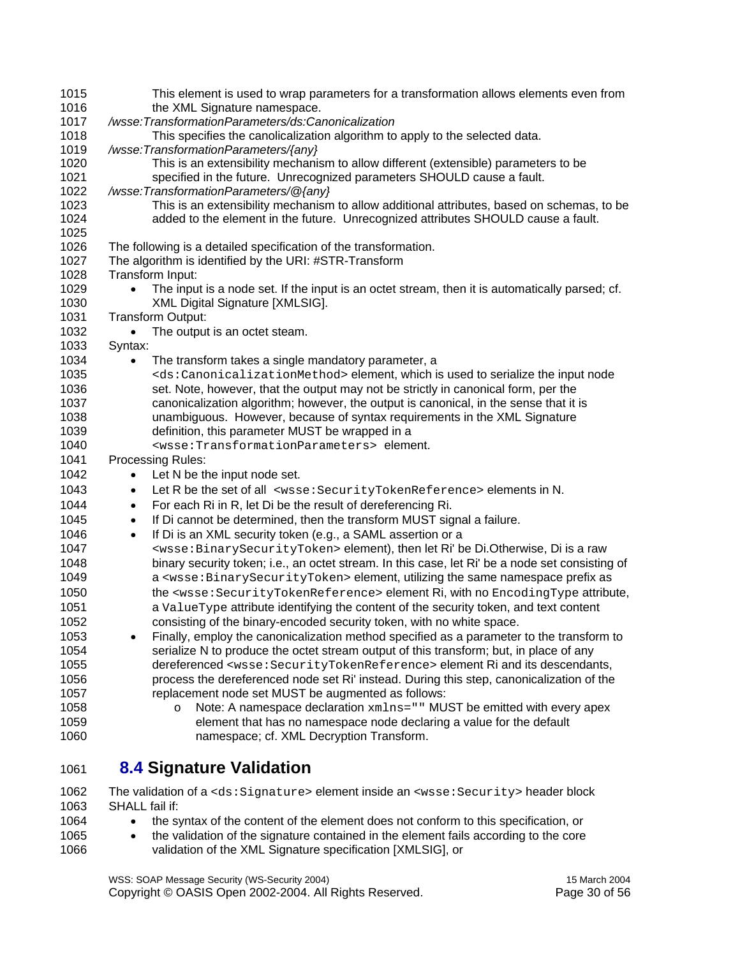| 1015 | This element is used to wrap parameters for a transformation allows elements even from                                     |
|------|----------------------------------------------------------------------------------------------------------------------------|
| 1016 | the XML Signature namespace.                                                                                               |
| 1017 | /wsse:TransformationParameters/ds:Canonicalization                                                                         |
| 1018 | This specifies the canolicalization algorithm to apply to the selected data.                                               |
| 1019 | /wsse:TransformationParameters/{any}                                                                                       |
| 1020 | This is an extensibility mechanism to allow different (extensible) parameters to be                                        |
| 1021 | specified in the future. Unrecognized parameters SHOULD cause a fault.                                                     |
| 1022 | /wsse:TransformationParameters/@{any}                                                                                      |
| 1023 | This is an extensibility mechanism to allow additional attributes, based on schemas, to be                                 |
| 1024 | added to the element in the future. Unrecognized attributes SHOULD cause a fault.                                          |
| 1025 |                                                                                                                            |
| 1026 | The following is a detailed specification of the transformation.                                                           |
| 1027 | The algorithm is identified by the URI: #STR-Transform                                                                     |
| 1028 | Transform Input:                                                                                                           |
| 1029 | The input is a node set. If the input is an octet stream, then it is automatically parsed; cf.<br>$\bullet$                |
| 1030 | XML Digital Signature [XMLSIG].                                                                                            |
| 1031 | Transform Output:                                                                                                          |
| 1032 | The output is an octet steam.<br>$\bullet$                                                                                 |
| 1033 | Syntax:                                                                                                                    |
| 1034 | The transform takes a single mandatory parameter, a<br>$\bullet$                                                           |
| 1035 | <ds:canonicalizationmethod> element, which is used to serialize the input node</ds:canonicalizationmethod>                 |
| 1036 | set. Note, however, that the output may not be strictly in canonical form, per the                                         |
| 1037 | canonicalization algorithm; however, the output is canonical, in the sense that it is                                      |
| 1038 | unambiguous. However, because of syntax requirements in the XML Signature                                                  |
| 1039 | definition, this parameter MUST be wrapped in a                                                                            |
| 1040 | <wsse: parameters="" transformation=""> element.</wsse:>                                                                   |
| 1041 | Processing Rules:                                                                                                          |
| 1042 | Let N be the input node set.<br>$\bullet$                                                                                  |
| 1043 | Let R be the set of all <wsse: securitytokenreference=""> elements in N.<br/><math display="inline">\bullet</math></wsse:> |
| 1044 | For each Ri in R, let Di be the result of dereferencing Ri.<br>$\bullet$                                                   |
| 1045 | If Di cannot be determined, then the transform MUST signal a failure.<br>$\bullet$                                         |
| 1046 | If Di is an XML security token (e.g., a SAML assertion or a<br>$\bullet$                                                   |
| 1047 | <wsse: binarysecuritytoken=""> element), then let Ri' be Di.Otherwise, Di is a raw</wsse:>                                 |
| 1048 | binary security token; i.e., an octet stream. In this case, let Ri' be a node set consisting of                            |
| 1049 | a <wsse: binarysecuritytoken=""> element, utilizing the same namespace prefix as</wsse:>                                   |
| 1050 | the <wsse:securitytokenreference> element Ri, with no EncodingType attribute,</wsse:securitytokenreference>                |
|      |                                                                                                                            |
| 1051 | a ValueType attribute identifying the content of the security token, and text content                                      |
| 1052 | consisting of the binary-encoded security token, with no white space.                                                      |
| 1053 | Finally, employ the canonicalization method specified as a parameter to the transform to                                   |
| 1054 | serialize N to produce the octet stream output of this transform; but, in place of any                                     |
| 1055 | dereferenced <wsse: securitytokenreference=""> element Ri and its descendants,</wsse:>                                     |
| 1056 | process the dereferenced node set Ri' instead. During this step, canonicalization of the                                   |
| 1057 | replacement node set MUST be augmented as follows:                                                                         |
| 1058 | Note: A namespace declaration xmlns="" MUST be emitted with every apex<br>$\circ$                                          |
| 1059 | element that has no namespace node declaring a value for the default                                                       |
| 1060 | namespace; cf. XML Decryption Transform.                                                                                   |
|      |                                                                                                                            |

#### 1061 **8.4 Signature Validation**

1062 The validation of a <ds:Signature> element inside an <wsse:Security> header block<br>1063 SHALL fail if: SHALL fail if:

- 1064 the syntax of the content of the element does not conform to this specification, or
- 1065 the validation of the signature contained in the element fails according to the core 1066 validation of the XML Signature specification [XMLSIG], or

WSS: SOAP Message Security (WS-Security 2004) 15 March 2004 Copyright © OASIS Open 2002-2004. All Rights Reserved. Page 30 of 56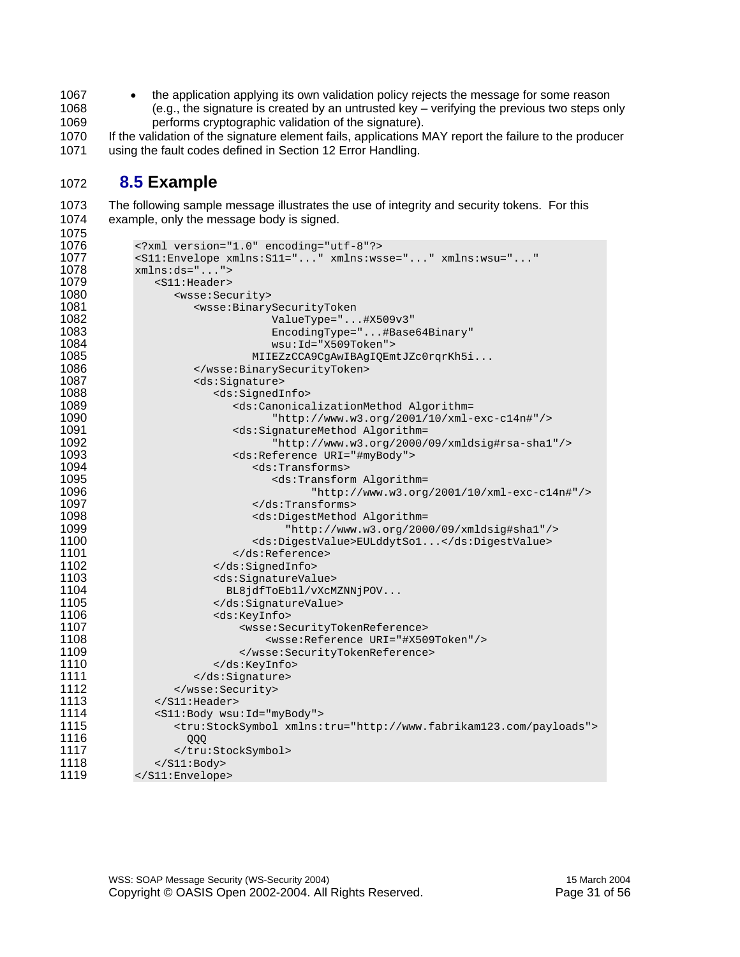1067 • the application applying its own validation policy rejects the message for some reason 1068 (e.g., the signature is created by an untrusted key – verifying the previous two steps only<br>1069 entrorms cryptographic validation of the signature).

1069 performs cryptographic validation of the signature).<br>1070 If the validation of the signature element fails, applications M If the validation of the signature element fails, applications MAY report the failure to the producer 1071 using the fault codes defined in Section 12 Error Handling.

#### **8.5 Example**

1073 The following sample message illustrates the use of integrity and security tokens. For this 1074 example, only the message body is signed.

| 1076 | xml version="1.0" encoding="utf-8"?                                                 |
|------|-------------------------------------------------------------------------------------|
| 1077 | <s11:envelope <="" td="" xmlns:s11="" xmlns:wsse="" xmlns:wsu=""></s11:envelope>    |
| 1078 | $xmlns:ds="$ ">                                                                     |
| 1079 | $<$ S11:Header>                                                                     |
| 1080 | <wsse: security=""></wsse:>                                                         |
| 1081 | <wsse:binarysecuritytoken< td=""></wsse:binarysecuritytoken<>                       |
| 1082 | ValueType="#X509v3"                                                                 |
| 1083 | EncodingType="#Base64Binary"                                                        |
| 1084 | $wsu:Id="X509Token"$                                                                |
| 1085 | MIIEZzCCA9CgAwIBAgIQEmtJZc0rqrKh5i                                                  |
| 1086 |                                                                                     |
| 1087 | <ds:signature></ds:signature>                                                       |
| 1088 | <ds:signedinfo></ds:signedinfo>                                                     |
| 1089 | <ds:canonicalizationmethod algorithm="&lt;/td"></ds:canonicalizationmethod>         |
| 1090 | "http://www.w3.org/2001/10/xml-exc-c14n#"/>                                         |
| 1091 | <ds:signaturemethod algorithm="&lt;/td"></ds:signaturemethod>                       |
| 1092 | "http://www.w3.org/2000/09/xmldsig#rsa-shal"/>                                      |
| 1093 | <ds:reference uri="#myBody"></ds:reference>                                         |
| 1094 | <ds:transforms></ds:transforms>                                                     |
| 1095 | <ds:transform algorithm="&lt;/td"></ds:transform>                                   |
| 1096 | "http://www.w3.org/2001/10/xml-exc-c14n#"/>                                         |
| 1097 | $\langle ds:Transforms \rangle$                                                     |
| 1098 | <ds:digestmethod algorithm="&lt;/td"></ds:digestmethod>                             |
| 1099 | "http://www.w3.org/2000/09/xmldsig#shal"/>                                          |
| 1100 | <ds:digestvalue>EULddytSol</ds:digestvalue>                                         |
| 1101 |                                                                                     |
| 1102 |                                                                                     |
| 1103 | <ds:signaturevalue></ds:signaturevalue>                                             |
| 1104 | BL8jdfToEb11/vXcMZNNjPOV                                                            |
| 1105 |                                                                                     |
| 1106 | <ds:keyinfo></ds:keyinfo>                                                           |
| 1107 | <wsse:securitytokenreference></wsse:securitytokenreference>                         |
| 1108 | <wsse:reference uri="#X509Token"></wsse:reference>                                  |
| 1109 |                                                                                     |
| 1110 |                                                                                     |
| 1111 |                                                                                     |
| 1112 |                                                                                     |
| 1113 | $\langle$ /S11:Header>                                                              |
| 1114 | <s11:body wsu:id="myBody"></s11:body>                                               |
| 1115 | <tru:stocksymbol xmlns:tru="http://www.fabrikam123.com/payloads"></tru:stocksymbol> |
| 1116 | QQQ                                                                                 |
| 1117 |                                                                                     |
| 1118 | $\langle$ /S11:Body>                                                                |
| 1119 |                                                                                     |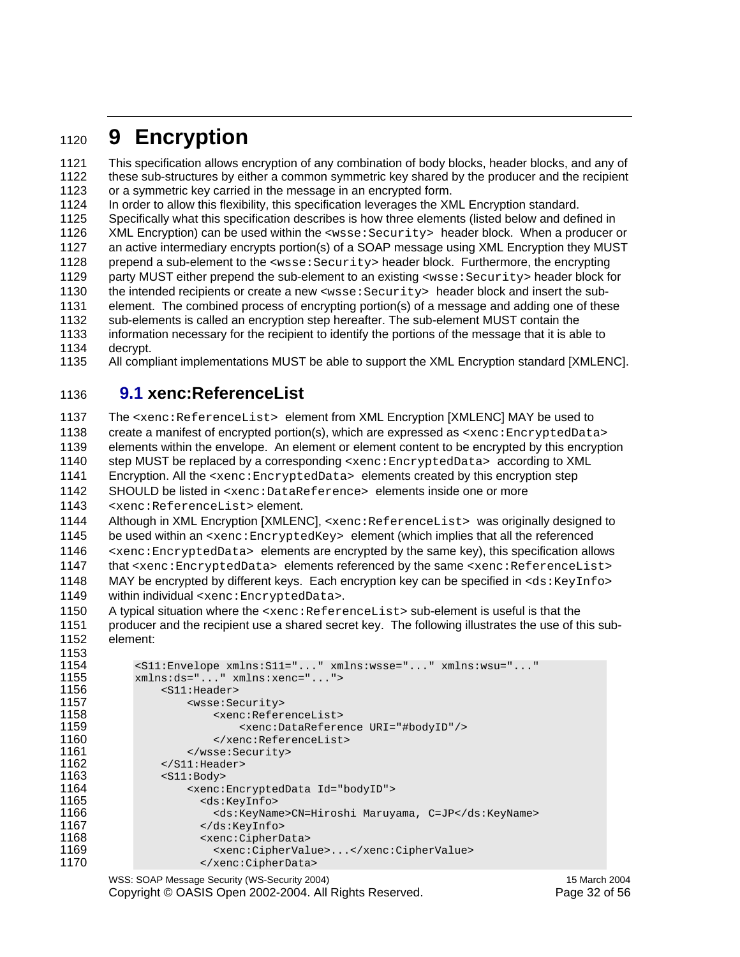### <sup>1120</sup>**9 Encryption**

1121 This specification allows encryption of any combination of body blocks, header blocks, and any of 1122 these sub-structures by either a common symmetric key shared by the producer and the recipient 1123 or a symmetric key carried in the message in an encrypted form.

1124 In order to allow this flexibility, this specification leverages the XML Encryption standard.

1125 Specifically what this specification describes is how three elements (listed below and defined in

1126 XML Encryption) can be used within the <wsse: Security> header block. When a producer or

1127 an active intermediary encrypts portion(s) of a SOAP message using XML Encryption they MUST

1128 prepend a sub-element to the <wsse: Security> header block. Furthermore, the encrypting

1129 party MUST either prepend the sub-element to an existing <wsse: Security> header block for 1130 the intended recipients or create a new <wsse: Security> header block and insert the sub-

1131 element. The combined process of encrypting portion(s) of a message and adding one of these

1132 sub-elements is called an encryption step hereafter. The sub-element MUST contain the

1133 information necessary for the recipient to identify the portions of the message that it is able to

1134 decrypt.

1135 All compliant implementations MUST be able to support the XML Encryption standard [XMLENC].

#### 1136 **9.1 xenc:ReferenceList**

1137 The <xenc:ReferenceList> element from XML Encryption [XMLENC] MAY be used to 1138 create a manifest of encrypted portion(s), which are expressed as <xenc: EncryptedData> 1139 elements within the envelope. An element or element content to be encrypted by this encryption 1140 step MUST be replaced by a corresponding <xenc: EncryptedData> according to XML 1141 Encryption. All the <xenc:EncryptedData> elements created by this encryption step 1142 SHOULD be listed in <xenc:DataReference> elements inside one or more 1143 <xenc:ReferenceList> element. 1144 Although in XML Encryption [XMLENC], <xenc:ReferenceList> was originally designed to 1145 be used within an <xenc:EncryptedKey> element (which implies that all the referenced

1146  $\leq$   $\leq$   $\leq$   $\leq$   $\leq$   $\leq$   $\leq$   $\leq$   $\leq$   $\leq$   $\leq$   $\leq$   $\leq$   $\leq$   $\leq$   $\leq$   $\leq$   $\leq$   $\leq$   $\leq$   $\leq$   $\leq$   $\leq$   $\leq$   $\leq$   $\leq$   $\leq$   $\leq$   $\leq$   $\leq$   $\leq$   $\leq$   $\leq$   $\leq$   $\leq$   $\leq$  1147 that <xenc:EncryptedData> elements referenced by the same <xenc:ReferenceList> 1148 MAY be encrypted by different keys. Each encryption key can be specified in <ds:KeyInfo> 1149 within individual <xenc:EncryptedData>.

1150 A typical situation where the <xenc:ReferenceList> sub-element is useful is that the 1151 producer and the recipient use a shared secret key. The following illustrates the use of this sub-1152 element:

```
1153 
1154 <S11:Envelope xmlns:S11="..." xmlns:wsse="..." xmlns:wsu="..." 
1155 xmlns:ds="..." xmlns:xenc="..."> 
1156 <S11:Header> 
1157 <wsse:Security> 
1158 <xenc:ReferenceList> 
1159 <xenc:DataReference URI="#bodyID"/> 
1160 </xenc:ReferenceList><br>1161 </wsse:Security>
1161 </wsse:Security><br>1162 </s11:Header>
1162 </s11: Header><br>1163 <s11: Body>
1163 <s11:Body><br>1164 <s211:Body>
1164 <xenc:EncryptedData Id="bodyID"> 
1165 <ds:KeyInfo> 
                    1166 <ds:KeyName>CN=Hiroshi Maruyama, C=JP</ds:KeyName> 
1167 </ds:KeyInfo><br>1168 <wenc:CipherD.
1168 <xenc:CipherData> 
1169 <xenc:CipherValue>...</xenc:CipherValue> 
                   </xenc:CipherData>
```
WSS: SOAP Message Security (WS-Security 2004) 15 March 2004 Copyright © OASIS Open 2002-2004. All Rights Reserved. Page 32 of 56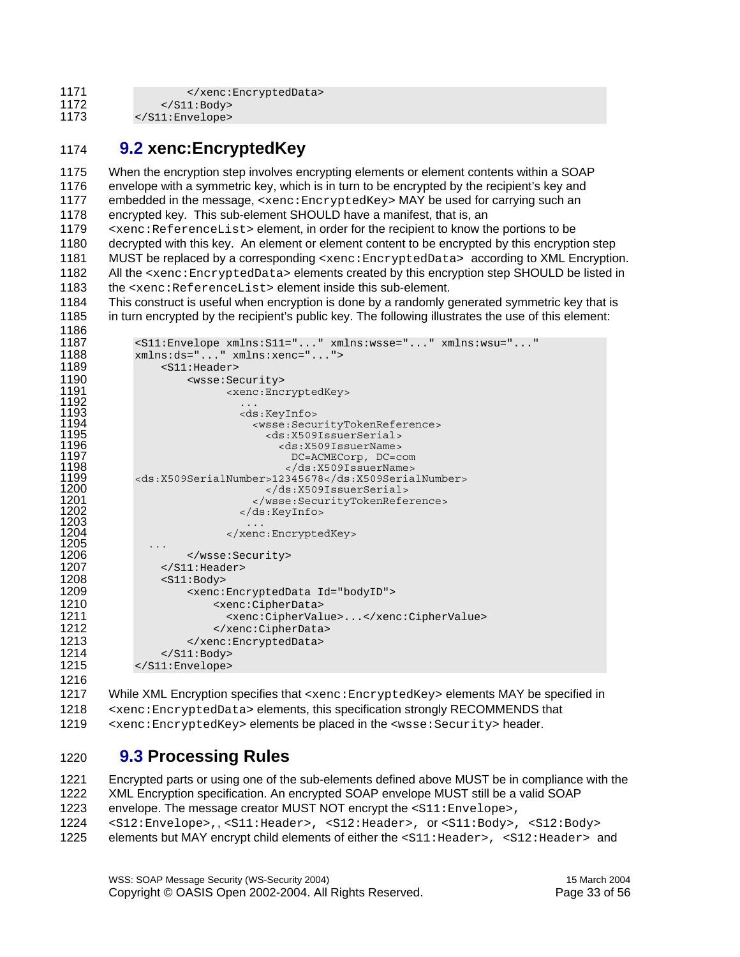1171 </xenc:EncryptedData><br>1172 </xenc:EncryptedData>

- 1172 </S11:Body><br>1173 </s11:Envelope>
- </S11:Envelope>

### **9.2 xenc:EncryptedKey**

1175 When the encryption step involves encrypting elements or element contents within a SOAP 1176 envelope with a symmetric key, which is in turn to be encrypted by the recipient's key and 1177 embedded in the message, <xenc: EncryptedKey> MAY be used for carrying such an 1178 encrypted key. This sub-element SHOULD have a manifest, that is, an

1179  $\leq$   $\leq$   $\leq$   $\leq$   $\leq$   $\leq$   $\leq$   $\leq$   $\leq$   $\leq$   $\leq$   $\leq$   $\leq$   $\leq$   $\leq$   $\leq$   $\leq$   $\leq$   $\leq$   $\leq$   $\leq$   $\leq$   $\leq$   $\leq$   $\leq$   $\leq$   $\leq$   $\leq$   $\leq$   $\leq$   $\leq$   $\leq$   $\leq$   $\leq$   $\leq$   $\leq$  1180 decrypted with this key. An element or element content to be encrypted by this encryption step 1181 MUST be replaced by a corresponding <xenc: EncryptedData> according to XML Encryption. 1182 All the <xenc: EncryptedData> elements created by this encryption step SHOULD be listed in 1183 the  $\le$ xenc:ReferenceList> element inside this sub-element.

1184 This construct is useful when encryption is done by a randomly generated symmetric key that is 1185 in turn encrypted by the recipient's public key. The following illustrates the use of this element:

| 1186         |                                                                                                |
|--------------|------------------------------------------------------------------------------------------------|
| 1187         | $\text{S11:Envelope } xmlns: \text{S11=".}$ " $xmlns: \text{wsse=".}$ " $xmlns: \text{wsu=".}$ |
| 1188         | $xmlns:ds="" xmlns:xenc=""$                                                                    |
| 1189         | $<$ S $11$ :Header>                                                                            |
| 1190         | <wsse: security=""></wsse:>                                                                    |
| 1191         | <xenc:encryptedkey></xenc:encryptedkey>                                                        |
| 1192         |                                                                                                |
| 1193         | <ds:keyinfo></ds:keyinfo>                                                                      |
| 1194         | <wsse:securitytokenreference></wsse:securitytokenreference>                                    |
| 1195         | <ds:x509issuerserial></ds:x509issuerserial>                                                    |
| 1196         | <ds:x509issuername></ds:x509issuername>                                                        |
| 1197         | DC=ACMECorp, DC=com                                                                            |
| 1198         |                                                                                                |
| 1199         | <ds:x509serialnumber>12345678</ds:x509serialnumber>                                            |
| 1200         |                                                                                                |
| 1201         |                                                                                                |
| 1202         |                                                                                                |
| 1203<br>1204 |                                                                                                |
| 1205         |                                                                                                |
| 1206         |                                                                                                |
| 1207         |                                                                                                |
|              | $\langle$ /S11:Header>                                                                         |
| 1208         | $<$ S $11$ : Body>                                                                             |
| 1209         | <xenc:encrypteddata id="bodyID"></xenc:encrypteddata>                                          |
| 1210         | <xenc:cipherdata></xenc:cipherdata>                                                            |
| 1211         | <xenc:ciphervalue></xenc:ciphervalue>                                                          |
| 1212         |                                                                                                |
| 1213         |                                                                                                |
| 1214         | $\langle$ S11: Body>                                                                           |
| 1215         |                                                                                                |
| 1216         |                                                                                                |

1217 While XML Encryption specifies that <xenc:EncryptedKey> elements MAY be specified in <xenc:EncryptedData> elements, this specification strongly RECOMMENDS that 1219 <xenc:EncryptedKey> elements be placed in the <wsse:Security> header.

#### **9.3 Processing Rules**

1221 Encrypted parts or using one of the sub-elements defined above MUST be in compliance with the 1222 XML Encryption specification. An encrypted SOAP envelope MUST still be a valid SOAP 1223 envelope. The message creator MUST NOT encrypt the <s11:Envelope>, <S12:Envelope>,, <S11:Header>, <S12:Header>, or <S11:Body>, <S12:Body> elements but MAY encrypt child elements of either the <s11:Header>, <s12:Header> and

WSS: SOAP Message Security (WS-Security 2004) 15 March 2004 Copyright © OASIS Open 2002-2004. All Rights Reserved. Page 33 of 56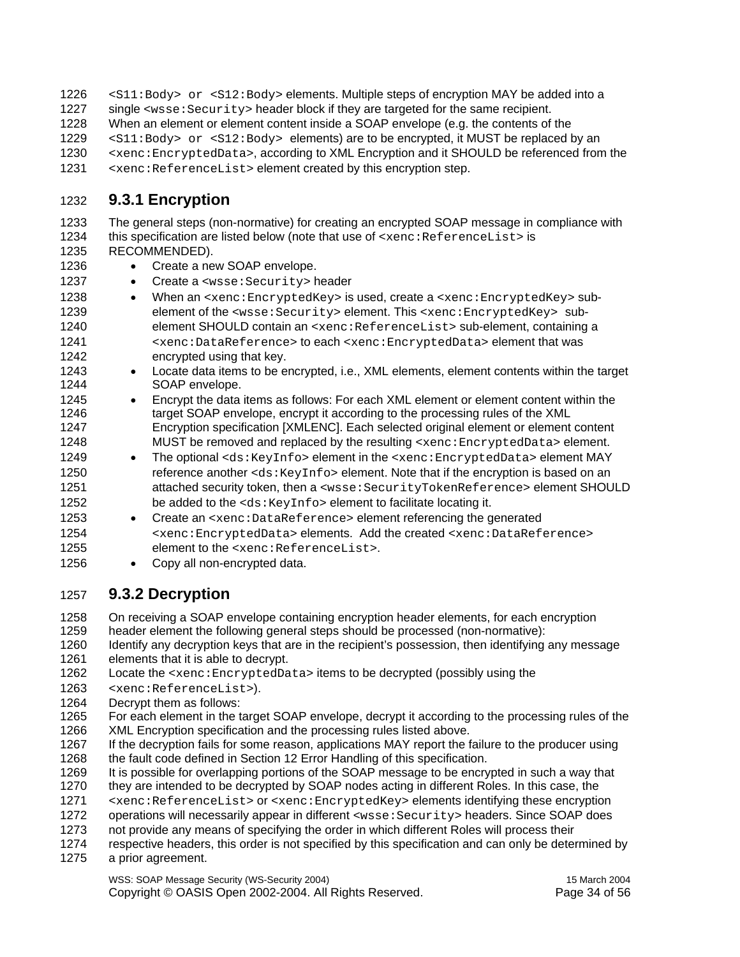1226 <S11:Body> or <S12:Body> elements. Multiple steps of encryption MAY be added into a 1227 single  $\langle$ wsse: Security> header block if they are targeted for the same recipient. 1228 When an element or element content inside a SOAP envelope (e.g. the contents of the 1229 <S11:Body> or <S12:Body> elements) are to be encrypted, it MUST be replaced by an 1230 <br>
1230 <xenc:EncryptedData>, according to XML Encryption and it SHOULD be referenced from the<br>
1231 <xenc:ReferenceList>element created by this encryption step.  $\le$   $x$ enc: ReferenceList> element created by this encryption step.

#### 1232 **9.3.1 Encryption**

1233 The general steps (non-normative) for creating an encrypted SOAP message in compliance with 1234 this specification are listed below (note that use of <xenc:ReferenceList> is 1235 RECOMMENDED).

- 1236 Create a new SOAP envelope.
- 1237 Create a <wsse: Security> header
- 1238 When an <xenc:EncryptedKey> is used, create a <xenc:EncryptedKey> sub-1239 element of the <wsse:Security> element. This <xenc:EncryptedKey> sub-1240 element SHOULD contain an <xenc:ReferenceList> sub-element, containing a 1241 <xenc:DataReference> to each <xenc:EncryptedData> element that was 1242 encrypted using that key.
- 1243 Locate data items to be encrypted, i.e., XML elements, element contents within the target 1244 SOAP envelope.
- 1245 Encrypt the data items as follows: For each XML element or element content within the 1246 target SOAP envelope, encrypt it according to the processing rules of the XML 1247 Encryption specification [XMLENC]. Each selected original element or element content 1248 MUST be removed and replaced by the resulting <xenc: EncryptedData> element.
- 1249 The optional <ds:KeyInfo> element in the <xenc:EncryptedData> element MAY 1250 reference another <ds: KeyInfo> element. Note that if the encryption is based on an 1251 attached security token, then a <wsse:SecurityTokenReference> element SHOULD 1252 be added to the <ds: KeyInfo> element to facilitate locating it.
- 1253 Create an <xenc:DataReference> element referencing the generated 1254 <xenc:EncryptedData> elements. Add the created <xenc:DataReference> 1255 element to the <xenc:ReferenceList>.
- 1256 Copy all non-encrypted data.

#### 1257 **9.3.2 Decryption**

1258 On receiving a SOAP envelope containing encryption header elements, for each encryption

1259 header element the following general steps should be processed (non-normative):

1260 Identify any decryption keys that are in the recipient's possession, then identifying any message 1261 elements that it is able to decrypt.

1262 Locate the <xenc: EncryptedData> items to be decrypted (possibly using the

- 1263 <xenc:ReferenceList>).
- 1264 Decrypt them as follows:

1265 For each element in the target SOAP envelope, decrypt it according to the processing rules of the 1266 XML Encryption specification and the processing rules listed above.

- 1267 If the decryption fails for some reason, applications MAY report the failure to the producer using 1268 the fault code defined in Section 12 Error Handling of this specification.
- 1269 It is possible for overlapping portions of the SOAP message to be encrypted in such a way that
- 1270 they are intended to be decrypted by SOAP nodes acting in different Roles. In this case, the
- 1271 <xenc:ReferenceList> or <xenc:EncryptedKey> elements identifying these encryption
- 1272 operations will necessarily appear in different <wsse:Security> headers. Since SOAP does
- 1273 not provide any means of specifying the order in which different Roles will process their<br>1274 respective headers, this order is not specified by this specification and can only be deter
- respective headers, this order is not specified by this specification and can only be determined by 1275 a prior agreement.

WSS: SOAP Message Security (WS-Security 2004) 15 March 2004 Copyright © OASIS Open 2002-2004. All Rights Reserved. Page 34 of 56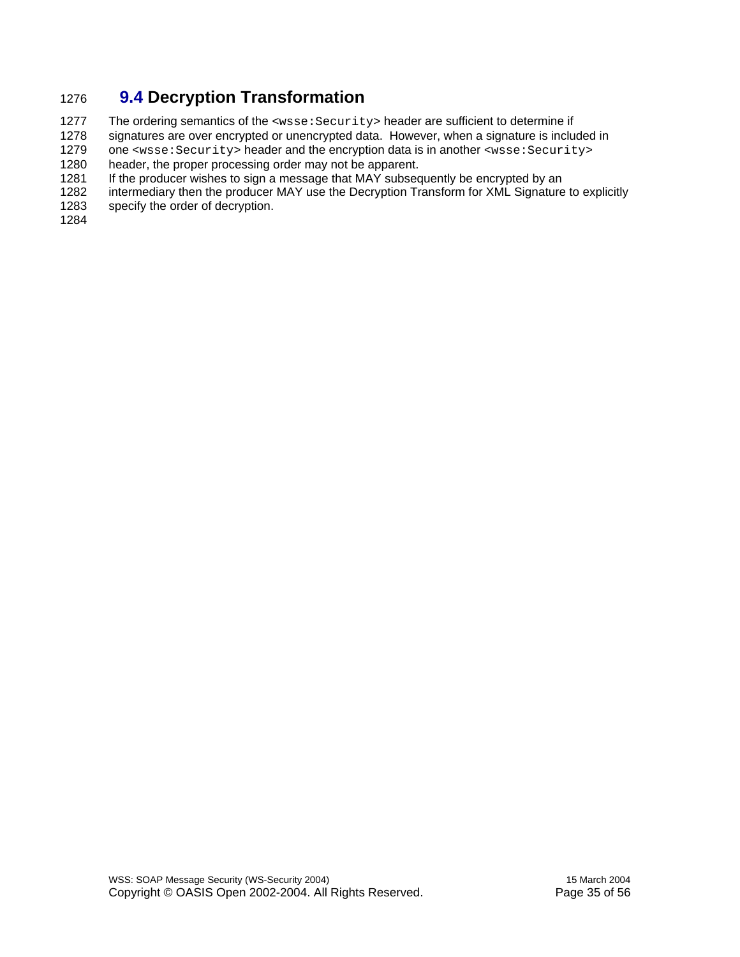### 1276 **9.4 Decryption Transformation**

1277 The ordering semantics of the <wsse: Security> header are sufficient to determine if<br>1278 signatures are over encrypted or unencrypted data. However, when a signature is inclue signatures are over encrypted or unencrypted data. However, when a signature is included in

1279 one <wsse: Security> header and the encryption data is in another <wsse: Security><br>1280 header the proper processing order may not be apparent. header, the proper processing order may not be apparent.

1281 If the producer wishes to sign a message that MAY subsequently be encrypted by an

1282 intermediary then the producer MAY use the Decryption Transform for XML Signature to explicitly 1283 specify the order of decryption.

specify the order of decryption.

1284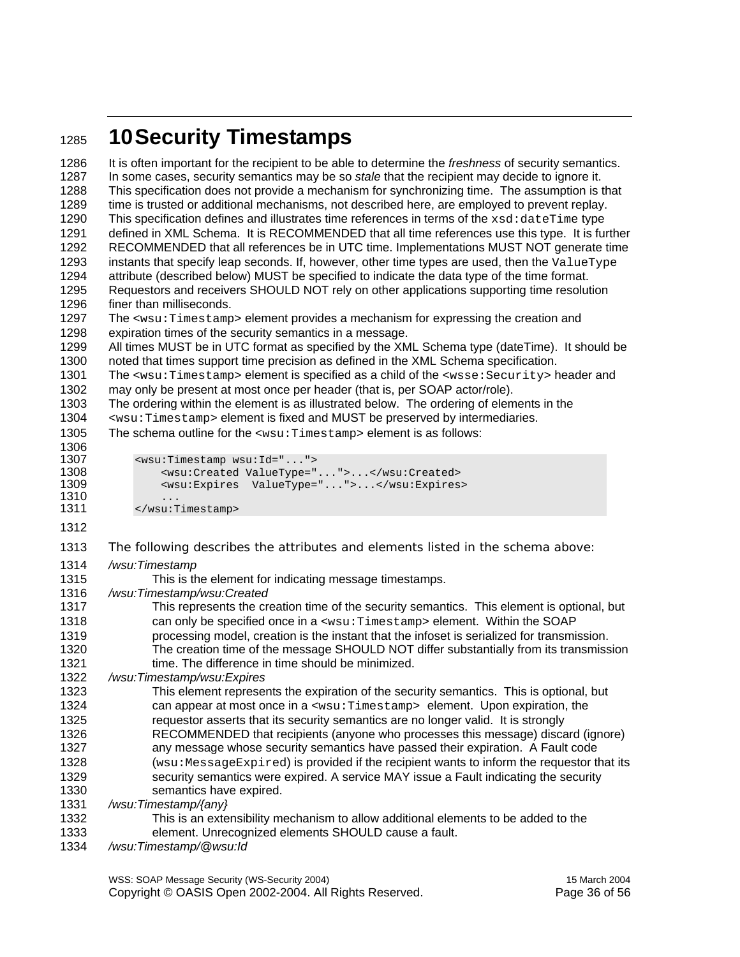### <sup>1285</sup>**10 Security Timestamps**

1286 It is often important for the recipient to be able to determine the *freshness* of security semantics. 1287 In some cases, security semantics may be so *stale* that the recipient may decide to ignore it. 1288 This specification does not provide a mechanism for synchronizing time. The assumption is that 1289 time is trusted or additional mechanisms, not described here, are employed to prevent replay.<br>1290 This specification defines and illustrates time references in terms of the xsd: dateTime type This specification defines and illustrates time references in terms of the  $xsd:dataTime$  type 1291 defined in XML Schema. It is RECOMMENDED that all time references use this type. It is further 1292 RECOMMENDED that all references be in UTC time. Implementations MUST NOT generate time 1293 instants that specify leap seconds. If, however, other time types are used, then the ValueType 1294 attribute (described below) MUST be specified to indicate the data type of the time format. 1295 Requestors and receivers SHOULD NOT rely on other applications supporting time resolution 1296 finer than milliseconds. 1297 The <wsu:Timestamp> element provides a mechanism for expressing the creation and 1298 expiration times of the security semantics in a message. 1299 All times MUST be in UTC format as specified by the XML Schema type (dateTime). It should be 1300 noted that times support time precision as defined in the XML Schema specification. 1301 The <wsu:Timestamp> element is specified as a child of the <wsse:Security> header and 1302 may only be present at most once per header (that is, per SOAP actor/role). 1303 The ordering within the element is as illustrated below. The ordering of elements in the 1304  $\leq$ wsu:Timestamp> element is fixed and MUST be preserved by intermediaries.<br>1305 The schema outline for the  $\leq$ wsu:Timestamp> element is as follows: The schema outline for the <wsu:Timestamp> element is as follows: 1306 1307 > <wsu:Timestamp wsu:Id="..."><br>1308 > <wsu:Created ValueType=" 1308 <wsu:Created ValueType="...">...</wsu:Created><br>1309 <wsu:Expires ValueType="...">...</wsu:Expires 1309 <wsu:Expires ValueType="...">...</wsu:Expires> 1310<br>1311 1311 </wsu:Timestamp> 1312 1313 The following describes the attributes and elements listed in the schema above: 1314 */wsu:Timestamp*  1315 This is the element for indicating message timestamps. 1316 */wsu:Timestamp/wsu:Created*  1317 This represents the creation time of the security semantics. This element is optional, but 1318 can only be specified once in a <wsu:Timestamp> element. Within the SOAP 1319 processing model, creation is the instant that the infoset is serialized for transmission. 1320 The creation time of the message SHOULD NOT differ substantially from its transmission 1321 **time.** The difference in time should be minimized. 1322 */wsu:Timestamp/wsu:Expires*  1323 This element represents the expiration of the security semantics. This is optional, but 1324 can appear at most once in a <wsu:Timestamp> element. Upon expiration, the 1325 requestor asserts that its security semantics are no longer valid. It is strongly 1326 RECOMMENDED that recipients (anyone who processes this message) discard (ignore) 1327 any message whose security semantics have passed their expiration. A Fault code 1328 (wsu:MessageExpired) is provided if the recipient wants to inform the requestor that its 1329 (1329 security semantics were expired. A service MAY issue a Fault indicating the security security semantics were expired. A service MAY issue a Fault indicating the security 1330 semantics have expired. 1331 */wsu:Timestamp/{any}*  1332 This is an extensibility mechanism to allow additional elements to be added to the 1333 element. Unrecognized elements SHOULD cause a fault. 1334 */wsu:Timestamp/@wsu:Id* 

WSS: SOAP Message Security (WS-Security 2004) 15 March 2004

Copyright © OASIS Open 2002-2004. All Rights Reserved. Page 36 of 56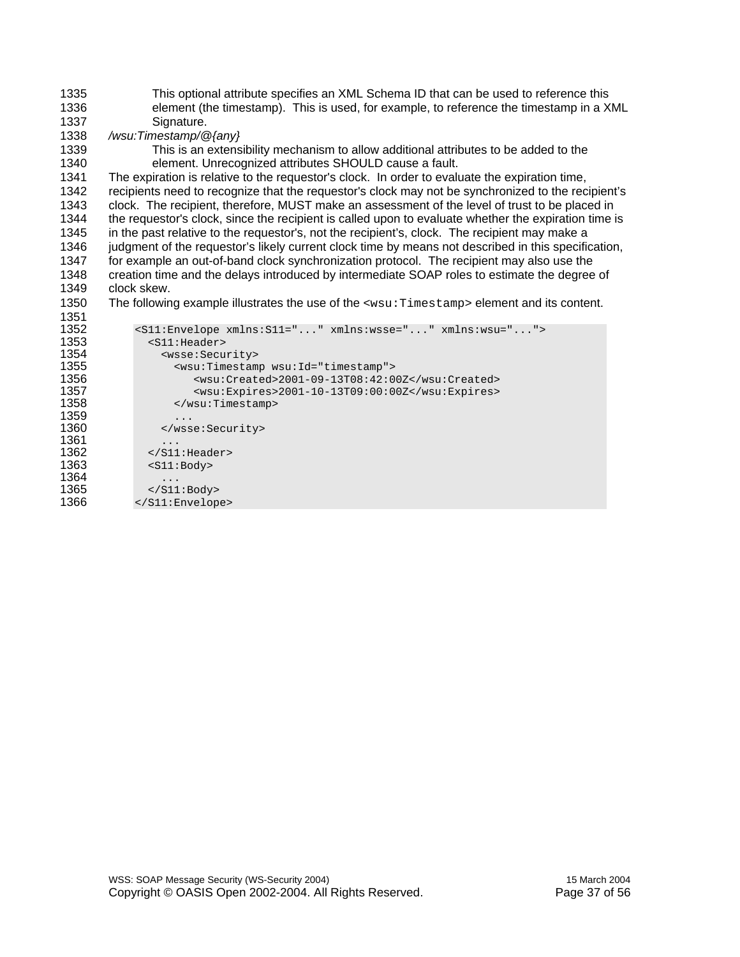| 1335 | This optional attribute specifies an XML Schema ID that can be used to reference this                |  |  |
|------|------------------------------------------------------------------------------------------------------|--|--|
| 1336 | element (the timestamp). This is used, for example, to reference the timestamp in a XML              |  |  |
| 1337 | Signature.                                                                                           |  |  |
| 1338 | /wsu:Timestamp/@{any}                                                                                |  |  |
| 1339 | This is an extensibility mechanism to allow additional attributes to be added to the                 |  |  |
| 1340 | element. Unrecognized attributes SHOULD cause a fault.                                               |  |  |
| 1341 | The expiration is relative to the requestor's clock. In order to evaluate the expiration time,       |  |  |
| 1342 | recipients need to recognize that the requestor's clock may not be synchronized to the recipient's   |  |  |
| 1343 | clock. The recipient, therefore, MUST make an assessment of the level of trust to be placed in       |  |  |
| 1344 | the requestor's clock, since the recipient is called upon to evaluate whether the expiration time is |  |  |
| 1345 | in the past relative to the requestor's, not the recipient's, clock. The recipient may make a        |  |  |
| 1346 |                                                                                                      |  |  |
|      | judgment of the requestor's likely current clock time by means not described in this specification,  |  |  |
| 1347 | for example an out-of-band clock synchronization protocol. The recipient may also use the            |  |  |
| 1348 | creation time and the delays introduced by intermediate SOAP roles to estimate the degree of         |  |  |
| 1349 | clock skew.                                                                                          |  |  |
| 1350 | The following example illustrates the use of the <wsu: timestamp=""> element and its content.</wsu:> |  |  |
| 1351 |                                                                                                      |  |  |
| 1352 | <s11:envelope xmlns:s11="" xmlns:wsse="" xmlns:wsu=""></s11:envelope>                                |  |  |
| 1353 | $<$ S11: Header>                                                                                     |  |  |
| 1354 | <wsse: security=""></wsse:>                                                                          |  |  |
| 1355 | <wsu:timestamp wsu:id="timestamp"></wsu:timestamp>                                                   |  |  |
| 1356 | <wsu:created>2001-09-13T08:42:00Z</wsu:created>                                                      |  |  |
| 1357 | <wsu:expires>2001-10-13T09:00:00Z</wsu:expires>                                                      |  |  |
| 1358 |                                                                                                      |  |  |
| 1359 |                                                                                                      |  |  |
| 1360 |                                                                                                      |  |  |
| 1361 |                                                                                                      |  |  |
| 1362 | $\langle$ /S11:Header>                                                                               |  |  |
| 1363 | <s11:body></s11:body>                                                                                |  |  |
| 1364 | .                                                                                                    |  |  |
| 1365 | $\langle$ /S11:Body>                                                                                 |  |  |
| 1366 |                                                                                                      |  |  |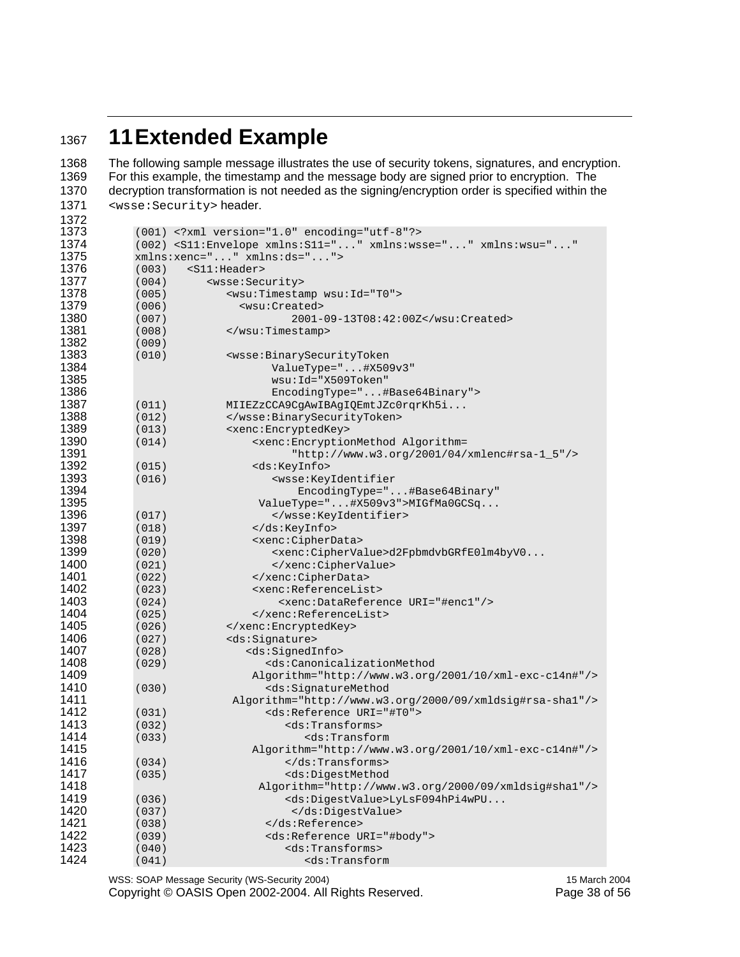### **11 Extended Example**

1368 The following sample message illustrates the use of security tokens, signatures, and encryption.<br>1369 For this example, the timestamp and the message body are signed prior to encryption. The 1369 For this example, the timestamp and the message body are signed prior to encryption. The 1370 decryption transformation is not needed as the signing/encryption order is specified within the decryption transformation is not needed as the signing/encryption order is specified within the <wsse:Security> header.

| 1372 |       |                                                                                        |
|------|-------|----------------------------------------------------------------------------------------|
| 1373 |       | $(001)$ xml version="1.0" encoding="utf-8"?                                            |
| 1374 |       | (002) <s11:envelope <="" th="" xmlns:s11="" xmlns:wsse="" xmlns:wsu=""></s11:envelope> |
| 1375 |       | xmlns:xenc="" xmlns:ds="">                                                             |
| 1376 | (003) | $<$ S $11$ :Header>                                                                    |
| 1377 | (004) | <wsse: security=""></wsse:>                                                            |
| 1378 | (005) | <wsu:timestamp wsu:id="T0"></wsu:timestamp>                                            |
| 1379 | (006) | <wsu:created></wsu:created>                                                            |
| 1380 | (007) | 2001-09-13T08:42:00Z                                                                   |
| 1381 | (008) |                                                                                        |
| 1382 | (009) |                                                                                        |
| 1383 | (010) | <wsse:binarysecuritytoken< th=""></wsse:binarysecuritytoken<>                          |
| 1384 |       | ValueType="#X509v3"                                                                    |
| 1385 |       | wsu: Id="X509Token"                                                                    |
| 1386 |       | EncodingType="#Base64Binary">                                                          |
| 1387 | (011) | MIIEZzCCA9CgAwIBAgIQEmtJZc0rqrKh5i                                                     |
| 1388 | (012) |                                                                                        |
| 1389 | (013) | <xenc:encryptedkey></xenc:encryptedkey>                                                |
| 1390 | (014) | <xenc:encryptionmethod algorithm="&lt;/th"></xenc:encryptionmethod>                    |
| 1391 |       | "http://www.w3.org/2001/04/xmlenc#rsa-1_5"/>                                           |
| 1392 | (015) | <ds:keyinfo></ds:keyinfo>                                                              |
| 1393 | (016) | <wsse:keyidentifier< th=""></wsse:keyidentifier<>                                      |
| 1394 |       | EncodingType="#Base64Binary"                                                           |
| 1395 |       | ValueType="#X509v3">MIGfMa0GCSq                                                        |
| 1396 | (017) |                                                                                        |
| 1397 | (018) |                                                                                        |
| 1398 | (019) | <xenc:cipherdata></xenc:cipherdata>                                                    |
| 1399 | (020) | <xenc:ciphervalue>d2FpbmdvbGRfE0lm4byV0</xenc:ciphervalue>                             |
| 1400 | (021) |                                                                                        |
| 1401 | (022) |                                                                                        |
| 1402 | (023) | <xenc:referencelist></xenc:referencelist>                                              |
| 1403 | (024) | <xenc:datareference uri="#enc1"></xenc:datareference>                                  |
| 1404 | (025) |                                                                                        |
| 1405 | (026) |                                                                                        |
| 1406 | (027) | <ds:signature></ds:signature>                                                          |
| 1407 | (028) | <ds:signedinfo></ds:signedinfo>                                                        |
| 1408 | (029) | <ds:canonicalizationmethod< th=""></ds:canonicalizationmethod<>                        |
| 1409 |       | Algorithm="http://www.w3.org/2001/10/xml-exc-c14n#"/>                                  |
| 1410 | (030) | <ds:signaturemethod< th=""></ds:signaturemethod<>                                      |
| 1411 |       | Algorithm="http://www.w3.org/2000/09/xmldsig#rsa-shal"/>                               |
| 1412 | (031) | <ds:reference uri="#T0"></ds:reference>                                                |
| 1413 | (032) | <ds:transforms></ds:transforms>                                                        |
| 1414 | (033) | $<$ ds:Transform                                                                       |
| 1415 |       | Algorithm="http://www.w3.org/2001/10/xml-exc-c14n#"/>                                  |
| 1416 | (034) | $\langle$ /ds:Transforms>                                                              |
| 1417 | (035) | <ds:digestmethod< th=""></ds:digestmethod<>                                            |
| 1418 |       | Algorithm="http://www.w3.org/2000/09/xmldsig#shal"/>                                   |
| 1419 | (036) | <ds:digestvalue>LyLsF094hPi4wPU</ds:digestvalue>                                       |
| 1420 | (037) |                                                                                        |
| 1421 | (038) |                                                                                        |
| 1422 | (039) | <ds:reference uri="#body"></ds:reference>                                              |
| 1423 | (040) | <ds:transforms></ds:transforms>                                                        |
| 1424 | (041) | <ds:transform< th=""></ds:transform<>                                                  |
|      |       |                                                                                        |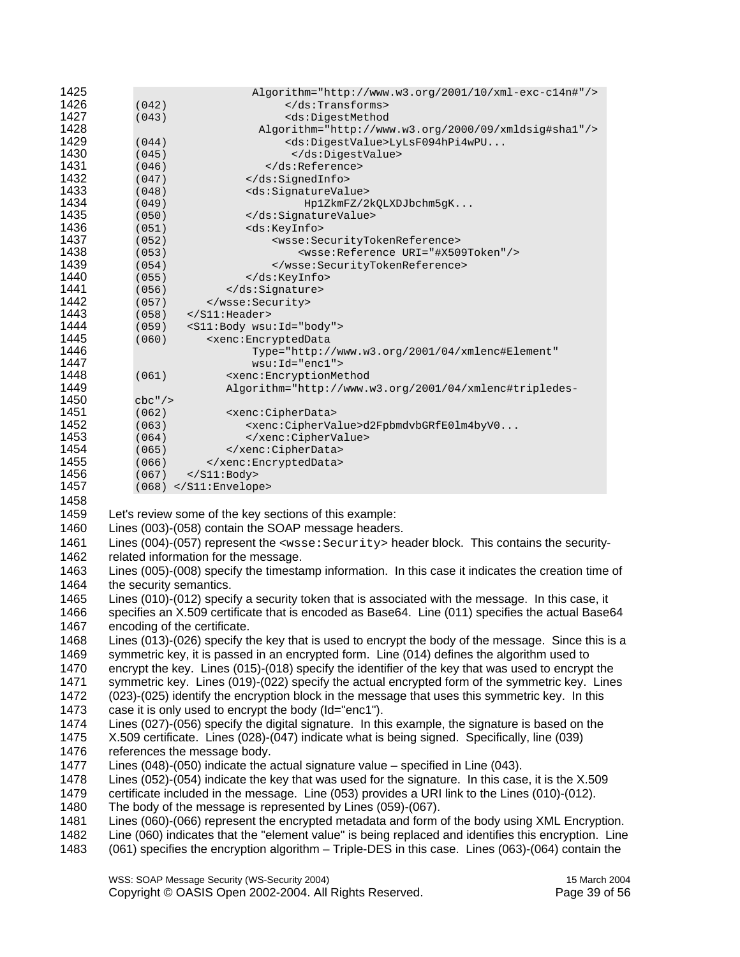| 1425         | Algorithm="http://www.w3.org/2001/10/xml-exc-c14n#"/>                                                 |
|--------------|-------------------------------------------------------------------------------------------------------|
| 1426         | (042)<br>$\langle$ /ds:Transforms>                                                                    |
| 1427         | (043)<br><ds:digestmethod< td=""></ds:digestmethod<>                                                  |
| 1428<br>1429 | Algorithm="http://www.w3.org/2000/09/xmldsig#shal"/>                                                  |
| 1430         | (044)<br><ds:digestvalue>LyLsF094hPi4wPU<br/>(045)<br/></ds:digestvalue>                              |
| 1431         | <br>(046)                                                                                             |
| 1432         | (047)<br>                                                                                             |
| 1433         | (048)<br><ds:signaturevalue></ds:signaturevalue>                                                      |
| 1434         | (049)<br>Hp1ZkmFZ/2kQLXDJbchm5gK                                                                      |
| 1435         | (050)<br>                                                                                             |
| 1436         | (051)<br><ds:keyinfo></ds:keyinfo>                                                                    |
| 1437         | (052)<br><wsse:securitytokenreference></wsse:securitytokenreference>                                  |
| 1438         | <wsse:reference uri="#X509Token"></wsse:reference><br>(053)                                           |
| 1439         | (054)<br>                                                                                             |
| 1440         | (055)<br>                                                                                             |
| 1441         | (056)<br>                                                                                             |
| 1442<br>1443 | (057)<br>                                                                                             |
| 1444         | $\langle$ /S11:Header><br>(058)<br><s11:body wsu:id="body"></s11:body>                                |
| 1445         | (059)<br>(060)<br><xenc: encrypteddata<="" td=""></xenc:>                                             |
| 1446         | Type="http://www.w3.org/2001/04/xmlenc#Element"                                                       |
| 1447         | $wsu:Id="enc1"$                                                                                       |
| 1448         | (061)<br><xenc:encryptionmethod< td=""></xenc:encryptionmethod<>                                      |
| 1449         | Algorithm="http://www.w3.org/2001/04/xmlenc#tripledes-                                                |
| 1450         | $cbc''$ />                                                                                            |
| 1451         | (062)<br><xenc:cipherdata></xenc:cipherdata>                                                          |
| 1452         | (063)<br><xenc:ciphervalue>d2FpbmdvbGRfE0lm4byV0</xenc:ciphervalue>                                   |
| 1453         | (064)<br>                                                                                             |
| 1454         | <br>(065)                                                                                             |
| 1455<br>1456 | (066)<br>                                                                                             |
| 1457         | (067)<br>$\langle$ S11: Body><br>$(068)$                                                              |
| 1458         |                                                                                                       |
| 1459         | Let's review some of the key sections of this example:                                                |
| 1460         | Lines (003)-(058) contain the SOAP message headers.                                                   |
| 1461         |                                                                                                       |
|              | Lines (004)-(057) represent the <wsse: security=""> header block. This contains the security-</wsse:> |
| 1462         | related information for the message.                                                                  |
| 1463         | Lines (005)-(008) specify the timestamp information. In this case it indicates the creation time of   |
| 1464         | the security semantics.                                                                               |
| 1465         | Lines (010)-(012) specify a security token that is associated with the message. In this case, it      |
| 1466         | specifies an X.509 certificate that is encoded as Base64. Line (011) specifies the actual Base64      |
| 1467         | encoding of the certificate.                                                                          |
| 1468         | Lines (013)-(026) specify the key that is used to encrypt the body of the message. Since this is a    |
| 1469         | symmetric key, it is passed in an encrypted form. Line (014) defines the algorithm used to            |
| 1470         | encrypt the key. Lines (015)-(018) specify the identifier of the key that was used to encrypt the     |
| 1471         | symmetric key. Lines (019)-(022) specify the actual encrypted form of the symmetric key. Lines        |
| 1472         | (023)-(025) identify the encryption block in the message that uses this symmetric key. In this        |
| 1473         | case it is only used to encrypt the body (Id="enc1").                                                 |
| 1474         | Lines (027)-(056) specify the digital signature. In this example, the signature is based on the       |
| 1475         | X.509 certificate. Lines (028)-(047) indicate what is being signed. Specifically, line (039)          |
| 1476         | references the message body.                                                                          |
| 1477         | Lines $(048)-(050)$ indicate the actual signature value – specified in Line $(043)$ .                 |
| 1478         | Lines (052)-(054) indicate the key that was used for the signature. In this case, it is the X.509     |
| 1479         | certificate included in the message. Line (053) provides a URI link to the Lines (010)-(012).         |
| 1480         | The body of the message is represented by Lines (059)-(067).                                          |
| 1481         | Lines (060)-(066) represent the encrypted metadata and form of the body using XML Encryption.         |
| 1482         | Line (060) indicates that the "element value" is being replaced and identifies this encryption. Line  |
|              |                                                                                                       |
| 1483         | (061) specifies the encryption algorithm - Triple-DES in this case. Lines (063)-(064) contain the     |

WSS: SOAP Message Security (WS-Security 2004) 15 March 2004 Copyright © OASIS Open 2002-2004. All Rights Reserved. Page 39 of 56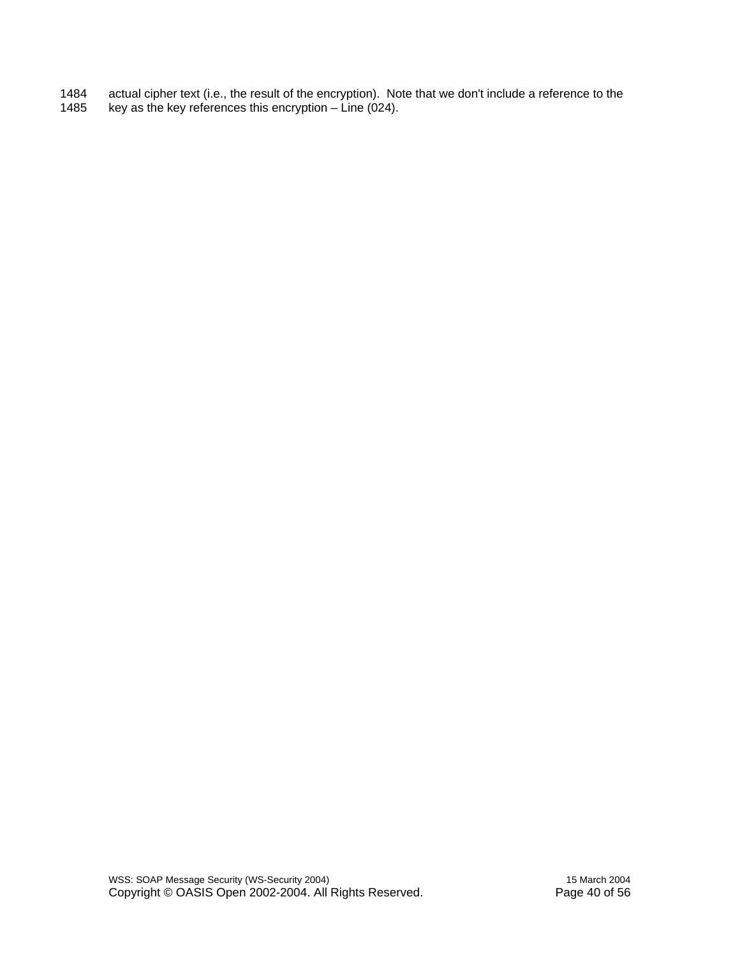1484 actual cipher text (i.e., the result of the encryption). Note that we don't include a reference to the 1485 key as the key references this encryption – Line (024). key as the key references this encryption – Line (024).

WSS: SOAP Message Security (WS-Security 2004) 15 March 2004 Copyright © OASIS Open 2002-2004. All Rights Reserved. Page 40 of 56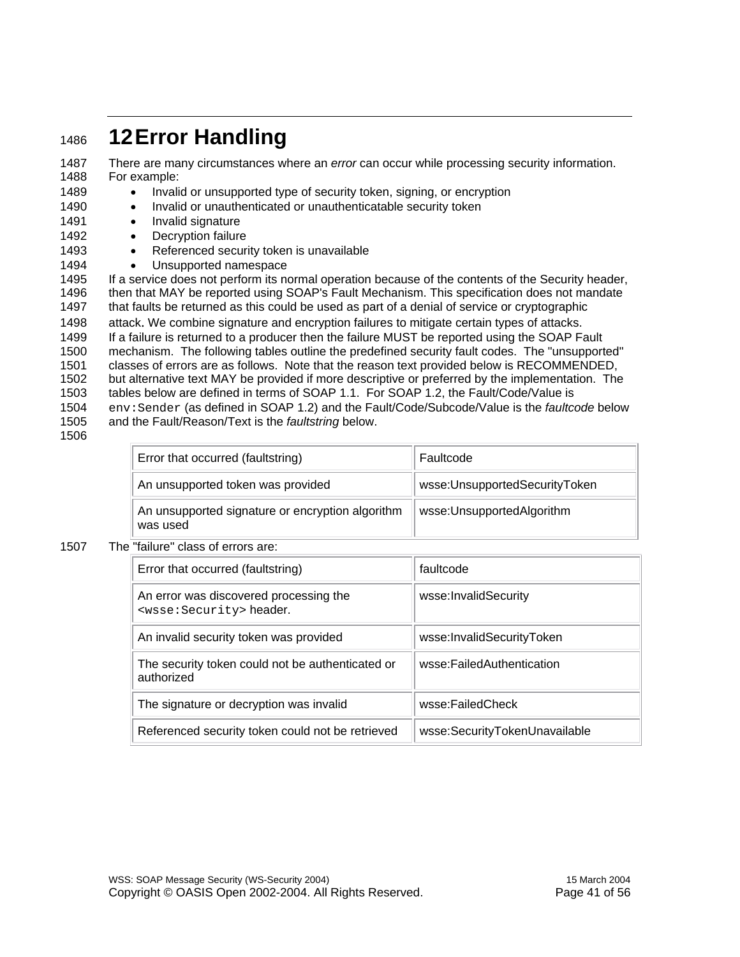### <sup>1486</sup>**12 Error Handling**

1487 There are many circumstances where an *error* can occur while processing security information. 1488 For example:

- 1489 Invalid or unsupported type of security token, signing, or encryption
- 1490 Invalid or unauthenticated or unauthenticatable security token
- 1491 Invalid signature
- 1492 Decryption failure
- 1493 Referenced security token is unavailable
- 1494 Unsupported namespace

1495 If a service does not perform its normal operation because of the contents of the Security header, 1496 then that MAY be reported using SOAP's Fault Mechanism. This specification does not mandate 1497 that faults be returned as this could be used as part of a denial of service or cryptographic

1498 attack. We combine signature and encryption failures to mitigate certain types of attacks. 1499 If a failure is returned to a producer then the failure MUST be reported using the SOAP Fault 1500 mechanism. The following tables outline the predefined security fault codes. The "unsupported" 1501 classes of errors are as follows. Note that the reason text provided below is RECOMMENDED, 1502 but alternative text MAY be provided if more descriptive or preferred by the implementation. The 1503 tables below are defined in terms of SOAP 1.1. For SOAP 1.2, the Fault/Code/Value is 1504 env:Sender (as defined in SOAP 1.2) and the Fault/Code/Subcode/Value is the *faultcode* below 1505 and the Fault/Reason/Text is the *faultstring* below.

1506

| Error that occurred (faultstring)                            | Faultcode                     |
|--------------------------------------------------------------|-------------------------------|
| An unsupported token was provided                            | wsse:UnsupportedSecurityToken |
| An unsupported signature or encryption algorithm<br>was used | wsse:UnsupportedAlgorithm     |

#### 1507 The "failure" class of errors are:

| Error that occurred (faultstring)                                             | faultcode                     |
|-------------------------------------------------------------------------------|-------------------------------|
| An error was discovered processing the<br><wsse: security=""> header.</wsse:> | wsse:InvalidSecurity          |
| An invalid security token was provided                                        | wsse:InvalidSecurityToken     |
| The security token could not be authenticated or<br>authorized                | wsse:FailedAuthentication     |
| The signature or decryption was invalid                                       | wsse:FailedCheck              |
| Referenced security token could not be retrieved                              | wsse:SecurityTokenUnavailable |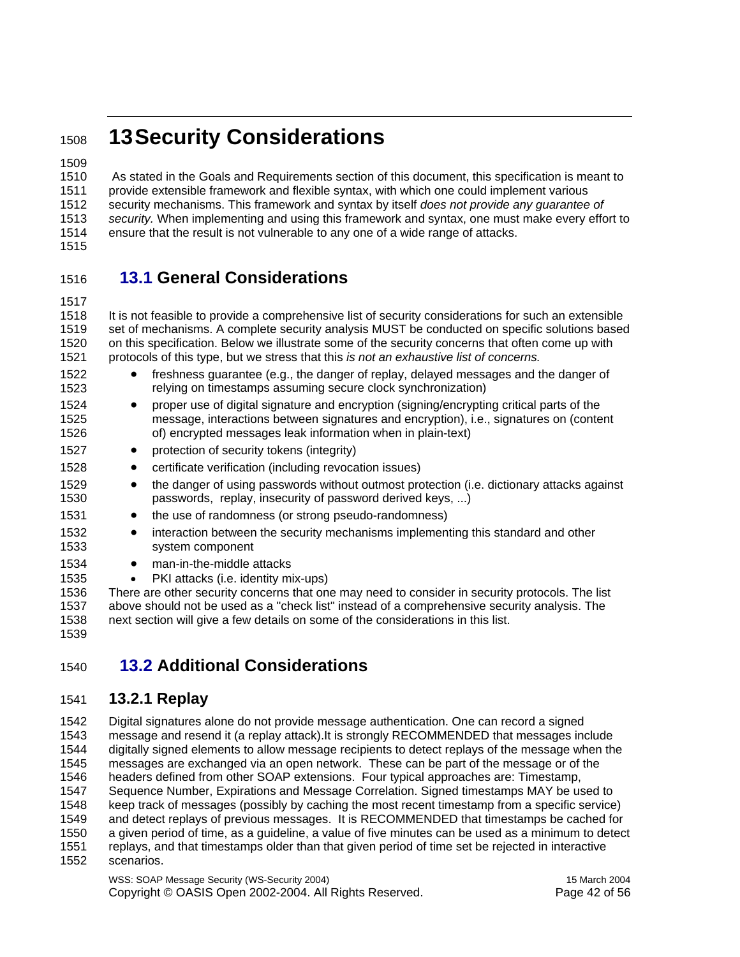### <sup>1508</sup>**13 Security Considerations**

1509

1510 As stated in the Goals and Requirements section of this document, this specification is meant to 1511 provide extensible framework and flexible syntax, with which one could implement various 1512 security mechanisms. This framework and syntax by itself *does not provide any guarantee of*  1513 *security.* When implementing and using this framework and syntax, one must make every effort to 1514 ensure that the result is not vulnerable to any one of a wide range of attacks.

#### 1515

#### 1516 **13.1 General Considerations**

1517

1518 It is not feasible to provide a comprehensive list of security considerations for such an extensible 1519 set of mechanisms. A complete security analysis MUST be conducted on specific solutions based 1520 on this specification. Below we illustrate some of the security concerns that often come up with 1521 protocols of this type, but we stress that this *is not an exhaustive list of concerns.*

1522 • freshness guarantee (e.g., the danger of replay, delayed messages and the danger of 1523 relying on timestamps assuming secure clock synchronization) 1524 • proper use of digital signature and encryption (signing/encrypting critical parts of the 1525 message, interactions between signatures and encryption), i.e., signatures on (content 1526 of) encrypted messages leak information when in plain-text) 1527 • protection of security tokens (integrity) 1528 • certificate verification (including revocation issues) 1529 • the danger of using passwords without outmost protection (i.e. dictionary attacks against 1530 passwords, replay, insecurity of password derived keys, ...) 1531 • the use of randomness (or strong pseudo-randomness) 1532 • interaction between the security mechanisms implementing this standard and other 1533 system component 1534 • man-in-the-middle attacks 1535 • PKI attacks (i.e. identity mix-ups) 1536 There are other security concerns that one may need to consider in security protocols. The list 1537 above should not be used as a "check list" instead of a comprehensive security analysis. The

1538 next section will give a few details on some of the considerations in this list. 1539

#### 1540 **13.2 Additional Considerations**

#### 1541 **13.2.1 Replay**

1542 Digital signatures alone do not provide message authentication. One can record a signed 1543 message and resend it (a replay attack).It is strongly RECOMMENDED that messages include 1544 digitally signed elements to allow message recipients to detect replays of the message when the 1545 messages are exchanged via an open network. These can be part of the message or of the 1546 1646.<br>1546 headers defined from other SOAP extensions. Four typical approaches are: Timestamp. headers defined from other SOAP extensions. Four typical approaches are: Timestamp, 1547 Sequence Number, Expirations and Message Correlation. Signed timestamps MAY be used to 1548 keep track of messages (possibly by caching the most recent timestamp from a specific service) 1549 and detect replays of previous messages. It is RECOMMENDED that timestamps be cached for 1550 a given period of time, as a guideline, a value of five minutes can be used as a minimum to detect 1551 replays, and that timestamps older than that given period of time set be rejected in interactive 1552 scenarios.

WSS: SOAP Message Security (WS-Security 2004) 15 March 2004 Copyright © OASIS Open 2002-2004. All Rights Reserved. Page 42 of 56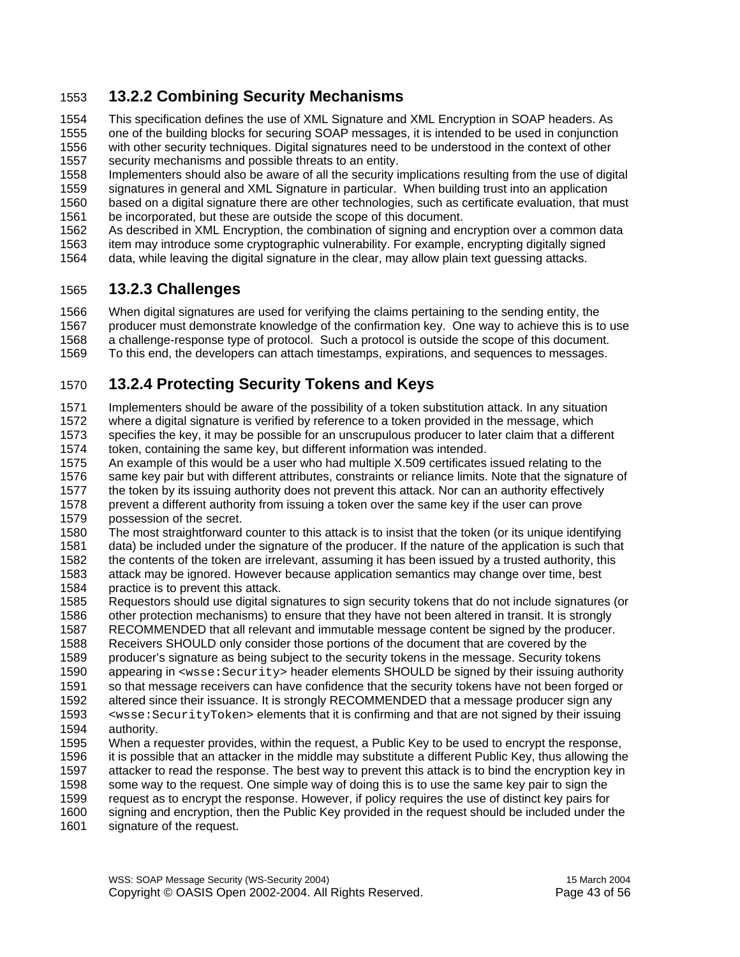#### 1553 **13.2.2 Combining Security Mechanisms**

1554 This specification defines the use of XML Signature and XML Encryption in SOAP headers. As 1555 one of the building blocks for securing SOAP messages, it is intended to be used in conjunction 1556 with other security techniques. Digital signatures need to be understood in the context of other 1557 security mechanisms and possible threats to an entity.

1558 Implementers should also be aware of all the security implications resulting from the use of digital

1559 signatures in general and XML Signature in particular. When building trust into an application

1560 based on a digital signature there are other technologies, such as certificate evaluation, that must 1561 be incorporated, but these are outside the scope of this document.

1562 As described in XML Encryption, the combination of signing and encryption over a common data

1563 item may introduce some cryptographic vulnerability. For example, encrypting digitally signed

1564 data, while leaving the digital signature in the clear, may allow plain text guessing attacks.

#### 1565 **13.2.3 Challenges**

1566 When digital signatures are used for verifying the claims pertaining to the sending entity, the 1567 producer must demonstrate knowledge of the confirmation key. One way to achieve this is to use 1568 a challenge-response type of protocol. Such a protocol is outside the scope of this document. 1569 To this end, the developers can attach timestamps, expirations, and sequences to messages.

#### 1570 **13.2.4 Protecting Security Tokens and Keys**

1571 Implementers should be aware of the possibility of a token substitution attack. In any situation 1572 where a digital signature is verified by reference to a token provided in the message, which 1573 specifies the key, it may be possible for an unscrupulous producer to later claim that a different 1574 token, containing the same key, but different information was intended.

1575 An example of this would be a user who had multiple X.509 certificates issued relating to the 1576 same key pair but with different attributes, constraints or reliance limits. Note that the signature of 1577 the token by its issuing authority does not prevent this attack. Nor can an authority effectively 1578 prevent a different authority from issuing a token over the same key if the user can prove 1579 possession of the secret.

1580 The most straightforward counter to this attack is to insist that the token (or its unique identifying 1581 data) be included under the signature of the producer. If the nature of the application is such that 1582 the contents of the token are irrelevant, assuming it has been issued by a trusted authority, this 1583 attack may be ignored. However because application semantics may change over time, best 1584 practice is to prevent this attack.

- 1585 Requestors should use digital signatures to sign security tokens that do not include signatures (or 1586 other protection mechanisms) to ensure that they have not been altered in transit. It is strongly
- 1587 RECOMMENDED that all relevant and immutable message content be signed by the producer. 1588 Receivers SHOULD only consider those portions of the document that are covered by the 1589 producer's signature as being subject to the security tokens in the message. Security tokens
- 1590 appearing in <wsse: Security> header elements SHOULD be signed by their issuing authority
- 1591 so that message receivers can have confidence that the security tokens have not been forged or
- 1592 altered since their issuance. It is strongly RECOMMENDED that a message producer sign any 1593 <wsse:SecurityToken> elements that it is confirming and that are not signed by their issuing 1594 authority.
- 1595 When a requester provides, within the request, a Public Key to be used to encrypt the response, 1596 it is possible that an attacker in the middle may substitute a different Public Key, thus allowing the 1597 attacker to read the response. The best way to prevent this attack is to bind the encryption key in 1598 some way to the request. One simple way of doing this is to use the same key pair to sign the 1599 request as to encrypt the response. However, if policy requires the use of distinct key pairs for 1600 signing and encryption, then the Public Key provided in the request should be included under the
- 1601 signature of the request.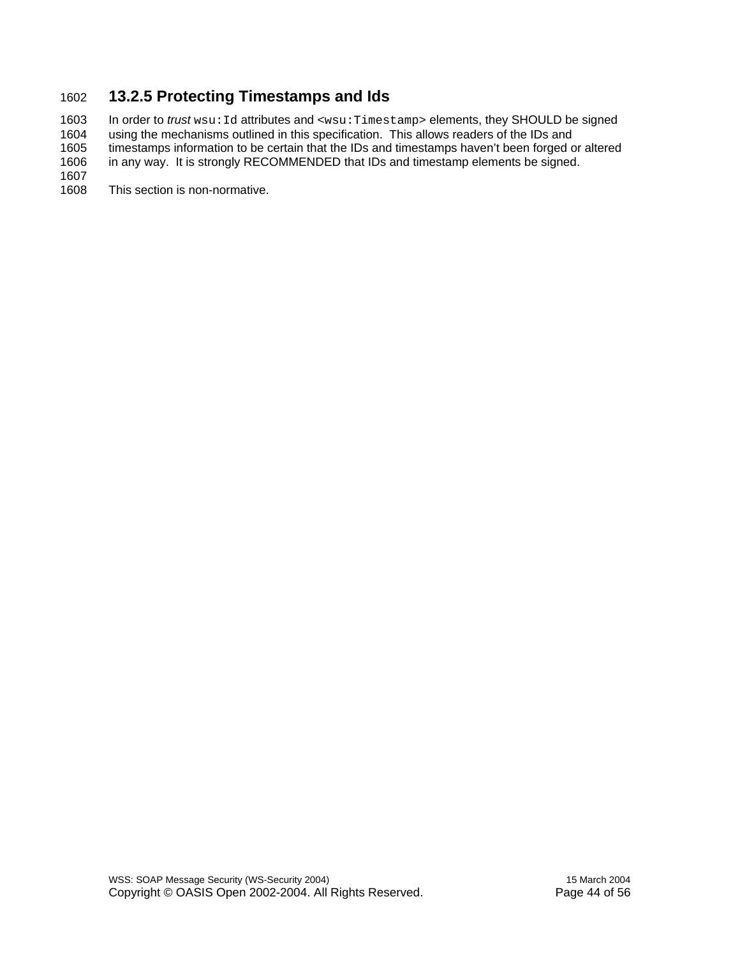#### 1602 **13.2.5 Protecting Timestamps and Ids**

1603 In order to *trust* wsu: Id attributes and <wsu:Timestamp> elements, they SHOULD be signed<br>1604 using the mechanisms outlined in this specification. This allows readers of the IDs and 1604 using the mechanisms outlined in this specification. This allows readers of the IDs and<br>1605 timestamps information to be certain that the IDs and timestamps haven't been forged o 1605 timestamps information to be certain that the IDs and timestamps haven't been forged or altered<br>1606 in any way. It is strongly RECOMMENDED that IDs and timestamp elements be signed. in any way. It is strongly RECOMMENDED that IDs and timestamp elements be signed.

1607<br>1608

This section is non-normative.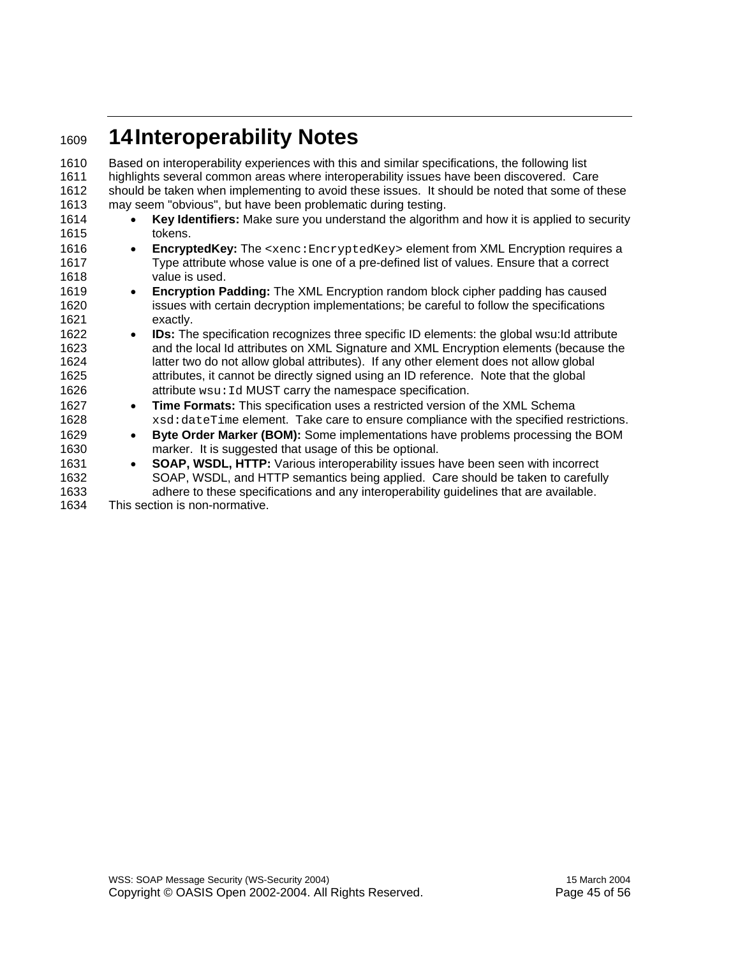### <sup>1609</sup>**14 Interoperability Notes**

1610 Based on interoperability experiences with this and similar specifications, the following list 1611 highlights several common areas where interoperability issues have been discovered. Care 1612 should be taken when implementing to avoid these issues. It should be noted that some of these 1613 may seem "obvious", but have been problematic during testing. 1614 • **Key Identifiers:** Make sure you understand the algorithm and how it is applied to security 1615 tokens. 1616 • **EncryptedKey:** The <xenc:EncryptedKey> element from XML Encryption requires a 1617 Type attribute whose value is one of a pre-defined list of values. Ensure that a correct 1618 value is used. 1619 • **Encryption Padding:** The XML Encryption random block cipher padding has caused 1620 issues with certain decryption implementations; be careful to follow the specifications 1621 exactly. 1622 • **IDs:** The specification recognizes three specific ID elements: the global wsu:Id attribute 1623 and the local Id attributes on XML Signature and XML Encryption elements (because the 1624 latter two do not allow global attributes). If any other element does not allow global 1625 attributes, it cannot be directly signed using an ID reference. Note that the global 1626 **attribute wsu: Id MUST carry the namespace specification.** 1627 • **Time Formats:** This specification uses a restricted version of the XML Schema 1628 xsd:dateTime element. Take care to ensure compliance with the specified restrictions. 1629 • **Byte Order Marker (BOM):** Some implementations have problems processing the BOM 1630 marker. It is suggested that usage of this be optional. 1631 • **SOAP, WSDL, HTTP:** Various interoperability issues have been seen with incorrect 1632 SOAP, WSDL, and HTTP semantics being applied. Care should be taken to carefully 1633 adhere to these specifications and any interoperability guidelines that are available. 1634 This section is non-normative.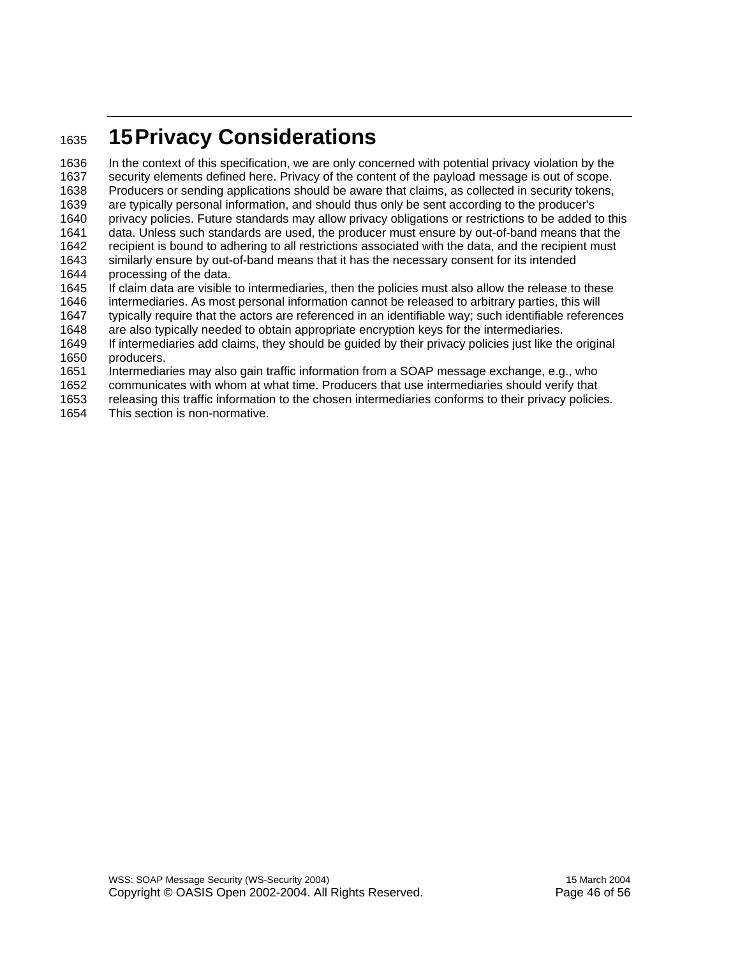### <sup>1635</sup>**15 Privacy Considerations**

1636 In the context of this specification, we are only concerned with potential privacy violation by the 1637 security elements defined here. Privacy of the content of the payload message is out of scope. 1638 Producers or sending applications should be aware that claims, as collected in security tokens, 1639 are typically personal information, and should thus only be sent according to the producer's privacy policies. Future standards may allow privacy obligations or restrictions to be added to this 1641 data. Unless such standards are used, the producer must ensure by out-of-band means that the 1642 recipient is bound to adhering to all restrictions associated with the data, and the recipient must 1643 similarly ensure by out-of-band means that it has the necessary consent for its intended similarly ensure by out-of-band means that it has the necessary consent for its intended 1644 processing of the data. 1645 If claim data are visible to intermediaries, then the policies must also allow the release to these 1646 intermediaries. As most personal information cannot be released to arbitrary parties, this will 1647 typically require that the actors are referenced in an identifiable way; such identifiable references 1648 are also typically needed to obtain appropriate encryption keys for the intermediaries. 1649 If intermediaries add claims, they should be guided by their privacy policies just like the original 1650 producers.

- 1651 Intermediaries may also gain traffic information from a SOAP message exchange, e.g., who
- 1652 communicates with whom at what time. Producers that use intermediaries should verify that
- 1653 releasing this traffic information to the chosen intermediaries conforms to their privacy policies.
- 1654 This section is non-normative.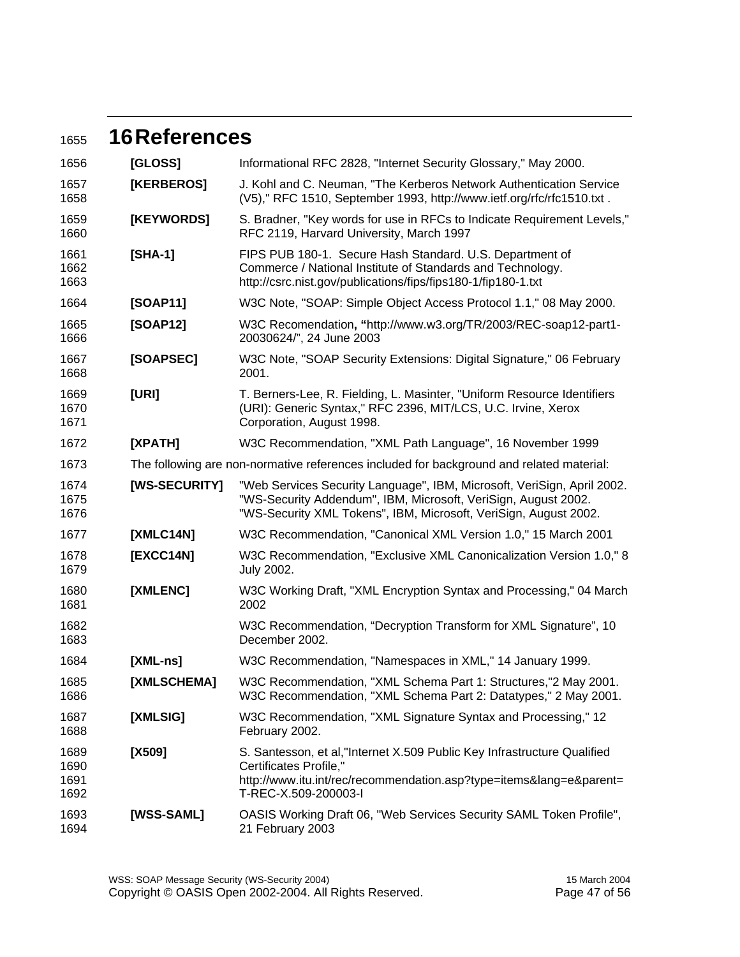### <sup>1655</sup>**16 References**

| 1656                         | [GLOSS]                                                                                  | Informational RFC 2828, "Internet Security Glossary," May 2000.                                                                                                                                               |
|------------------------------|------------------------------------------------------------------------------------------|---------------------------------------------------------------------------------------------------------------------------------------------------------------------------------------------------------------|
| 1657<br>1658                 | [KERBEROS]                                                                               | J. Kohl and C. Neuman, "The Kerberos Network Authentication Service<br>(V5)," RFC 1510, September 1993, http://www.ietf.org/rfc/rfc1510.txt.                                                                  |
| 1659<br>1660                 | [KEYWORDS]                                                                               | S. Bradner, "Key words for use in RFCs to Indicate Requirement Levels,"<br>RFC 2119, Harvard University, March 1997                                                                                           |
| 1661<br>1662<br>1663         | $[SHA-1]$                                                                                | FIPS PUB 180-1. Secure Hash Standard. U.S. Department of<br>Commerce / National Institute of Standards and Technology.<br>http://csrc.nist.gov/publications/fips/fips180-1/fip180-1.txt                       |
| 1664                         | [SOAP11]                                                                                 | W3C Note, "SOAP: Simple Object Access Protocol 1.1," 08 May 2000.                                                                                                                                             |
| 1665<br>1666                 | [SOAP12]                                                                                 | W3C Recomendation, "http://www.w3.org/TR/2003/REC-soap12-part1-<br>20030624/", 24 June 2003                                                                                                                   |
| 1667<br>1668                 | [SOAPSEC]                                                                                | W3C Note, "SOAP Security Extensions: Digital Signature," 06 February<br>2001.                                                                                                                                 |
| 1669<br>1670<br>1671         | [URI]                                                                                    | T. Berners-Lee, R. Fielding, L. Masinter, "Uniform Resource Identifiers<br>(URI): Generic Syntax," RFC 2396, MIT/LCS, U.C. Irvine, Xerox<br>Corporation, August 1998.                                         |
| 1672                         | [XPATH]                                                                                  | W3C Recommendation, "XML Path Language", 16 November 1999                                                                                                                                                     |
| 1673                         | The following are non-normative references included for background and related material: |                                                                                                                                                                                                               |
| 1674<br>1675<br>1676         | [WS-SECURITY]                                                                            | "Web Services Security Language", IBM, Microsoft, VeriSign, April 2002.<br>"WS-Security Addendum", IBM, Microsoft, VeriSign, August 2002.<br>"WS-Security XML Tokens", IBM, Microsoft, VeriSign, August 2002. |
| 1677                         | [XMLC14N]                                                                                | W3C Recommendation, "Canonical XML Version 1.0," 15 March 2001                                                                                                                                                |
| 1678<br>1679                 | [EXCC14N]                                                                                | W3C Recommendation, "Exclusive XML Canonicalization Version 1.0," 8<br><b>July 2002.</b>                                                                                                                      |
| 1680<br>1681                 | [XMLENC]                                                                                 | W3C Working Draft, "XML Encryption Syntax and Processing," 04 March<br>2002                                                                                                                                   |
| 1682<br>1683                 |                                                                                          | W3C Recommendation, "Decryption Transform for XML Signature", 10<br>December 2002.                                                                                                                            |
| 1684                         | $[XML-ns]$                                                                               | W3C Recommendation, "Namespaces in XML," 14 January 1999.                                                                                                                                                     |
| 1685<br>1686                 | <b>[XMLSCHEMA]</b>                                                                       | W3C Recommendation, "XML Schema Part 1: Structures,"2 May 2001.<br>W3C Recommendation, "XML Schema Part 2: Datatypes," 2 May 2001.                                                                            |
| 1687<br>1688                 | [XMLSIG]                                                                                 | W3C Recommendation, "XML Signature Syntax and Processing," 12<br>February 2002.                                                                                                                               |
| 1689<br>1690<br>1691<br>1692 | [X509]                                                                                   | S. Santesson, et al, "Internet X.509 Public Key Infrastructure Qualified<br>Certificates Profile,"<br>http://www.itu.int/rec/recommendation.asp?type=items⟨=e&parent=<br>T-REC-X.509-200003-I                 |
| 1693<br>1694                 | [WSS-SAML]                                                                               | OASIS Working Draft 06, "Web Services Security SAML Token Profile",<br>21 February 2003                                                                                                                       |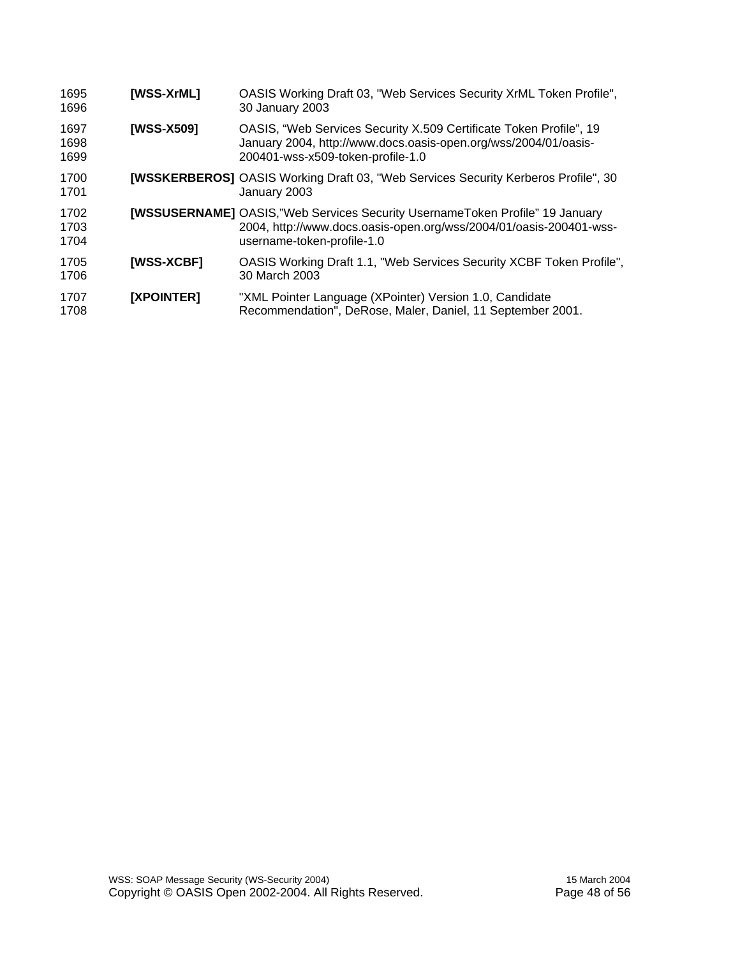| 1695<br>1696         | [WSS-XrML] | OASIS Working Draft 03, "Web Services Security XrML Token Profile",<br>30 January 2003                                                                                                  |
|----------------------|------------|-----------------------------------------------------------------------------------------------------------------------------------------------------------------------------------------|
| 1697<br>1698<br>1699 | [WSS-X509] | OASIS, "Web Services Security X.509 Certificate Token Profile", 19<br>January 2004, http://www.docs.oasis-open.org/wss/2004/01/oasis-<br>200401-wss-x509-token-profile-1.0              |
| 1700<br>1701         |            | <b>[WSSKERBEROS]</b> OASIS Working Draft 03, "Web Services Security Kerberos Profile", 30<br>January 2003                                                                               |
| 1702<br>1703<br>1704 |            | <b>[WSSUSERNAME]</b> OASIS,"Web Services Security UsernameToken Profile" 19 January<br>2004, http://www.docs.oasis-open.org/wss/2004/01/oasis-200401-wss-<br>username-token-profile-1.0 |
| 1705<br>1706         | [WSS-XCBF] | OASIS Working Draft 1.1, "Web Services Security XCBF Token Profile",<br>30 March 2003                                                                                                   |
| 1707<br>1708         | [XPOINTER] | "XML Pointer Language (XPointer) Version 1.0, Candidate<br>Recommendation", DeRose, Maler, Daniel, 11 September 2001.                                                                   |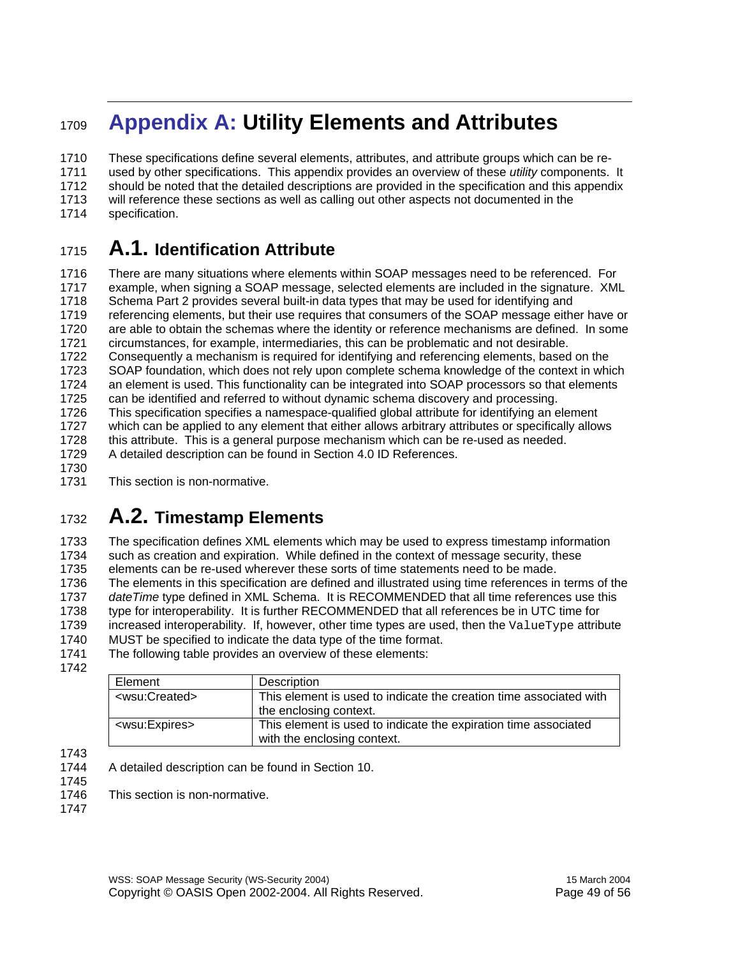### <sup>1709</sup>**Appendix A: Utility Elements and Attributes**

1710 These specifications define several elements, attributes, and attribute groups which can be re-1711 used by other specifications. This appendix provides an overview of these *utility* components. It 1712 should be noted that the detailed descriptions are provided in the specification and this appendix 1713 will reference these sections as well as calling out other aspects not documented in the 1714 specification.

### <sup>1715</sup>**A.1. Identification Attribute**

1716 There are many situations where elements within SOAP messages need to be referenced. For 1717 example, when signing a SOAP message, selected elements are included in the signature. XML 1718 Schema Part 2 provides several built-in data types that may be used for identifying and 1719 referencing elements, but their use requires that consumers of the SOAP message either have or 1720 are able to obtain the schemas where the identity or reference mechanisms are defined. In some 1721 circumstances, for example, intermediaries, this can be problematic and not desirable. 1722 Consequently a mechanism is required for identifying and referencing elements, based on the 1723 SOAP foundation, which does not rely upon complete schema knowledge of the context in which 1724 an element is used. This functionality can be integrated into SOAP processors so that elements 1725 can be identified and referred to without dynamic schema discovery and processing. 1726 This specification specifies a namespace-qualified global attribute for identifying an element 1727 which can be applied to any element that either allows arbitrary attributes or specifically allows 1728 this attribute. This is a general purpose mechanism which can be re-used as needed. 1729 A detailed description can be found in Section 4.0 ID References. 1730

1731 This section is non-normative.

### <sup>1732</sup>**A.2. Timestamp Elements**

1733 The specification defines XML elements which may be used to express timestamp information 1734 such as creation and expiration. While defined in the context of message security, these 1735 elements can be re-used wherever these sorts of time statements need to be made. 1736 The elements in this specification are defined and illustrated using time references in terms of the 1737 *dateTime* type defined in XML Schema. It is RECOMMENDED that all time references use this<br>1738 type for interoperability. It is further RECOMMENDED that all references be in UTC time for type for interoperability. It is further RECOMMENDED that all references be in UTC time for 1739 increased interoperability. If, however, other time types are used, then the ValueType attribute 1740 MUST be specified to indicate the data type of the time format. MUST be specified to indicate the data type of the time format. 1741 The following table provides an overview of these elements:

1742

| Element                     | Description                                                        |
|-----------------------------|--------------------------------------------------------------------|
| <wsu:created></wsu:created> | This element is used to indicate the creation time associated with |
|                             | the enclosing context.                                             |
| <wsu:expires></wsu:expires> | This element is used to indicate the expiration time associated    |
|                             | with the enclosing context.                                        |

1743

1744 A detailed description can be found in Section 10.

1745

1746 This section is non-normative.

1747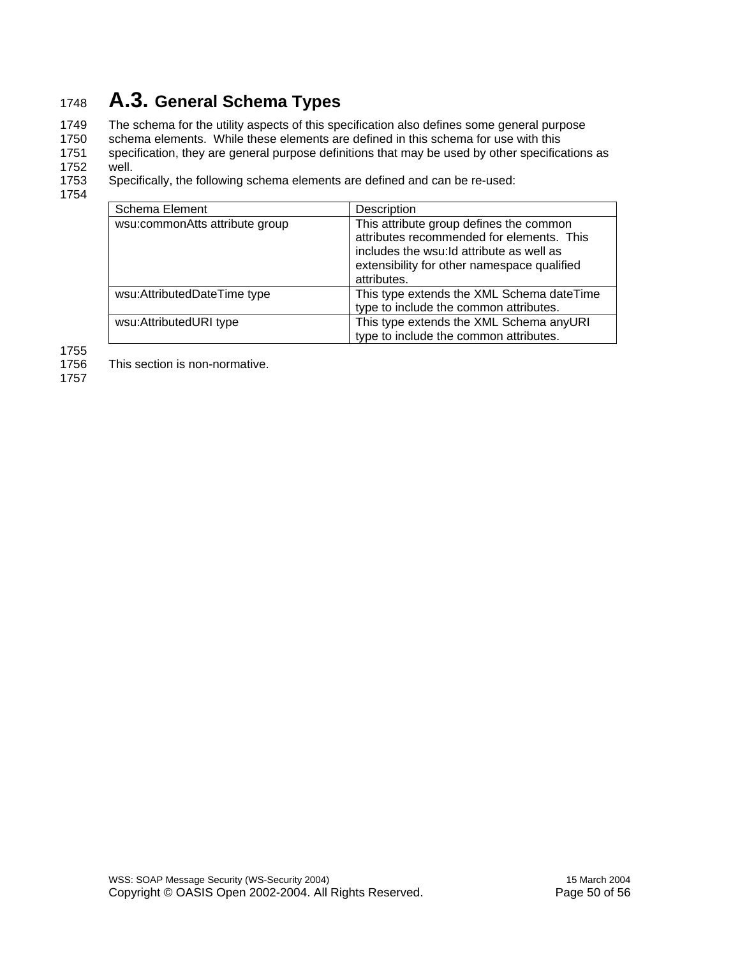### <sup>1748</sup>**A.3. General Schema Types**

1749 The schema for the utility aspects of this specification also defines some general purpose<br>1750 schema elements. While these elements are defined in this schema for use with this schema elements. While these elements are defined in this schema for use with this 1751 specification, they are general purpose definitions that may be used by other specifications as 1752 well.<br>1753 Spec

Specifically, the following schema elements are defined and can be re-used:

1754

| Schema Element                 | Description                                                                                                                                                                                     |
|--------------------------------|-------------------------------------------------------------------------------------------------------------------------------------------------------------------------------------------------|
| wsu:commonAtts attribute group | This attribute group defines the common<br>attributes recommended for elements. This<br>includes the wsu: Id attribute as well as<br>extensibility for other namespace qualified<br>attributes. |
| wsu:AttributedDateTime type    | This type extends the XML Schema dateTime<br>type to include the common attributes.                                                                                                             |
| wsu:AttributedURI type         | This type extends the XML Schema anyURI<br>type to include the common attributes.                                                                                                               |

1755

1756 This section is non-normative.

1757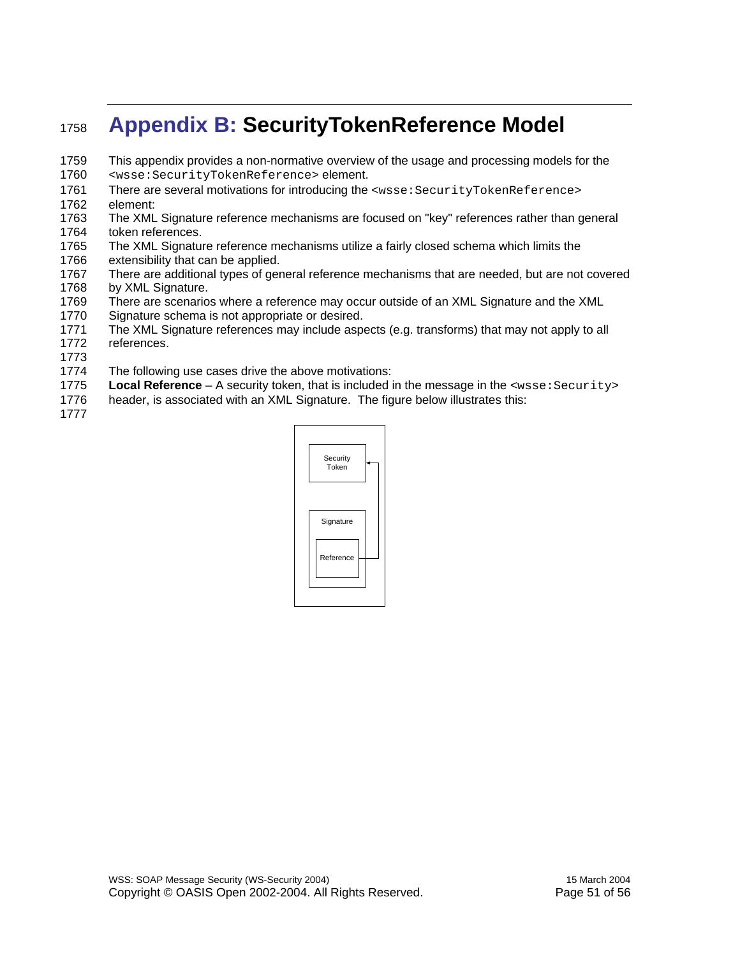### <sup>1758</sup>**Appendix B: SecurityTokenReference Model**

- 1759 This appendix provides a non-normative overview of the usage and processing models for the
- 1760 <wsse:SecurityTokenReference> element.
- 1761 There are several motivations for introducing the <wsse: SecurityTokenReference> 1762 element:
- 1763 The XML Signature reference mechanisms are focused on "key" references rather than general 1764 token references.
- 1765 The XML Signature reference mechanisms utilize a fairly closed schema which limits the 1766 extensibility that can be applied.
- 1767 There are additional types of general reference mechanisms that are needed, but are not covered 1768 by XML Signature.
- 1769 There are scenarios where a reference may occur outside of an XML Signature and the XML
- 1770 Signature schema is not appropriate or desired.
- 1771 The XML Signature references may include aspects (e.g. transforms) that may not apply to all 1772 references.
- 1773
- 1774 The following use cases drive the above motivations:
- 1775 **Local Reference** A security token, that is included in the message in the <wsse:Security>
- 1776 header, is associated with an XML Signature. The figure below illustrates this:
- 1777

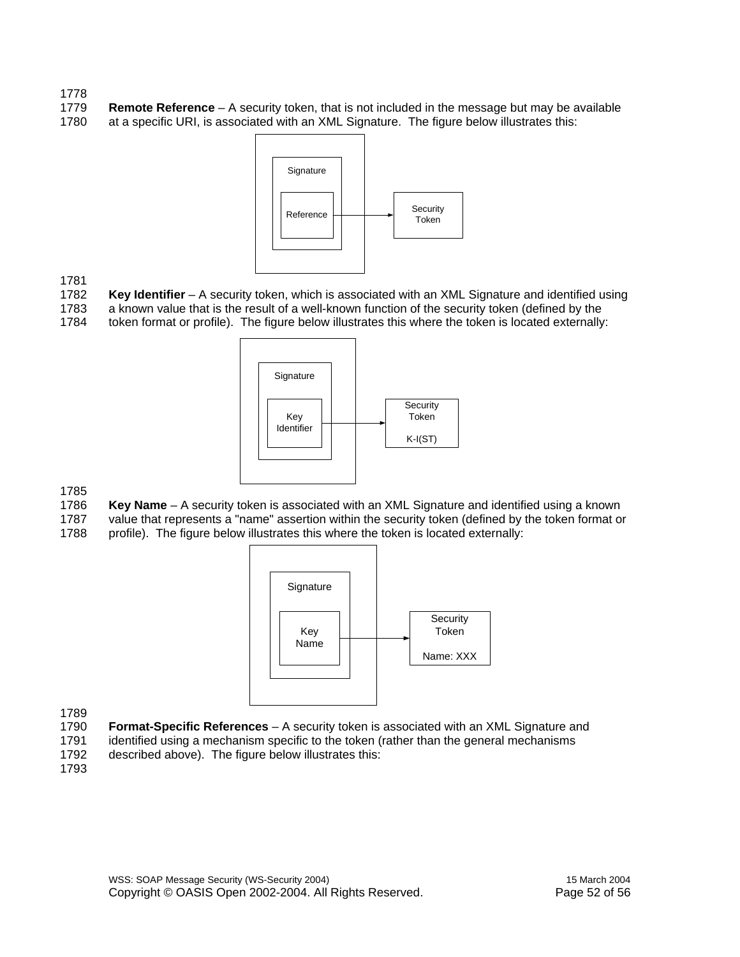#### 1778

1779 **Remote Reference** – A security token, that is not included in the message but may be available 1780 at a specific URI, is associated with an XML Signature. The figure below illustrates this:



1781

Key Identifier – A security token, which is associated with an XML Signature and identified using

1783 a known value that is the result of a well-known function of the security token (defined by the 1784 token format or profile). The figure below illustrates this where the token is located externally:



1785<br>1786

- Key Name A security token is associated with an XML Signature and identified using a known
- 1787 value that represents a "name" assertion within the security token (defined by the token format or
- 1788 profile). The figure below illustrates this where the token is located externally:



1789

- 1790 **Format-Specific References** A security token is associated with an XML Signature and 1791 identified using a mechanism specific to the token (rather than the general mechanisms
- 1792 described above). The figure below illustrates this:
- 1793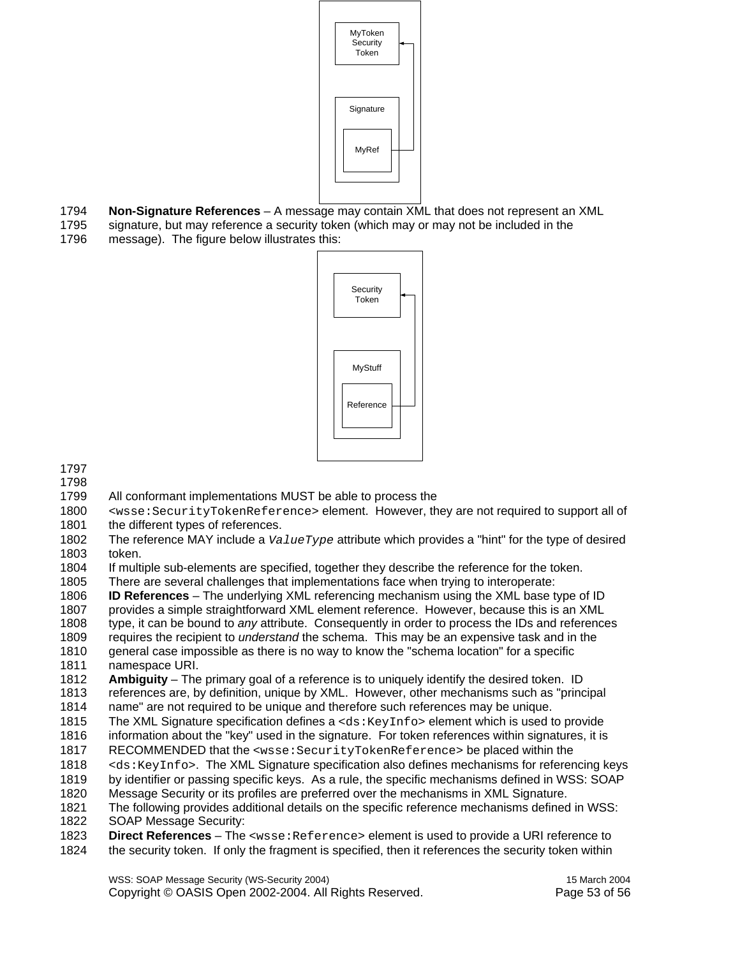

- 1794 **Non-Signature References** A message may contain XML that does not represent an XML
- 1795 signature, but may reference a security token (which may or may not be included in the 1796 message). The figure below illustrates this:



1797

1798

- 1799 All conformant implementations MUST be able to process the
- 1800 <wsse:SecurityTokenReference> element. However, they are not required to support all of 1801 the different types of references.
- 1802 The reference MAY include a *ValueType* attribute which provides a "hint" for the type of desired token.
- 1804 If multiple sub-elements are specified, together they describe the reference for the token.
- 1805 There are several challenges that implementations face when trying to interoperate:
- 1806 **ID References** The underlying XML referencing mechanism using the XML base type of ID
- 1807 provides a simple straightforward XML element reference. However, because this is an XML
- 1808 type, it can be bound to *any* attribute. Consequently in order to process the IDs and references 1809 requires the recipient to *understand* the schema. This may be an expensive task and in the
- 1810 general case impossible as there is no way to know the "schema location" for a specific 1811 namespace URI.
- 1812 **Ambiguity** The primary goal of a reference is to uniquely identify the desired token. ID 1813 references are, by definition, unique by XML. However, other mechanisms such as "principal
- 1814 name" are not required to be unique and therefore such references may be unique.
- 1815 The XML Signature specification defines a  $\langle ds : K(y)$  and  $\langle ds |$  element which is used to provide 1816 information about the "key" used in the signature. For token references within signatures, it is
- 1817 RECOMMENDED that the <wsse:SecurityTokenReference> be placed within the
- 1818 <ds:KeyInfo>. The XML Signature specification also defines mechanisms for referencing keys
- 1819 by identifier or passing specific keys. As a rule, the specific mechanisms defined in WSS: SOAP
- 1820 Message Security or its profiles are preferred over the mechanisms in XML Signature.
- 1821 The following provides additional details on the specific reference mechanisms defined in WSS:
- 1822 SOAP Message Security:
- 1823 **Direct References** The <wsse: Reference> element is used to provide a URI reference to 1824 the security token. If only the fragment is specified, then it references the security token within
- the security token. If only the fragment is specified, then it references the security token within

WSS: SOAP Message Security (WS-Security 2004) 15 March 2004 Copyright © OASIS Open 2002-2004. All Rights Reserved. Page 53 of 56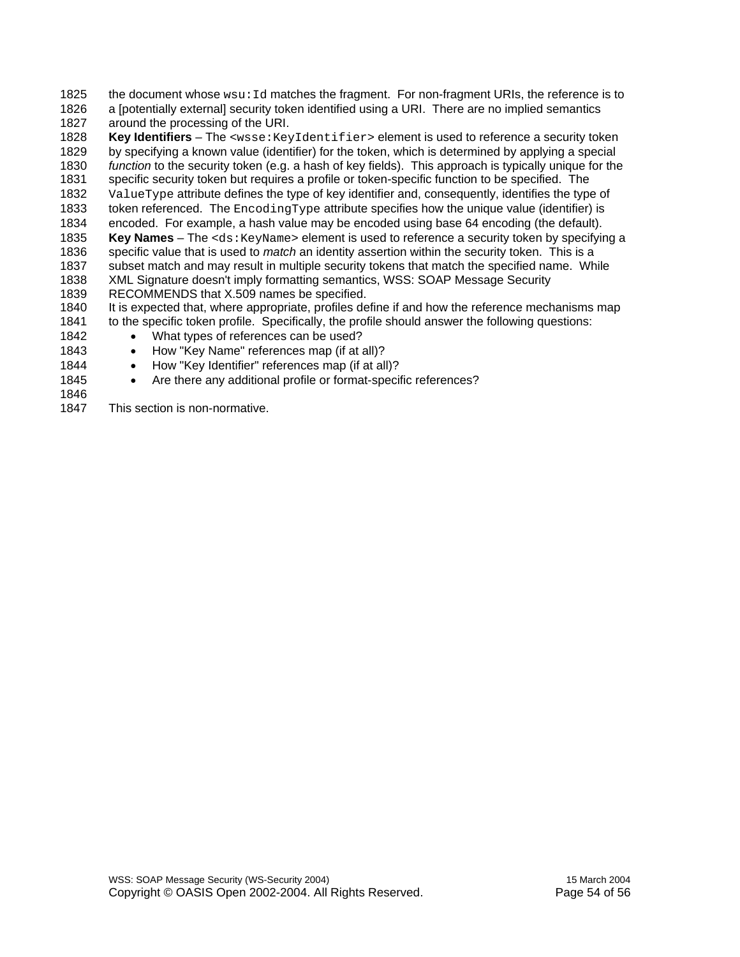1825 the document whose wsu: Id matches the fragment. For non-fragment URIs, the reference is to 1826 a [potentially external] security token identified using a URI. There are no implied semantics 1827 around the processing of the URI.

1828 **Key Identifiers** – The <wsse:KeyIdentifier> element is used to reference a security token 1829 by specifying a known value (identifier) for the token, which is determined by applying a special 1830 *function* to the security token (e.g. a hash of key fields). This approach is typically unique for the 1831 specific security token but requires a profile or token-specific function to be specified. The 1832 ValueType attribute defines the type of key identifier and, consequently, identifies the type of 1833 token referenced. The EncodingType attribute specifies how the unique value (identifier) is 1834 encoded. For example, a hash value may be encoded using base 64 encoding (the default). 1835 **Key Names** – The <ds:KeyName> element is used to reference a security token by specifying a 1836 specific value that is used to *match* an identity assertion within the security token. This is a 1837 subset match and may result in multiple security tokens that match the specified name. While 1838 XML Signature doesn't imply formatting semantics, WSS: SOAP Message Security 1839 RECOMMENDS that X.509 names be specified. 1840 It is expected that, where appropriate, profiles define if and how the reference mechanisms map

- 1841 to the specific token profile. Specifically, the profile should answer the following questions:
- 1842 What types of references can be used?
- 1843 How "Key Name" references map (if at all)?
- 1844 How "Key Identifier" references map (if at all)?
- 1845 Are there any additional profile or format-specific references?
- 1846
- 1847 This section is non-normative.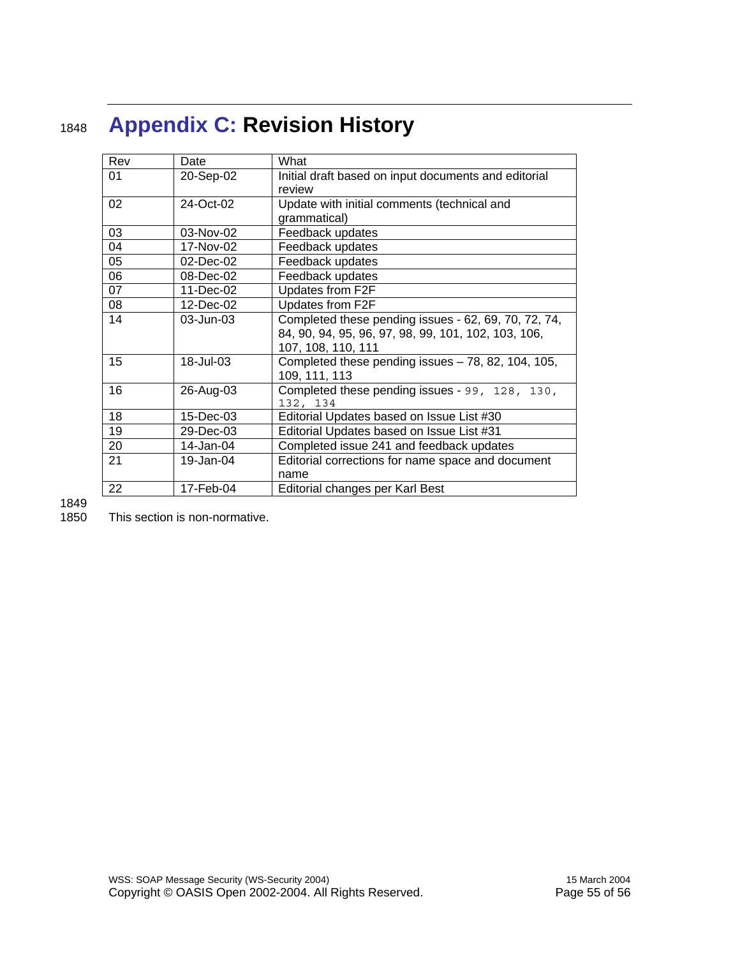# <sup>1848</sup>**Appendix C: Revision History**

| Rev | Date      | What                                                 |
|-----|-----------|------------------------------------------------------|
| 01  | 20-Sep-02 | Initial draft based on input documents and editorial |
|     |           | review                                               |
| 02  | 24-Oct-02 | Update with initial comments (technical and          |
|     |           | grammatical)                                         |
| 03  | 03-Nov-02 | Feedback updates                                     |
| 04  | 17-Nov-02 | Feedback updates                                     |
| 05  | 02-Dec-02 | Feedback updates                                     |
| 06  | 08-Dec-02 | Feedback updates                                     |
| 07  | 11-Dec-02 | Updates from F2F                                     |
| 08  | 12-Dec-02 | Updates from F2F                                     |
| 14  | 03-Jun-03 | Completed these pending issues - 62, 69, 70, 72, 74, |
|     |           | 84, 90, 94, 95, 96, 97, 98, 99, 101, 102, 103, 106,  |
|     |           | 107, 108, 110, 111                                   |
| 15  | 18-Jul-03 | Completed these pending issues $-78$ , 82, 104, 105, |
|     |           | 109, 111, 113                                        |
| 16  | 26-Aug-03 | Completed these pending issues - 99, 128, 130,       |
|     |           | 132, 134                                             |
| 18  | 15-Dec-03 | Editorial Updates based on Issue List #30            |
| 19  | 29-Dec-03 | Editorial Updates based on Issue List #31            |
| 20  | 14-Jan-04 | Completed issue 241 and feedback updates             |
| 21  | 19-Jan-04 | Editorial corrections for name space and document    |
|     |           | name                                                 |
| 22  | 17-Feb-04 | Editorial changes per Karl Best                      |

1849

1850 This section is non-normative.